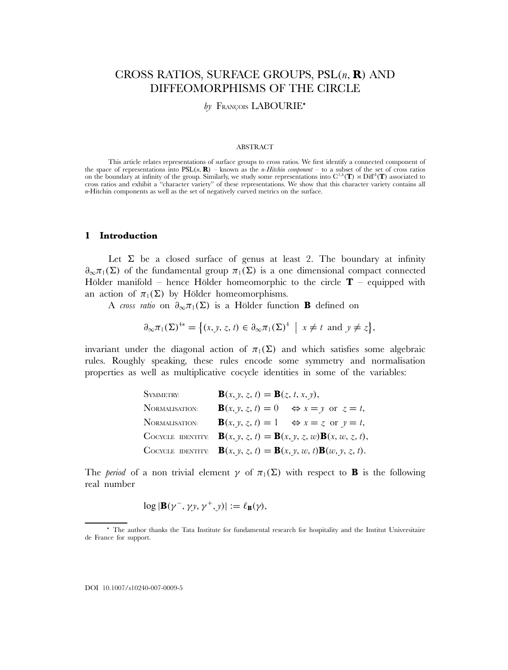# CROSS RATIOS, SURFACE GROUPS, PSL(n, **R**) AND DIFFEOMORPHISMS OF THE CIRCLE

by FRANÇOIS LABOURIE<sup>\*</sup>

### ABSTRACT

This article relates representations of surface groups to cross ratios. We first identify a connected component of the space of representations into  $PSL(n, \mathbf{R})$  – known as the *n-Hitchin component* – to a subset of the set of cross ratios on the boundary at infinity of the group. Similarly, we study some representations into  $C^{1,h}(\mathbf{T}) \rtimes \text{Diff}^h(\mathbf{T})$  associated to cross ratios and exhibit a "character variety" of these representations. We show that this character variety contains all n-Hitchin components as well as the set of negatively curved metrics on the surface.

# **1 Introduction**

Let  $\Sigma$  be a closed surface of genus at least 2. The boundary at infinity  $\partial_{\infty}\pi_1(\Sigma)$  of the fundamental group  $\pi_1(\Sigma)$  is a one dimensional compact connected Hölder manifold – hence Hölder homeomorphic to the circle  $T$  – equipped with an action of  $\pi_1(\Sigma)$  by Hölder homeomorphisms.

A *cross ratio* on  $\partial_{\infty} \pi_1(\Sigma)$  is a Hölder function **B** defined on

$$
\partial_{\infty}\pi_1(\Sigma)^{4*} = \big\{ (x, y, z, t) \in \partial_{\infty}\pi_1(\Sigma)^{4} \mid x \neq t \text{ and } y \neq z \big\},\
$$

invariant under the diagonal action of  $\pi_1(\Sigma)$  and which satisfies some algebraic rules. Roughly speaking, these rules encode some symmetry and normalisation properties as well as multiplicative cocycle identities in some of the variables:

| SYMMETRY:      | $B(x, y, z, t) = B(z, t, x, y),$                                                            |
|----------------|---------------------------------------------------------------------------------------------|
| NORMALISATION: | $\mathbf{B}(x, y, z, t) = 0 \Leftrightarrow x = y \text{ or } z = t,$                       |
| NORMALISATION: | $\mathbf{B}(x, y, z, t) = 1 \Leftrightarrow x = z \text{ or } y = t,$                       |
|                | COCYCLE IDENTITY: $\mathbf{B}(x, y, z, t) = \mathbf{B}(x, y, z, w) \mathbf{B}(x, w, z, t),$ |
|                | COCYCLE IDENTITY: $\mathbf{B}(x, y, z, t) = \mathbf{B}(x, y, w, t)\mathbf{B}(w, y, z, t).$  |

The *period* of a non trivial element  $\gamma$  of  $\pi_1(\Sigma)$  with respect to **B** is the following real number

$$
\log|\mathbf{B}(\gamma^-,\gamma y,\gamma^+,y)|:=\ell_\mathbf{B}(\gamma),
$$

<sup>\*</sup> The author thanks the Tata Institute for fundamental research for hospitality and the Institut Universitaire de France for support.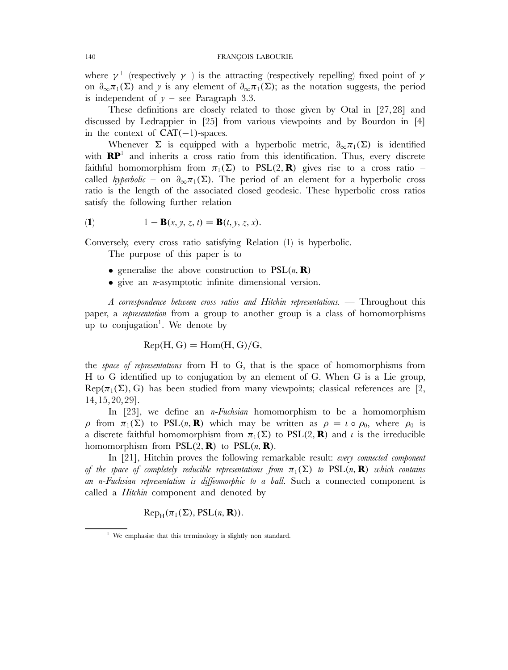where  $\gamma^+$  (respectively  $\gamma^-$ ) is the attracting (respectively repelling) fixed point of  $\gamma$ on  $\partial_{\infty}\pi_1(\Sigma)$  and y is any element of  $\partial_{\infty}\pi_1(\Sigma)$ ; as the notation suggests, the period is independent of  $y$  – see Paragraph 3.3.

These definitions are closely related to those given by Otal in [27,28] and discussed by Ledrappier in [25] from various viewpoints and by Bourdon in [4] in the context of  $CAT(-1)$ -spaces.

Whenever  $\Sigma$  is equipped with a hyperbolic metric,  $\partial_{\infty}\pi_1(\Sigma)$  is identified with  $\mathbb{RP}^1$  and inherits a cross ratio from this identification. Thus, every discrete faithful homomorphism from  $\pi_1(\Sigma)$  to PSL(2, **R**) gives rise to a cross ratio – called *hyperbolic* – on  $\partial_{\infty} \pi_1(\Sigma)$ . The period of an element for a hyperbolic cross ratio is the length of the associated closed geodesic. These hyperbolic cross ratios satisfy the following further relation

$$
(1) \qquad \qquad 1 - \mathbf{B}(x, y, z, t) = \mathbf{B}(t, y, z, x).
$$

Conversely, every cross ratio satisfying Relation (1) is hyperbolic.

The purpose of this paper is to

- generalise the above construction to  $PSL(n, \mathbf{R})$
- $\bullet$  give an *n*-asymptotic infinite dimensional version.

*A correspondence between cross ratios and Hitchin representations.* — Throughout this paper, a *representation* from a group to another group is a class of homomorphisms up to conjugation<sup>1</sup>. We denote by

 $Rep(H, G) = Hom(H, G)/G,$ 

the *space of representations* from H to G, that is the space of homomorphisms from H to G identified up to conjugation by an element of G. When G is a Lie group,  $\text{Rep}(\pi_1(\Sigma), G)$  has been studied from many viewpoints; classical references are [2, 14,15,20,29].

In [23], we define an n*-Fuchsian* homomorphism to be a homomorphism ρ from  $\pi_1(\Sigma)$  to PSL(n, **R**) which may be written as  $\rho = \iota \circ \rho_0$ , where  $\rho_0$  is a discrete faithful homomorphism from  $\pi_1(\Sigma)$  to PSL(2, **R**) and *i* is the irreducible homomorphism from  $PSL(2, \mathbf{R})$  to  $PSL(n, \mathbf{R})$ .

In [21], Hitchin proves the following remarkable result: *every connected component of the space of completely reducible representations from*  $\pi_1(\Sigma)$  *to* PSL(n, **R**) *which contains an* n*-Fuchsian representation is diffeomorphic to a ball*. Such a connected component is called a *Hitchin* component and denoted by

 $\text{Rep}_{H}(\pi_1(\Sigma), \text{PSL}(n, \mathbf{R})).$ 

<sup>&</sup>lt;sup>1</sup> We emphasise that this terminology is slightly non standard.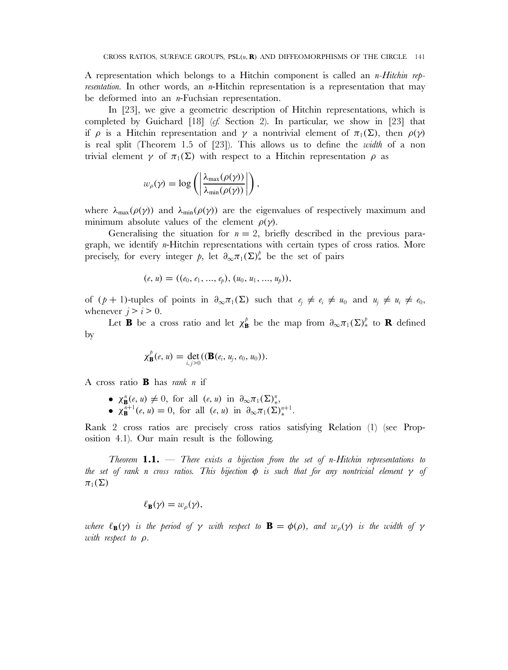A representation which belongs to a Hitchin component is called an n*-Hitchin representation*. In other words, an *n*-Hitchin representation is a representation that may be deformed into an  $n$ -Fuchsian representation.

In [23], we give a geometric description of Hitchin representations, which is completed by Guichard [18] (*cf.* Section 2). In particular, we show in [23] that if  $\rho$  is a Hitchin representation and  $\gamma$  a nontrivial element of  $\pi_1(\Sigma)$ , then  $\rho(\gamma)$ is real split (Theorem 1.5 of [23]). This allows us to define the *width* of a non trivial element γ of  $\pi_1(\Sigma)$  with respect to a Hitchin representation  $ρ$  as

$$
w_{\rho}(\gamma) = \log \left( \left| \frac{\lambda_{\max}(\rho(\gamma))}{\lambda_{\min}(\rho(\gamma))} \right| \right),
$$

where  $\lambda_{\text{max}}(\rho(\gamma))$  and  $\lambda_{\text{min}}(\rho(\gamma))$  are the eigenvalues of respectively maximum and minimum absolute values of the element  $\rho(\gamma)$ .

Generalising the situation for  $n = 2$ , briefly described in the previous paragraph, we identify n-Hitchin representations with certain types of cross ratios. More precisely, for every integer p, let  $\partial_{\infty}\pi_1(\Sigma)^{\ell}$  be the set of pairs

$$
(e, u) = ((e_0, e_1, ..., e_p), (u_0, u_1, ..., u_p)),
$$

of  $(p + 1)$ -tuples of points in  $\partial_{\infty} \pi_1(\Sigma)$  such that  $e_i \neq e_i \neq u_0$  and  $u_j \neq u_i \neq e_0$ , whenever  $j>i>0$ .

Let **B** be a cross ratio and let  $\chi_{\mathbf{B}}^{\phi}$  be the map from  $\partial_{\infty}\pi_1(\Sigma)^{\phi}$  to **R** defined by

$$
\chi_{\mathbf{B}}^{\hat{p}}(e, u) = \det_{i,j>0}((\mathbf{B}(e_i, u_j, e_0, u_0)).
$$

A cross ratio **B** has *rank* n if

- $\chi^{\mathbf{n}}_{\mathbf{B}}(e, u) \neq 0$ , for all  $(e, u)$  in  $\partial_{\infty} \pi_1(\Sigma)^{\mathbf{n}}_*,$
- $\chi_{\mathbf{B}}^{n+1}(e, u) = 0$ , for all  $(e, u)$  in  $\partial_{\infty} \pi_1(\Sigma)^{n+1}_{*}$ .

Rank 2 cross ratios are precisely cross ratios satisfying Relation (1) (see Proposition 4.1). Our main result is the following.

*Theorem* **1.1.** — *There exists a bijection from the set of* n*-Hitchin representations to the set of rank* n *cross ratios. This bijection* φ *is such that for any nontrivial element* γ *of*  $\pi_1(\Sigma)$ 

$$
\ell_{\mathbf{B}}(\gamma) = w_{\rho}(\gamma),
$$

*where*  $\ell_{\mathbf{B}}(\gamma)$  *is the period of*  $\gamma$  *with respect to*  $\mathbf{B} = \phi(\rho)$ *, and*  $w_o(\gamma)$  *is the width of*  $\gamma$ *with respect to* ρ*.*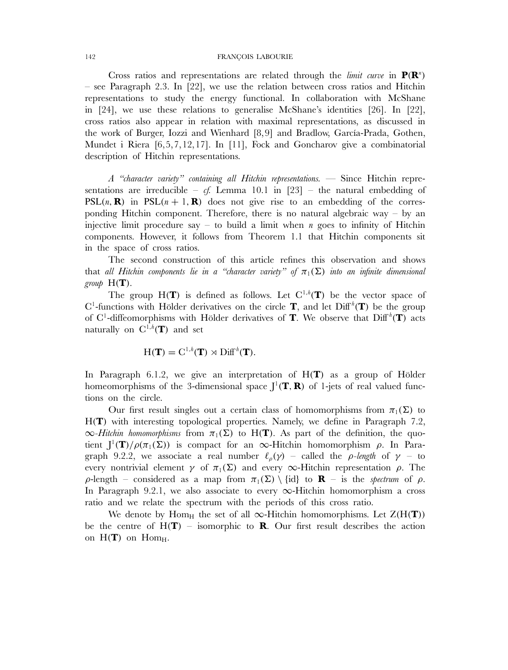#### 142 FRANÇOIS LABOURIE

Cross ratios and representations are related through the *limit curve* in  $P(R^n)$ – see Paragraph 2.3. In [22], we use the relation between cross ratios and Hitchin representations to study the energy functional. In collaboration with McShane in [24], we use these relations to generalise McShane's identities [26]. In [22], cross ratios also appear in relation with maximal representations, as discussed in the work of Burger, Iozzi and Wienhard [8,9] and Bradlow, García-Prada, Gothen, Mundet i Riera [6,5,7,12,17]. In [11], Fock and Goncharov give a combinatorial description of Hitchin representations.

*A "character variety" containing all Hitchin representations.* — Since Hitchin representations are irreducible –  $cf.$  Lemma 10.1 in [23] – the natural embedding of  $PSL(n, \mathbf{R})$  in  $PSL(n + 1, \mathbf{R})$  does not give rise to an embedding of the corresponding Hitchin component. Therefore, there is no natural algebraic way  $-$  by an injective limit procedure say – to build a limit when *n* goes to infinity of Hitchin components. However, it follows from Theorem 1.1 that Hitchin components sit in the space of cross ratios.

The second construction of this article refines this observation and shows that *all Hitchin components lie in a "character variety" of*  $\pi_1(\Sigma)$  *into an infinite dimensional group*  $H(T)$ .

The group  $H(T)$  is defined as follows. Let  $C^{1,h}(T)$  be the vector space of  $C^1$ -functions with Hölder derivatives on the circle **T**, and let  $\text{Diff}^h(\mathbf{T})$  be the group of  $C^1$ -diffeomorphisms with Hölder derivatives of **T**. We observe that  $\text{Diff}^h(\mathbf{T})$  acts naturally on  $\mathrm{C}^{1,h}(\mathbf{T})$  and set

$$
H(\mathbf{T}) = C^{1,h}(\mathbf{T}) \rtimes \text{Diff}^{h}(\mathbf{T}).
$$

In Paragraph 6.1.2, we give an interpretation of H(**T**) as a group of Hölder homeomorphisms of the 3-dimensional space J <sup>1</sup>(**T**, **R**) of 1-jets of real valued functions on the circle.

Our first result singles out a certain class of homomorphisms from  $\pi_1(\Sigma)$  to H(**T**) with interesting topological properties. Namely, we define in Paragraph 7.2,  $\infty$ *-Hitchin homomorphisms* from  $\pi_1(\Sigma)$  to H(**T**). As part of the definition, the quotient  $J^1(T)/\rho(\pi_1(\Sigma))$  is compact for an  $\infty$ -Hitchin homomorphism  $\rho$ . In Paragraph 9.2.2, we associate a real number  $\ell_{\rho}(\gamma)$  – called the *ρ-length* of  $\gamma$  – to every nontrivial element  $\gamma$  of  $\pi_1(\Sigma)$  and every  $\infty$ -Hitchin representation  $\rho$ . The  $\rho$ -length – considered as a map from  $\pi_1(\Sigma) \setminus \{id\}$  to **R** – is the *spectrum* of  $\rho$ . In Paragraph 9.2.1, we also associate to every  $\infty$ -Hitchin homomorphism a cross ratio and we relate the spectrum with the periods of this cross ratio.

We denote by Hom<sub>H</sub> the set of all  $\infty$ -Hitchin homomorphisms. Let  $Z(H(\mathbf{T}))$ be the centre of  $H(T)$  – isomorphic to **R**. Our first result describes the action on  $H(T)$  on  $Hom_H$ .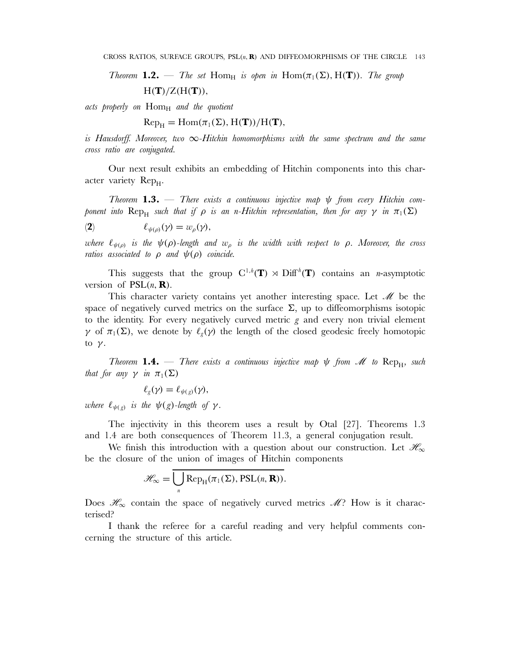*Theorem* **1.2.** — *The set* Hom<sub>H</sub> *is open in* Hom $(\pi_1(\Sigma), H(\mathbf{T}))$ *. The group*  $H(T)/Z(H(T)),$ 

*acts properly on*  $Hom_H$  *and the quotient* 

 $\text{Rep}_{H} = \text{Hom}(\pi_1(\Sigma), H(\mathbf{T}))/H(\mathbf{T}),$ 

*is Hausdorff. Moreover, two* ∞*-Hitchin homomorphisms with the same spectrum and the same cross ratio are conjugated.*

Our next result exhibits an embedding of Hitchin components into this character variety Rep<sub>H</sub>.

*Theorem* **1.3.** — *There exists a continuous injective map* ψ *from every Hitchin component into*  $\text{Rep}_{H}$  *such that if*  $\rho$  *is an n-Hitchin representation, then for any*  $\gamma$  *in*  $\pi_1(\Sigma)$ 

(2)  $\ell_{\psi(\rho)}(\gamma) = w_{\rho}(\gamma),$ 

*where*  $\ell_{\psi(\rho)}$  *is the*  $\psi(\rho)$ -length and  $w_{\rho}$  *is the width with respect to*  $\rho$ *. Moreover, the cross ratios associated to*  $\rho$  *and*  $\psi(\rho)$  *coincide.* 

This suggests that the group  $C^{1,h}(\mathbf{T}) \rtimes \mathrm{Diff}^h(\mathbf{T})$  contains an *n*-asymptotic version of  $PSL(n, \mathbf{R})$ .

This character variety contains yet another interesting space. Let  $\mathcal M$  be the space of negatively curved metrics on the surface  $\Sigma$ , up to diffeomorphisms isotopic to the identity. For every negatively curved metric  $g$  and every non trivial element γ of  $\pi_1(\Sigma)$ , we denote by  $\ell_g(\gamma)$  the length of the closed geodesic freely homotopic to  $\nu$ .

*Theorem* **1.4.** — *There exists a continuous injective map*  $\psi$  *from*  $\mathcal{M}$  to  $\text{Rep}_{H}$ *, such that for any*  $\gamma$  *in*  $\pi_1(\Sigma)$ 

$$
\ell_g(\gamma) = \ell_{\psi(g)}(\gamma),
$$

*where*  $\ell_{\psi(g)}$  *is the*  $\psi(g)$ *-length of*  $\gamma$ *.* 

The injectivity in this theorem uses a result by Otal [27]. Theorems 1.3 and 1.4 are both consequences of Theorem 11.3, a general conjugation result.

We finish this introduction with a question about our construction. Let  $\mathscr{H}_{\infty}$ be the closure of the union of images of Hitchin components

$$
\mathscr{H}_{\infty} = \overline{\bigcup_{n} \text{Rep}_{H}(\pi_1(\Sigma), \text{PSL}(n, \mathbf{R}))}.
$$

Does  $\mathcal{H}_{\infty}$  contain the space of negatively curved metrics  $\mathcal{M}$ ? How is it characterised?

I thank the referee for a careful reading and very helpful comments concerning the structure of this article.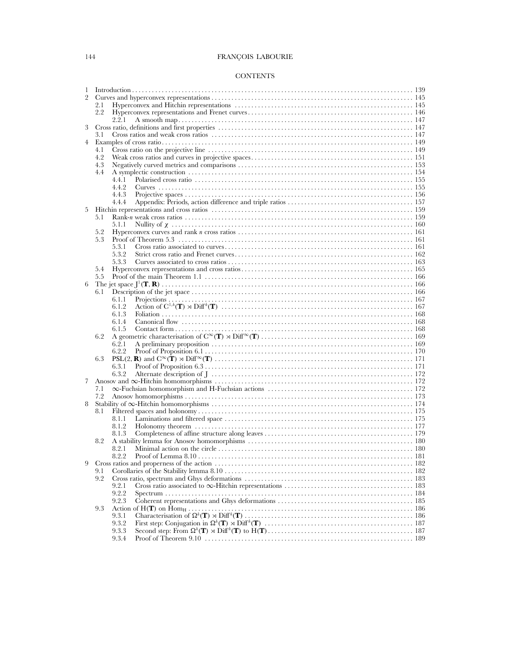# 144 FRANÇOIS LABOURIE

# **CONTENTS**

| 1              |     |                                                                                                                              |  |  |
|----------------|-----|------------------------------------------------------------------------------------------------------------------------------|--|--|
| $\overline{2}$ |     |                                                                                                                              |  |  |
|                | 2.1 |                                                                                                                              |  |  |
|                | 2.2 |                                                                                                                              |  |  |
|                |     | 2.2.1                                                                                                                        |  |  |
| 3              |     |                                                                                                                              |  |  |
|                | 3.1 |                                                                                                                              |  |  |
| $4^{\circ}$    |     |                                                                                                                              |  |  |
|                | 4.1 |                                                                                                                              |  |  |
|                | 4.2 |                                                                                                                              |  |  |
|                | 4.3 |                                                                                                                              |  |  |
|                | 4.4 |                                                                                                                              |  |  |
|                |     | 4.4.1                                                                                                                        |  |  |
|                |     | 4.4.2                                                                                                                        |  |  |
|                |     | 4.4.3                                                                                                                        |  |  |
|                |     | 4.4.4                                                                                                                        |  |  |
| 5              |     |                                                                                                                              |  |  |
|                | 5.1 |                                                                                                                              |  |  |
|                |     | 5.1.1                                                                                                                        |  |  |
|                | 5.2 |                                                                                                                              |  |  |
|                | 5.3 |                                                                                                                              |  |  |
|                |     | 5.3.1                                                                                                                        |  |  |
|                |     | 5.3.2                                                                                                                        |  |  |
|                |     | 5.3.3                                                                                                                        |  |  |
|                | 5.4 |                                                                                                                              |  |  |
|                | 5.5 |                                                                                                                              |  |  |
| 6              |     |                                                                                                                              |  |  |
|                | 6.1 |                                                                                                                              |  |  |
|                |     | 6.1.1                                                                                                                        |  |  |
|                |     | 6.1.2<br>6.1.3                                                                                                               |  |  |
|                |     | 6.1.4                                                                                                                        |  |  |
|                |     | 6.1.5                                                                                                                        |  |  |
|                | 6.2 |                                                                                                                              |  |  |
|                |     | 6.2.1                                                                                                                        |  |  |
|                |     | 6.2.2                                                                                                                        |  |  |
|                | 6.3 |                                                                                                                              |  |  |
|                |     | 6.3.1                                                                                                                        |  |  |
|                |     | 6.3.2                                                                                                                        |  |  |
| 7              |     |                                                                                                                              |  |  |
|                | 7.1 |                                                                                                                              |  |  |
|                | 7.2 |                                                                                                                              |  |  |
| 8              |     |                                                                                                                              |  |  |
|                | 8.1 |                                                                                                                              |  |  |
|                |     | 8.1.1                                                                                                                        |  |  |
|                |     | 8.1.2                                                                                                                        |  |  |
|                |     | 8.1.3                                                                                                                        |  |  |
|                | 8.2 |                                                                                                                              |  |  |
|                |     | 8.2.1                                                                                                                        |  |  |
|                |     |                                                                                                                              |  |  |
| 9              |     |                                                                                                                              |  |  |
|                | 9.1 |                                                                                                                              |  |  |
|                | 9.2 |                                                                                                                              |  |  |
|                |     | 9.2.1                                                                                                                        |  |  |
|                |     | 9.2.2                                                                                                                        |  |  |
|                |     | 9.2.3                                                                                                                        |  |  |
|                | 9.3 |                                                                                                                              |  |  |
|                |     | 9.3.1                                                                                                                        |  |  |
|                |     | 9.3.2                                                                                                                        |  |  |
|                |     | 9.3.3                                                                                                                        |  |  |
|                |     | 9.3.4<br>Proof of Theorem 9.10 $\dots\dots\dots\dots\dots\dots\dots\dots\dots\dots\dots\dots\dots\dots\dots\dots\dots$ . 189 |  |  |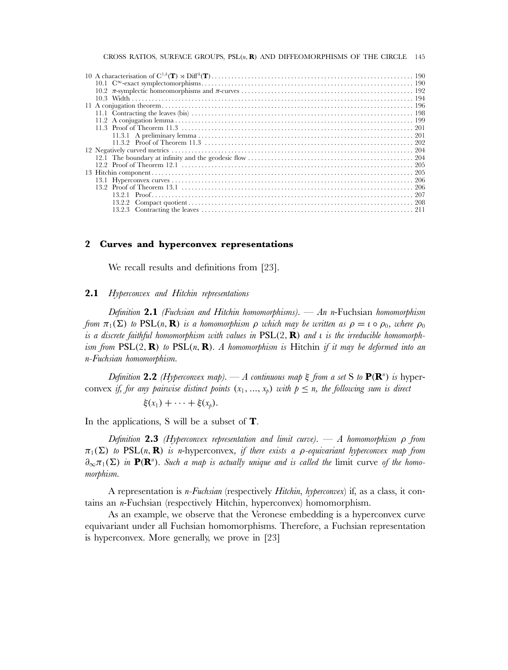#### CROSS RATIOS, SURFACE GROUPS, PSL(n, **R**) AND DIFFEOMORPHISMS OF THE CIRCLE 145

### **2 Curves and hyperconvex representations**

We recall results and definitions from [23].

## **2.1** *Hyperconvex and Hitchin representations*

*Definition* **2.1** *(Fuchsian and Hitchin homomorphisms).* — *An* n-Fuchsian *homomorphism from*  $\pi_1(\Sigma)$  *to*  $PSL(n, \mathbf{R})$  *is a homomorphism*  $\rho$  *which may be written as*  $\rho = \iota \circ \rho_0$ *, where*  $\rho_0$ *is a discrete faithful homomorphism with values in* PSL(2, **R**) *and* ι *is the irreducible homomorphism from* PSL(2, **R**) *to* PSL(n, **R**)*. A homomorphism is* Hitchin *if it may be deformed into an* n*-Fuchsian homomorphism.*

*Definition* **2.2** *(Hyperconvex map).* — *A continuous map* ξ *from a set* S *to* **P**(**R**<sup>n</sup> ) *is* hyperconvex *if, for any pairwise distinct points*  $(x_1, ..., x_p)$  *with*  $p \leq n$ *, the following sum is direct* 

$$
\xi(x_1)+\cdots+\xi(x_p).
$$

In the applications, S will be a subset of **T**.

*Definition* **2.3** *(Hyperconvex representation and limit curve).* — *A homomorphism* ρ *from*  $\pi_1(\Sigma)$  *to* PSL(n, **R**) *is* n-hyperconvex, *if there exists a p-equivariant hyperconvex map from*  $\partial_{\infty}\pi_1(\Sigma)$  *in* **P(R**<sup>n</sup>). Such a map is actually unique and is called the limit curve of the homo*morphism.*

A representation is n*-Fuchsian* (respectively *Hitchin*, *hyperconvex*) if, as a class, it contains an n-Fuchsian (respectively Hitchin, hyperconvex) homomorphism.

As an example, we observe that the Veronese embedding is a hyperconvex curve equivariant under all Fuchsian homomorphisms. Therefore, a Fuchsian representation is hyperconvex. More generally, we prove in [23]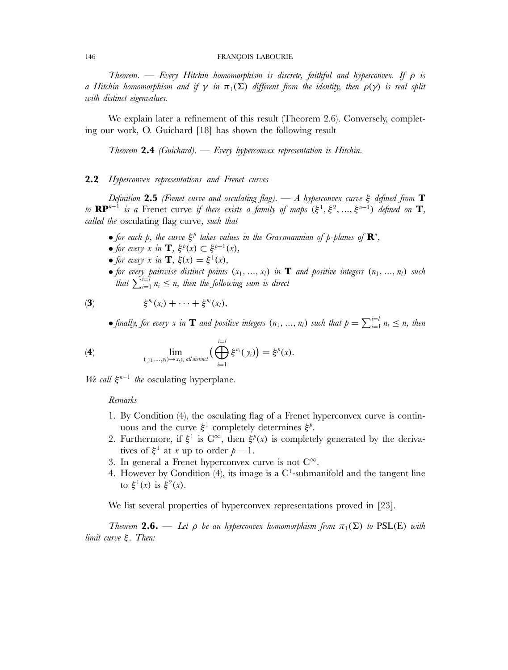#### 146 FRANÇOIS LABOURIE

*Theorem.* — *Every Hitchin homomorphism is discrete, faithful and hyperconvex. If* ρ *is a Hitchin homomorphism and if*  $\gamma$  *in*  $\pi_1(\Sigma)$  *different from the identity, then*  $\rho(\gamma)$  *is real split with distinct eigenvalues.*

We explain later a refinement of this result (Theorem 2.6). Conversely, completing our work, O. Guichard [18] has shown the following result

*Theorem* **2.4** *(Guichard).* — *Every hyperconvex representation is Hitchin.*

# **2.2** *Hyperconvex representations and Frenet curves*

*Definition* **2.5** *(Frenet curve and osculating flag).* — *A hyperconvex curve* ξ *defined from* **T** *to*  $\mathbf{RP}^{n-1}$  *is a* Frenet curve *if there exists a family of maps*  $(\xi^1, \xi^2, ..., \xi^{n-1})$  *defined on* **T***, called the* osculating flag curve*, such that*

- for each p, the curve  $\xi^p$  takes values in the Grassmannian of p-planes of  $\mathbb{R}^n$ ,
- *for every*  $x$  *in* **T***,*  $\xi^p(x) \subset \xi^{p+1}(x)$ *,*
- *for every* x *in* **T**,  $\xi(x) = \xi^1(x)$ ,
- for every pairwise distinct points  $(x_1, ..., x_l)$  in **T** and positive integers  $(n_1, ..., n_l)$  such that  $\sum_{i=1}^{i=l} n_i \leq n$ , then the following sum is direct

$$
\qquad \qquad (\mathbf{3}) \qquad \qquad \xi^{n_i}(x_i) + \cdots + \xi^{n_l}(x_l),
$$

• finally, for every x in **T** and positive integers  $(n_1, ..., n_l)$  such that  $p = \sum_{i=1}^{i=l} n_i \leq n$ , then

(4) 
$$
\lim_{(y_1,...,y_l)\to x,y_i \text{ all distinct}} \left(\bigoplus_{i=1}^{i=l} \xi^{n_i}(y_i)\right) = \xi^p(x).
$$

*We call*  $ξ<sup>n−1</sup>$  *the* osculating hyperplane.

### *Remarks*

- 1. By Condition (4), the osculating flag of a Frenet hyperconvex curve is continuous and the curve  $\xi^1$  completely determines  $\xi^p$ .
- 2. Furthermore, if  $\xi^1$  is  $C^{\infty}$ , then  $\xi^p(x)$  is completely generated by the derivatives of  $\xi^1$  at x up to order  $p-1$ .
- 3. In general a Frenet hyperconvex curve is not  $C^{\infty}$ .
- 4. However by Condition (4), its image is a  $C^1$ -submanifold and the tangent line to  $\xi^1(x)$  is  $\xi^2(x)$ .

We list several properties of hyperconvex representations proved in [23].

*Theorem* **2.6.** — Let  $\rho$  be an hyperconvex homomorphism from  $\pi_1(\Sigma)$  to PSL(E) with *limit curve* ξ*. Then:*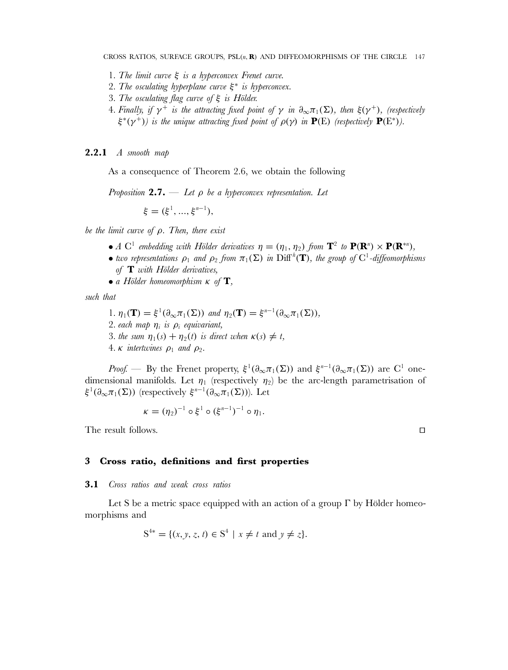- 1*. The limit curve* ξ *is a hyperconvex Frenet curve.*
- 2*. The osculating hyperplane curve* ξ<sup>∗</sup> *is hyperconvex.*
- 3*. The osculating flag curve of* ξ *is Hölder.*
- 4*. Finally, if*  $\gamma^+$  *is the attracting fixed point of*  $\gamma$  *in*  $\partial_{\infty} \pi_1(\Sigma)$ *, then*  $\xi(\gamma^+)$ *, (respectively*  $\xi^*(\gamma^+)$  is the unique attracting fixed point of  $\rho(\gamma)$  in  $P(E)$  (respectively  $P(E^*)$ ).

**2.2.1** *A smooth map*

As a consequence of Theorem 2.6, we obtain the following

*Proposition* **2.7.** — *Let* ρ *be a hyperconvex representation. Let*

 $\xi = (\xi^1, ..., \xi^{n-1}),$ 

*be the limit curve of* ρ*. Then, there exist*

- *A*  $C^1$  *embedding with Hölder derivatives*  $\eta = (\eta_1, \eta_2)$  *from*  $T^2$  *to*  $P(R^n) \times P(R^{*n})$ *,*
- *two representations*  $\rho_1$  *and*  $\rho_2$  *from*  $\pi_1(\Sigma)$  *in* Diff<sup>*h*</sup>(**T**)*, the group of* C<sup>1</sup>-diffeomorphisms *of* **T** *with Hölder derivatives,*
- *a Hölder homeomorphism* κ *of* **T***,*

*such that*

*.*  $\eta_1(\mathbf{T}) = \xi^1(\partial_\infty \pi_1(\Sigma))$  *and*  $\eta_2(\mathbf{T}) = \xi^{n-1}(\partial_\infty \pi_1(\Sigma)),$ *. each map*  $\eta_i$  *is*  $\rho_i$  *equivariant, . the sum*  $\eta_1(s) + \eta_2(t)$  *is direct when*  $\kappa(s) \neq t$ , *.*  $\kappa$  *intertwines*  $\rho_1$  *and*  $\rho_2$ *.* 

*Proof.* — By the Frenet property,  $\xi^1(\partial_\infty \pi_1(\Sigma))$  and  $\xi^{n-1}(\partial_\infty \pi_1(\Sigma))$  are C<sup>1</sup> onedimensional manifolds. Let  $\eta_1$  (respectively  $\eta_2$ ) be the arc-length parametrisation of  $\xi^1(\partial_\infty\pi_1(\Sigma))$  (respectively  $\xi^{n-1}(\partial_\infty\pi_1(\Sigma))$ ). Let

$$
\kappa = (\eta_2)^{-1} \circ \xi^1 \circ (\xi^{n-1})^{-1} \circ \eta_1.
$$

The result follows.

# **3 Cross ratio, definitions and first properties**

#### **3.1** *Cross ratios and weak cross ratios*

Let S be a metric space equipped with an action of a group Γ by Hölder homeomorphisms and

$$
S^{4*} = \{ (x, y, z, t) \in S^4 \mid x \neq t \text{ and } y \neq z \}.
$$

 $\Box$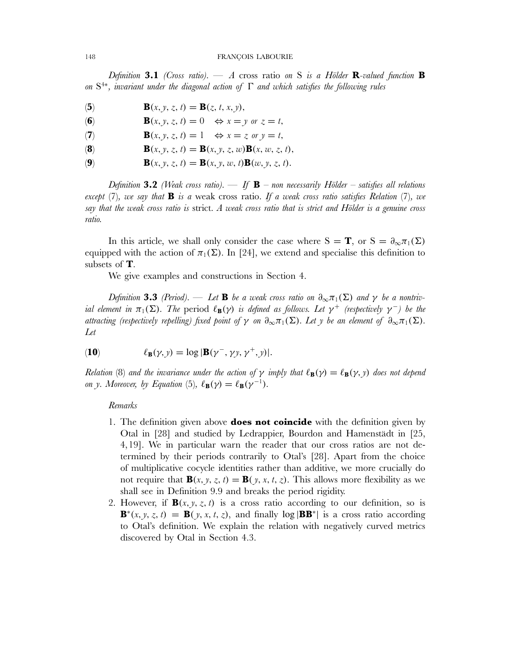#### 148 FRANÇOIS LABOURIE

*Definition* **3.1** *(Cross ratio).* — *A* cross ratio *on* S *is a Hölder* **R***-valued function* **B** *on* S<sup>4</sup><sup>∗</sup>*, invariant under the diagonal action of* Γ *and which satisfies the following rules*

- (5) **B**(*x*, *y*, *z*, *t*) = **B**(*z*, *t*, *x*, *y*),
- **(6) B**(*x*, *y*, *z*, *t*) = 0  $\Leftrightarrow$  *x* = *y or z* = *t*,
- (**7**) **B**(*x*, *y*, *z*, *t*) = 1  $\Leftrightarrow$  *x* = *z or y* = *t*,
- **(8) B**(x, y, z, t) = **B**(x, y, z, w)**B**(x, w, z, t),
- (**9**) **B**(*x*, *y*, *z*, *t*) = **B**(*x*, *y*, *w*, *t*)**B**(*w*, *y*, *z*, *t*).

*Definition* **3.2** *(Weak cross ratio).* — *If* **B** *– non necessarily Hölder – satisfies all relations except* (7)*, we say that* **B** *is a* weak cross ratio*. If a weak cross ratio satisfies Relation* (7)*, we say that the weak cross ratio is* strict*. A weak cross ratio that is strict and Hölder is a genuine cross ratio.*

In this article, we shall only consider the case where  $S = T$ , or  $S = \partial_{\infty} \pi_1(\Sigma)$ equipped with the action of  $\pi_1(\Sigma)$ . In [24], we extend and specialise this definition to subsets of **T**.

We give examples and constructions in Section 4.

*Definition* **3.3** *(Period).* — *Let* **B** *be a weak cross ratio on*  $\partial_{\infty}\pi_1(\Sigma)$  *and*  $\gamma$  *be a nontrivial element in*  $\pi_1(\Sigma)$ *. The* period  $\ell_{\mathbf{B}}(\gamma)$  *is defined as follows. Let*  $\gamma^+$  *(respectively*  $\gamma^-$ *) be the attracting (respectively repelling) fixed point of*  $\gamma$  *on*  $\partial_{\infty}\pi_1(\Sigma)$ *. Let* y *be an element of*  $\partial_{\infty}\pi_1(\Sigma)$ *. Let*

(10) 
$$
\ell_{\mathbf{B}}(\gamma, y) = \log |\mathbf{B}(\gamma^-, \gamma y, \gamma^+, y)|.
$$

*Relation* (8) *and the invariance under the action of*  $\gamma$  *imply that*  $\ell_{\mathbf{B}}(\gamma) = \ell_{\mathbf{B}}(\gamma, y)$  *does not depend on* y*. Moreover, by Equation* (5),  $\ell_{\mathbf{B}}(\gamma) = \ell_{\mathbf{B}}(\gamma^{-1})$ *.* 

#### *Remarks*

- 1. The definition given above **does not coincide** with the definition given by Otal in [28] and studied by Ledrappier, Bourdon and Hamenstädt in [25, 4,19]. We in particular warn the reader that our cross ratios are not determined by their periods contrarily to Otal's [28]. Apart from the choice of multiplicative cocycle identities rather than additive, we more crucially do not require that  $\mathbf{B}(x, y, z, t) = \mathbf{B}(y, x, t, z)$ . This allows more flexibility as we shall see in Definition 9.9 and breaks the period rigidity.
- 2. However, if  $\mathbf{B}(x, y, z, t)$  is a cross ratio according to our definition, so is **B**<sup>\*</sup>(x, y, z, t) = **B**(y, x, t, z), and finally  $\log |\mathbf{BB}^*|$  is a cross ratio according to Otal's definition. We explain the relation with negatively curved metrics discovered by Otal in Section 4.3.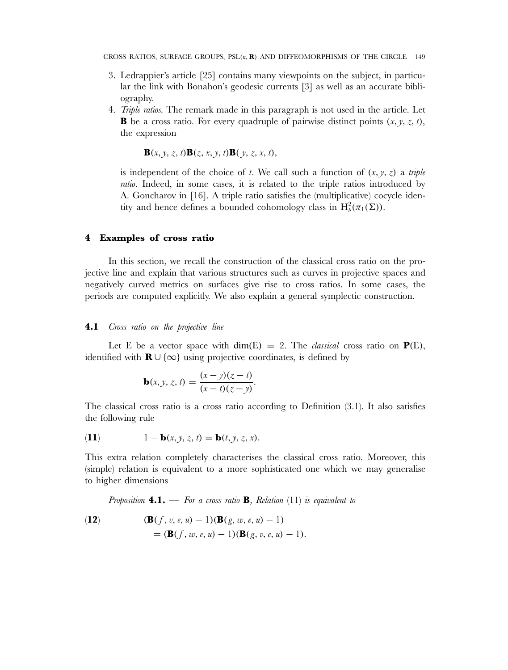- 3. Ledrappier's article [25] contains many viewpoints on the subject, in particular the link with Bonahon's geodesic currents [3] as well as an accurate bibliography.
- 4. *Triple ratios.* The remark made in this paragraph is not used in the article. Let **B** be a cross ratio. For every quadruple of pairwise distinct points  $(x, y, z, t)$ , the expression

 $\mathbf{B}(x, y, z, t) \mathbf{B}(z, x, y, t) \mathbf{B}(y, z, x, t),$ 

is independent of the choice of t. We call such a function of  $(x, y, z)$  a *triple ratio*. Indeed, in some cases, it is related to the triple ratios introduced by A. Goncharov in [16]. A triple ratio satisfies the (multiplicative) cocycle identity and hence defines a bounded cohomology class in  $H_b^2(\pi_1(\Sigma))$ .

# **4 Examples of cross ratio**

In this section, we recall the construction of the classical cross ratio on the projective line and explain that various structures such as curves in projective spaces and negatively curved metrics on surfaces give rise to cross ratios. In some cases, the periods are computed explicitly. We also explain a general symplectic construction.

# **4.1** *Cross ratio on the projective line*

Let E be a vector space with  $dim(E) = 2$ . The *classical* cross ratio on  $P(E)$ , identified with **R** ∪ {∞} using projective coordinates, is defined by

$$
\mathbf{b}(x, y, z, t) = \frac{(x - y)(z - t)}{(x - t)(z - y)}.
$$

The classical cross ratio is a cross ratio according to Definition (3.1). It also satisfies the following rule

(11) 
$$
1 - \mathbf{b}(x, y, z, t) = \mathbf{b}(t, y, z, x).
$$

This extra relation completely characterises the classical cross ratio. Moreover, this (simple) relation is equivalent to a more sophisticated one which we may generalise to higher dimensions

*Proposition* **4.1.** — *For a cross ratio* **B***, Relation* (11) *is equivalent to*

(12) 
$$
(\mathbf{B}(f, v, e, u) - 1)(\mathbf{B}(g, w, e, u) - 1) = (\mathbf{B}(f, w, e, u) - 1)(\mathbf{B}(g, v, e, u) - 1).
$$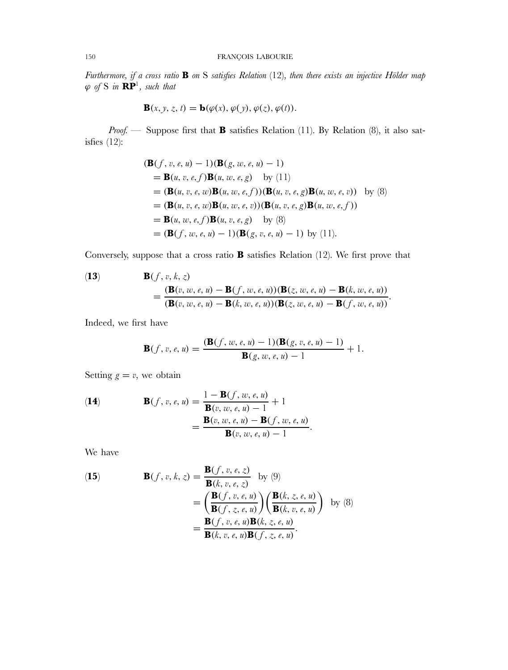*Furthermore, if a cross ratio* **B** *on* S *satisfies Relation* (12)*, then there exists an injective Hölder map*  $\varphi$  of S in  $\mathbb{RP}^1$ , such that

$$
\mathbf{B}(x, y, z, t) = \mathbf{b}(\varphi(x), \varphi(y), \varphi(z), \varphi(t)).
$$

*Proof.* — Suppose first that **B** satisfies Relation (11). By Relation (8), it also satisfies (12):

$$
(\mathbf{B}(f, v, e, u) - 1)(\mathbf{B}(g, w, e, u) - 1)
$$
  
=  $\mathbf{B}(u, v, e, f)\mathbf{B}(u, w, e, g)$  by (11)  
=  $(\mathbf{B}(u, v, e, w)\mathbf{B}(u, w, e, f))(\mathbf{B}(u, v, e, g)\mathbf{B}(u, w, e, v))$  by (8)  
=  $(\mathbf{B}(u, v, e, w)\mathbf{B}(u, w, e, v))(\mathbf{B}(u, v, e, g)\mathbf{B}(u, w, e, f))$   
=  $\mathbf{B}(u, w, e, f)\mathbf{B}(u, v, e, g)$  by (8)  
=  $(\mathbf{B}(f, w, e, u) - 1)(\mathbf{B}(g, v, e, u) - 1)$  by (11).

Conversely, suppose that a cross ratio **B** satisfies Relation (12). We first prove that

(13)  
\n
$$
\mathbf{B}(f, v, k, z) = \frac{(\mathbf{B}(v, w, e, u) - \mathbf{B}(f, w, e, u))(\mathbf{B}(z, w, e, u) - \mathbf{B}(k, w, e, u))}{(\mathbf{B}(v, w, e, u) - \mathbf{B}(k, w, e, u))(\mathbf{B}(z, w, e, u) - \mathbf{B}(f, w, e, u))}.
$$

Indeed, we first have

$$
\mathbf{B}(f, v, e, u) = \frac{(\mathbf{B}(f, w, e, u) - 1)(\mathbf{B}(g, v, e, u) - 1)}{\mathbf{B}(g, w, e, u) - 1} + 1.
$$

Setting  $g = v$ , we obtain

(14)  
\n
$$
\mathbf{B}(f, v, e, u) = \frac{1 - \mathbf{B}(f, w, e, u)}{\mathbf{B}(v, w, e, u) - 1} + 1
$$
\n
$$
= \frac{\mathbf{B}(v, w, e, u) - \mathbf{B}(f, w, e, u)}{\mathbf{B}(v, w, e, u) - 1}.
$$

We have

(15) 
$$
\mathbf{B}(f, v, k, z) = \frac{\mathbf{B}(f, v, e, z)}{\mathbf{B}(k, v, e, z)} \text{ by (9)}\n= \left(\frac{\mathbf{B}(f, v, e, u)}{\mathbf{B}(f, z, e, u)}\right) \left(\frac{\mathbf{B}(k, z, e, u)}{\mathbf{B}(k, v, e, u)}\right) \text{ by (8)}\n= \frac{\mathbf{B}(f, v, e, u)\mathbf{B}(k, z, e, u)}{\mathbf{B}(k, v, e, u)\mathbf{B}(f, z, e, u)}.
$$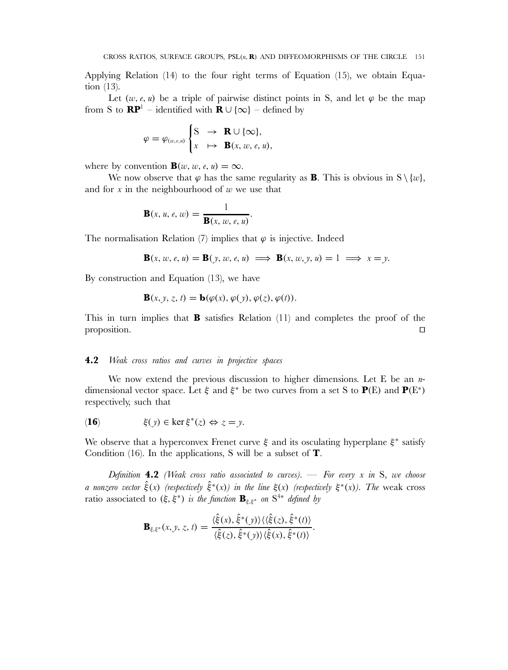Applying Relation (14) to the four right terms of Equation (15), we obtain Equation (13).

Let  $(w, e, u)$  be a triple of pairwise distinct points in S, and let  $\varphi$  be the map from S to  $\mathbb{RP}^1$  – identified with  $\mathbb{R} \cup \{\infty\}$  – defined by

$$
\varphi = \varphi_{(w,e,u)} \begin{cases} S & \to \mathbf{R} \cup \{\infty\}, \\ x & \mapsto \mathbf{B}(x,w,e,u), \end{cases}
$$

where by convention **B**(w, w, e, u) =  $\infty$ .

We now observe that  $\varphi$  has the same regularity as **B**. This is obvious in  $S \setminus \{w\}$ , and for  $x$  in the neighbourhood of  $w$  we use that

$$
\mathbf{B}(x, u, e, w) = \frac{1}{\mathbf{B}(x, w, e, u)}.
$$

The normalisation Relation (7) implies that  $\varphi$  is injective. Indeed

$$
\mathbf{B}(x, w, e, u) = \mathbf{B}(y, w, e, u) \implies \mathbf{B}(x, w, y, u) = 1 \implies x = y.
$$

By construction and Equation (13), we have

$$
\mathbf{B}(x, y, z, t) = \mathbf{b}(\varphi(x), \varphi(y), \varphi(z), \varphi(t)).
$$

This in turn implies that **B** satisfies Relation (11) and completes the proof of the proposition.  $\Box$ 

# **4.2** *Weak cross ratios and curves in projective spaces*

We now extend the previous discussion to higher dimensions. Let E be an  $n$ dimensional vector space. Let  $\xi$  and  $\xi^*$  be two curves from a set S to **P**(E) and **P**(E<sup>\*</sup>) respectively, such that

(16) 
$$
\xi(y) \in \ker \xi^*(z) \Leftrightarrow z = y.
$$

We observe that a hyperconvex Frenet curve  $\xi$  and its osculating hyperplane  $\xi^*$  satisfy Condition (16). In the applications, S will be a subset of **T**.

*Definition* **4.2** *(Weak cross ratio associated to curves).* — *For every* x *in* S*, we choose a nonzero vector*  $\hat{\xi}(x)$  *(respectively*  $\hat{\xi}^*(x)$ *) in the line*  $\xi(x)$  *(respectively*  $\xi^*(x)$ *). The* weak cross ratio associated to  $(\xi, \xi^*)$  *is the function*  $\mathbf{B}_{\xi, \xi^*}$  *on*  $S^{4*}$  *defined by* 

$$
\mathbf{B}_{\xi,\xi^*}(x,y,z,t)=\frac{\langle \hat{\xi}(x),\hat{\xi}^*(y)\rangle \langle \langle \hat{\xi}(z),\hat{\xi}^*(t)\rangle}{\langle \hat{\xi}(z),\hat{\xi}^*(y)\rangle \langle \hat{\xi}(x),\hat{\xi}^*(t)\rangle}.
$$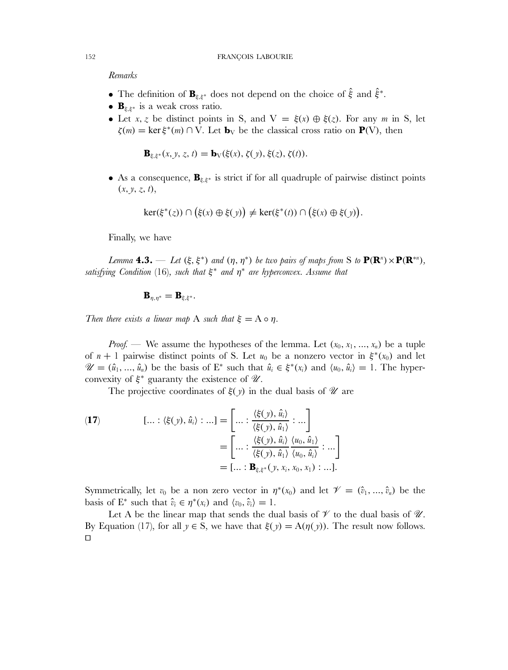*Remarks*

- The definition of  $\mathbf{B}_{\xi,\xi^*}$  does not depend on the choice of  $\hat{\xi}$  and  $\hat{\xi}^*$ .
- **B**ξ,ξ<sup>∗</sup> is a weak cross ratio.
- Let x, z be distinct points in S, and  $V = \xi(x) \oplus \xi(z)$ . For any m in S, let  $\zeta(m) = \ker \xi^*(m) \cap V$ . Let **b**<sub>V</sub> be the classical cross ratio on **P**(V), then

$$
\mathbf{B}_{\xi,\xi^*}(x,y,z,t)=\mathbf{b}_V(\xi(x),\zeta(y),\xi(z),\zeta(t)).
$$

• As a consequence, **B**<sub>ξ,ξ<sup>∗</sup></sub> is strict if for all quadruple of pairwise distinct points  $(x, y, z, t),$ 

$$
\ker(\xi^*(z)) \cap (\xi(x) \oplus \xi(y)) \neq \ker(\xi^*(t)) \cap (\xi(x) \oplus \xi(y)).
$$

Finally, we have

*Lemma* **4.3.** — *Let* ( $\xi, \xi^*$ ) *and*  $(\eta, \eta^*)$  *be two pairs of maps from* S *to*  $P(R^n) \times P(R^{*n})$ , *satisfying Condition* (16)*, such that* ξ<sup>∗</sup> *and* η<sup>∗</sup> *are hyperconvex. Assume that*

$$
\mathbf{B}_{\eta,\eta^*}=\mathbf{B}_{\xi,\xi^*}.
$$

*Then there exists a linear map* A *such that*  $\xi = A \circ \eta$ .

*Proof.* — We assume the hypotheses of the lemma. Let  $(x_0, x_1, ..., x_n)$  be a tuple of  $n + 1$  pairwise distinct points of S. Let  $u_0$  be a nonzero vector in  $\xi^*(x_0)$  and let  $\mathscr{U} = (\hat{u}_1, ..., \hat{u}_n)$  be the basis of  $E^*$  such that  $\hat{u}_i \in \xi^*(x_i)$  and  $\langle u_0, \hat{u}_i \rangle = 1$ . The hyperconvexity of  $\xi^*$  guaranty the existence of  $\mathcal{U}$ .

The projective coordinates of  $\xi(y)$  in the dual basis of  $\mathcal U$  are

(17) 
$$
[\dots : \langle \xi(y), \hat{u}_i \rangle : \dots] = \left[ \dots : \frac{\langle \xi(y), \hat{u}_i \rangle}{\langle \xi(y), \hat{u}_1 \rangle} : \dots \right]
$$

$$
= \left[ \dots : \frac{\langle \xi(y), \hat{u}_i \rangle}{\langle \xi(y), \hat{u}_1 \rangle} \frac{\langle u_0, \hat{u}_1 \rangle}{\langle u_0, \hat{u}_i \rangle} : \dots \right]
$$

$$
= [\dots : \mathbf{B}_{\xi, \xi^*}(y, x_i, x_0, x_1) : \dots].
$$

Symmetrically, let  $v_0$  be a non zero vector in  $\eta^*(x_0)$  and let  $\mathscr{V} = (\hat{v}_1, ..., \hat{v}_n)$  be the basis of  $E^*$  such that  $\hat{v}_i \in \eta^*(x_i)$  and  $\langle v_0, \hat{v}_i \rangle = 1$ .

Let A be the linear map that sends the dual basis of  $\mathcal V$  to the dual basis of  $\mathcal U$ . By Equation (17), for all  $y \in S$ , we have that  $\xi(y) = A(\eta(y))$ . The result now follows.  $\Box$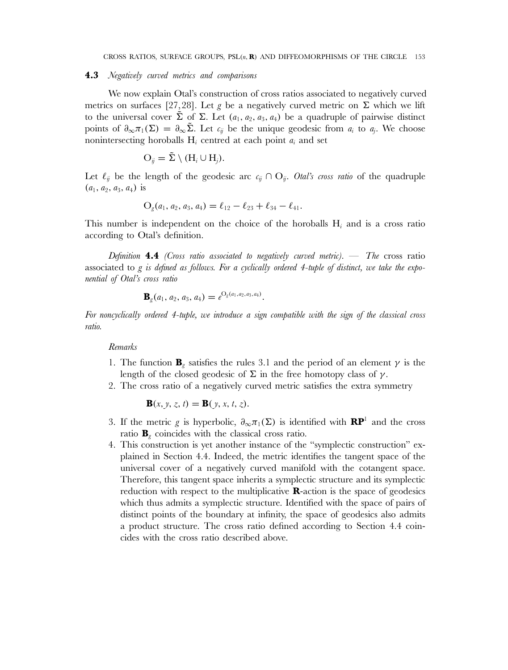#### **4.3** *Negatively curved metrics and comparisons*

We now explain Otal's construction of cross ratios associated to negatively curved metrics on surfaces [27,28]. Let g be a negatively curved metric on  $\Sigma$  which we lift to the universal cover  $\tilde{\Sigma}$  of  $\Sigma$ . Let  $(a_1, a_2, a_3, a_4)$  be a quadruple of pairwise distinct points of  $\partial_{\infty}\pi_1(\Sigma) = \partial_{\infty}\tilde{\Sigma}$ . Let  $c_{ij}$  be the unique geodesic from  $a_i$  to  $a_j$ . We choose nonintersecting horoballs  $H_i$  centred at each point  $a_i$  and set

$$
O_{ij} = \tilde{\Sigma} \setminus (H_i \cup H_j).
$$

Let  $\ell_{ij}$  be the length of the geodesic arc  $c_{ij} \cap O_{ij}$ . *Otal's cross ratio* of the quadruple  $(a_1, a_2, a_3, a_4)$  is

$$
O_g(a_1, a_2, a_3, a_4) = \ell_{12} - \ell_{23} + \ell_{34} - \ell_{41}.
$$

This number is independent on the choice of the horoballs  $H_i$  and is a cross ratio according to Otal's definition.

*Definition* **4.4** *(Cross ratio associated to negatively curved metric).* — *The* cross ratio associated to g *is defined as follows. For a cyclically ordered 4-tuple of distinct, we take the exponential of Otal's cross ratio*

$$
\mathbf{B}_g(a_1, a_2, a_3, a_4) = e^{O_g(a_1, a_2, a_3, a_4)}.
$$

*For noncyclically ordered 4-tuple, we introduce a sign compatible with the sign of the classical cross ratio.*

# *Remarks*

- 1. The function **B**<sub>g</sub> satisfies the rules 3.1 and the period of an element  $\gamma$  is the length of the closed geodesic of  $\Sigma$  in the free homotopy class of  $\gamma$ .
- 2. The cross ratio of a negatively curved metric satisfies the extra symmetry

$$
\mathbf{B}(x, y, z, t) = \mathbf{B}(y, x, t, z).
$$

- 3. If the metric g is hyperbolic,  $\partial_{\infty}\pi_1(\Sigma)$  is identified with **RP**<sup>1</sup> and the cross ratio  $\mathbf{B}_g$  coincides with the classical cross ratio.
- 4. This construction is yet another instance of the "symplectic construction" explained in Section 4.4. Indeed, the metric identifies the tangent space of the universal cover of a negatively curved manifold with the cotangent space. Therefore, this tangent space inherits a symplectic structure and its symplectic reduction with respect to the multiplicative **R**-action is the space of geodesics which thus admits a symplectic structure. Identified with the space of pairs of distinct points of the boundary at infinity, the space of geodesics also admits a product structure. The cross ratio defined according to Section 4.4 coincides with the cross ratio described above.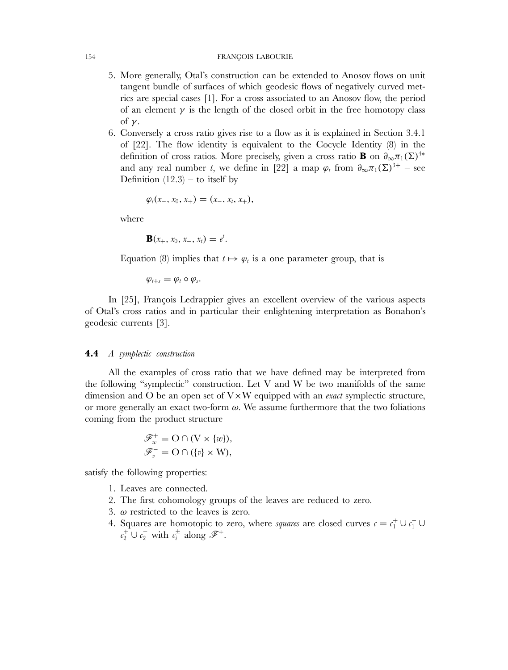#### 154 FRANÇOIS LABOURIE

- 5. More generally, Otal's construction can be extended to Anosov flows on unit tangent bundle of surfaces of which geodesic flows of negatively curved metrics are special cases [1]. For a cross associated to an Anosov flow, the period of an element  $\gamma$  is the length of the closed orbit in the free homotopy class of  $\nu$ .
- 6. Conversely a cross ratio gives rise to a flow as it is explained in Section 3.4.1 of [22]. The flow identity is equivalent to the Cocycle Identity (8) in the definition of cross ratios. More precisely, given a cross ratio **B** on  $\partial_{\infty}\pi_1(\Sigma)^{4*}$ and any real number t, we define in [22] a map  $\varphi_t$  from  $\partial_{\infty} \pi_1(\Sigma)^{3+}$  – see Definition  $(12.3)$  – to itself by

$$
\varphi_t(x_-, x_0, x_+) = (x_-, x_t, x_+),
$$

where

$$
\mathbf{B}(x_+, x_0, x_-, x_t) = e^t.
$$

Equation (8) implies that  $t \mapsto \varphi_t$  is a one parameter group, that is

 $\varphi_{t+s} = \varphi_t \circ \varphi_s$ .

In [25], François Ledrappier gives an excellent overview of the various aspects of Otal's cross ratios and in particular their enlightening interpretation as Bonahon's geodesic currents [3].

# **4.4** *A symplectic construction*

All the examples of cross ratio that we have defined may be interpreted from the following "symplectic" construction. Let  $V$  and  $W$  be two manifolds of the same dimension and O be an open set of V×W equipped with an *exact* symplectic structure, or more generally an exact two-form  $\omega$ . We assume furthermore that the two foliations coming from the product structure

$$
\mathscr{F}_w^+ = \mathcal{O} \cap (\mathcal{V} \times \{w\}),
$$
  

$$
\mathscr{F}_v^- = \mathcal{O} \cap (\{v\} \times \mathcal{W}),
$$

satisfy the following properties:

- 1. Leaves are connected.
- 2. The first cohomology groups of the leaves are reduced to zero.
- 3.  $\omega$  restricted to the leaves is zero.
- 4. Squares are homotopic to zero, where *squares* are closed curves  $c = c_1^+ \cup c_1^- \cup c_2^$  $c_2^+ \cup c_2^-$  with  $c_i^{\pm}$  along  $\mathscr{F}^{\pm}$ .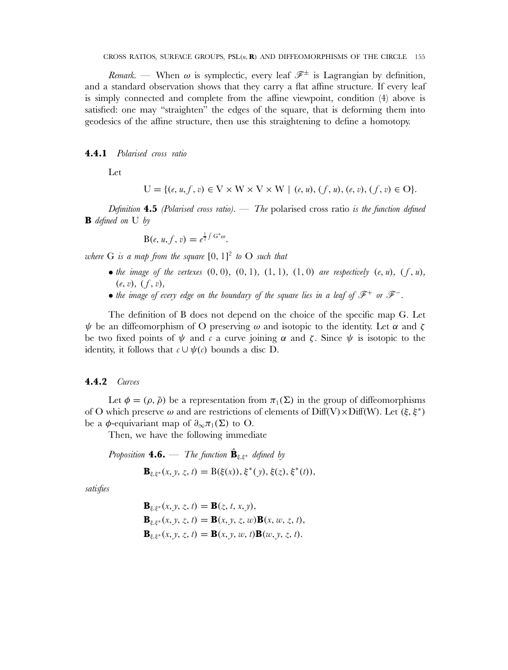*Remark.* — When  $\omega$  is symplectic, every leaf  $\mathscr{F}^{\pm}$  is Lagrangian by definition, and a standard observation shows that they carry a flat affine structure. If every leaf is simply connected and complete from the affine viewpoint, condition (4) above is satisfied: one may "straighten" the edges of the square, that is deforming them into geodesics of the affine structure, then use this straightening to define a homotopy.

**4.4.1** *Polarised cross ratio*

Let

$$
U = \{ (e, u, f, v) \in V \times W \times V \times W \mid (e, u), (f, u), (e, v), (f, v) \in O \}.
$$

*Definition* **4.5** *(Polarised cross ratio).* — *The* polarised cross ratio *is the function defined* **B** *defined on* U *by*

$$
B(e, u, f, v) = e^{\frac{1}{2}\int G^*\omega}.
$$

*where* G *is a map from the square* [0, 1] <sup>2</sup> *to* O *such that*

- *the image of the vertexes*  $(0, 0)$ ,  $(0, 1)$ ,  $(1, 1)$ ,  $(1, 0)$  *are respectively*  $(e, u)$ ,  $(f, u)$ ,  $(e, v)$ ,  $(f, v)$ ,
- *the image of every edge on the boundary of the square lies in a leaf of* F<sup>+</sup> *or* F<sup>−</sup>*.*

The definition of B does not depend on the choice of the specific map G. Let  $\psi$  be an diffeomorphism of O preserving  $\omega$  and isotopic to the identity. Let  $\alpha$  and  $\zeta$ be two fixed points of  $\psi$  and c a curve joining  $\alpha$  and  $\zeta$ . Since  $\psi$  is isotopic to the identity, it follows that  $c \cup \psi(c)$  bounds a disc D.

# **4.4.2** *Curves*

Let  $\phi = (\rho, \bar{\rho})$  be a representation from  $\pi_1(\Sigma)$  in the group of diffeomorphisms of O which preserve  $\omega$  and are restrictions of elements of Diff(V)×Diff(W). Let  $(\xi, \xi^*)$ be a  $\phi$ -equivariant map of  $\partial_{\infty}\pi_1(\Sigma)$  to O.

Then, we have the following immediate

*Proposition* **4.6.** — *The function*  $\hat{\mathbf{B}}_{\xi,\xi^*}$  *defined by* 

$$
\mathbf{B}_{\xi,\xi^*}(x,y,z,t) = \mathrm{B}(\xi(x)), \xi^*(y), \xi(z), \xi^*(t)),
$$

*satisfies*

$$
B\xi, \xi^*}(x, y, z, t) = B(z, t, x, y), \nB\xi, \xi^*}(x, y, z, t) = B(x, y, z, w)B(x, w, z, t), \nB\xi, \xi^*}(x, y, z, t) = B(x, y, w, t)B(w, y, z, t).
$$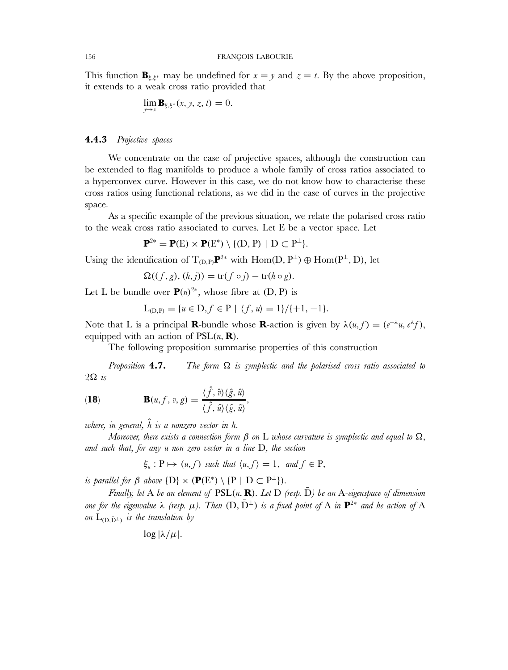This function  $\mathbf{B}_{\xi,\xi^*}$  may be undefined for  $x = y$  and  $z = t$ . By the above proposition, it extends to a weak cross ratio provided that

$$
\lim_{y\to x} \mathbf{B}_{\xi,\xi^*}(x,y,z,t) = 0.
$$

# **4.4.3** *Projective spaces*

We concentrate on the case of projective spaces, although the construction can be extended to flag manifolds to produce a whole family of cross ratios associated to a hyperconvex curve. However in this case, we do not know how to characterise these cross ratios using functional relations, as we did in the case of curves in the projective space.

As a specific example of the previous situation, we relate the polarised cross ratio to the weak cross ratio associated to curves. Let E be a vector space. Let

$$
\mathbf{P}^{2*} = \mathbf{P}(E) \times \mathbf{P}(E^*) \setminus \{ (D, P) \mid D \subset P^{\perp} \}.
$$

Using the identification of  $T_{(D,P)}\mathbf{P}^{2*}$  with  $Hom(D, P^{\perp}) \oplus Hom(P^{\perp}, D)$ , let

$$
\Omega((f,g),(h,j)) = \text{tr}(f \circ j) - \text{tr}(h \circ g).
$$

Let L be bundle over  $P(n)^{2*}$ , whose fibre at (D, P) is

$$
L_{(D,P)} = \{u \in D, f \in P \mid \langle f, u \rangle = 1\} / \{+1, -1\}.
$$

Note that L is a principal **R**-bundle whose **R**-action is given by  $\lambda(u, f) = (e^{-\lambda}u, e^{\lambda}f)$ , equipped with an action of  $PSL(n, \mathbf{R})$ .

The following proposition summarise properties of this construction

*Proposition* **4.7.** — *The form* Ω *is symplectic and the polarised cross ratio associated to* 2Ω *is*

(18) 
$$
\mathbf{B}(u,f,v,g) = \frac{\langle \hat{f}, \hat{v} \rangle \langle \hat{g}, \hat{u} \rangle}{\langle \hat{f}, \hat{u} \rangle \langle \hat{g}, \hat{u} \rangle},
$$

*where, in general,*  $\hat{h}$  *is a nonzero vector in h.* 

*Moreover, there exists a connection form* β *on* L *whose curvature is symplectic and equal to* Ω*, and such that, for any* u *non zero vector in a line* D*, the section*

$$
\xi_u: P \mapsto (u, f) \text{ such that } \langle u, f \rangle = 1, \text{ and } f \in P,
$$

*is parallel for*  $\beta$  *above*  $\{D\} \times (\mathbf{P}(E^*) \setminus \{P \mid D \subset P^{\perp}\}).$ 

*Finally, let* A *be an element of*  $PSL(n, R)$ *. Let* D *(resp. D) be an* A-*eigenspace of dimension one for the eigenvalue*  $\lambda$  *(resp.*  $\mu$ *). Then*  $(D, \bar{D}^{\perp})$  *is a fixed point of* A *in*  $\mathbf{P}^{2*}$  *and he action of* A *on*  $L_{(D, \bar{D}^{\perp})}$  *is the translation by* 

$$
\log |\lambda/\mu|
$$
.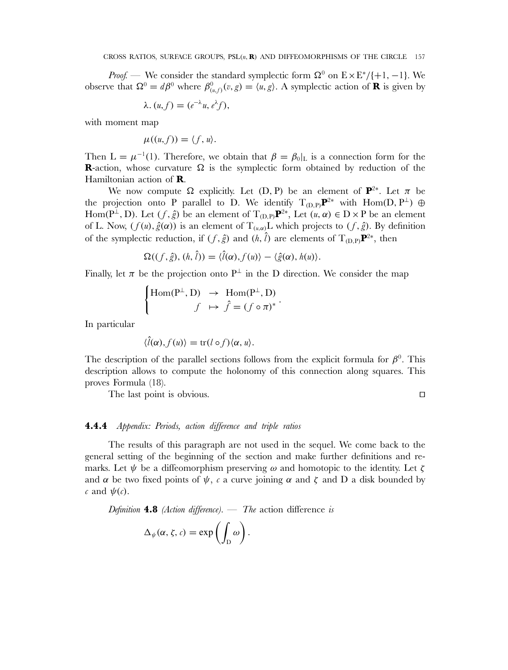*Proof.* — We consider the standard symplectic form  $\Omega^0$  on  $E \times E^* / \{+1, -1\}$ . We observe that  $\Omega^0 = d\beta^0$  where  $\beta^0_{(u,f)}(v,g) = \langle u, g \rangle$ . A symplectic action of **R** is given by

$$
\lambda. (u, f) = (e^{-\lambda}u, e^{\lambda}f),
$$

with moment map

$$
\mu((u,f))=\langle f,u\rangle.
$$

Then  $L = \mu^{-1}(1)$ . Therefore, we obtain that  $\beta = \beta_0|_L$  is a connection form for the **R**-action, whose curvature  $\Omega$  is the symplectic form obtained by reduction of the Hamiltonian action of **R**.

We now compute  $\Omega$  explicitly. Let (D, P) be an element of  $\mathbf{P}^{2*}$ . Let  $\pi$  be the projection onto P parallel to D. We identify  $T_{(D,P)}\mathbf{P}^{2*}$  with Hom(D, P<sup>⊥</sup>) ⊕ Hom( $P^{\perp}$ , D). Let  $(f, \hat{g})$  be an element of  $T_{(D,P)}\mathbf{P}^{2*}$ , Let  $(u, \alpha) \in D \times P$  be an element of L. Now,  $(f(u), \hat{g}(\alpha))$  is an element of  $T_{(u,\alpha)}$ L which projects to  $(f, \hat{g})$ . By definition of the symplectic reduction, if  $(f, \hat{g})$  and  $(h, \hat{l})$  are elements of T<sub>(D,P)</sub> $\mathbf{P}^{2*}$ , then

$$
\Omega((f,\hat{g}), (h,\hat{l})) = \langle \hat{l}(\alpha), f(u) \rangle - \langle \hat{g}(\alpha), h(u) \rangle.
$$

Finally, let  $\pi$  be the projection onto P<sup>⊥</sup> in the D direction. We consider the map

$$
\begin{cases} \text{Hom}(P^{\perp}, D) & \to \text{Hom}(P^{\perp}, D) \\ f & \mapsto \hat{f} = (f \circ \pi)^* \end{cases}
$$

In particular

$$
\langle \hat{l}(\alpha), f(u) \rangle = \text{tr}(l \circ f) \langle \alpha, u \rangle.
$$

The description of the parallel sections follows from the explicit formula for  $\beta^0$ . This description allows to compute the holonomy of this connection along squares. This proves Formula (18).

The last point is obvious.

 $\Box$ 

# **4.4.4** *Appendix: Periods, action difference and triple ratios*

The results of this paragraph are not used in the sequel. We come back to the general setting of the beginning of the section and make further definitions and remarks. Let  $\psi$  be a diffeomorphism preserving  $\omega$  and homotopic to the identity. Let  $\zeta$ and  $\alpha$  be two fixed points of  $\psi$ , c a curve joining  $\alpha$  and  $\zeta$  and D a disk bounded by c and  $\psi(c)$ .

*Definition* **4.8** *(Action difference).* — *The* action difference *is*

$$
\Delta_{\psi}(\alpha,\zeta,c)=\exp\left(\int_{D}\omega\right).
$$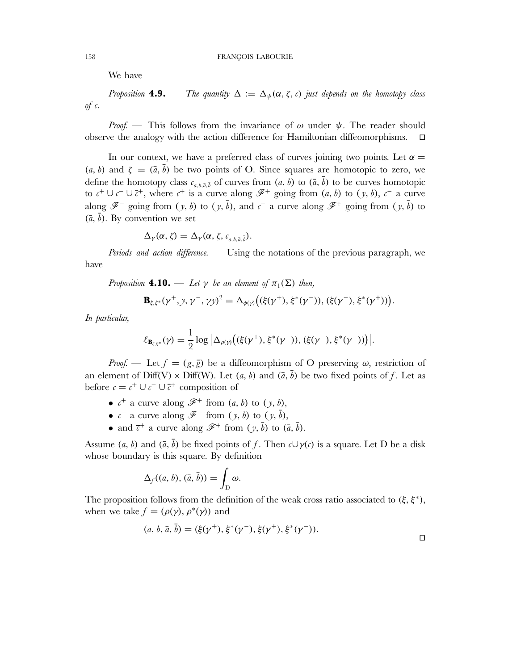We have

*Proposition* **4.9.** — *The quantity*  $\Delta := \Delta_{\psi}(\alpha, \zeta, c)$  *just depends on the homotopy class of* c*.*

*Proof.* — This follows from the invariance of  $\omega$  under  $\psi$ . The reader should observe the analogy with the action difference for Hamiltonian diffeomorphisms.  $\Box$ 

In our context, we have a preferred class of curves joining two points. Let  $\alpha =$ (a, b) and  $\zeta = (\bar{a}, \bar{b})$  be two points of O. Since squares are homotopic to zero, we define the homotopy class  $c_{a,b,\bar{a},\bar{b}}$  of curves from  $(a, b)$  to  $(\bar{a}, \bar{b})$  to be curves homotopic to  $c^+ \cup c^- \cup \overline{c}^+$ , where  $c^+$  is a curve along  $\mathscr{F}^+$  going from  $(a, b)$  to  $(y, b)$ ,  $c^-$  a curve along  $\mathscr{F}^-$  going from  $(y, b)$  to  $(y, \bar{b})$ , and  $c^-$  a curve along  $\mathscr{F}^+$  going from  $(y, \bar{b})$  to  $(\bar{a}, \bar{b})$ . By convention we set

$$
\Delta_{\gamma}(\alpha,\zeta)=\Delta_{\gamma}(\alpha,\zeta,c_{a,b,\bar{a},\bar{b}}).
$$

*Periods and action difference.* — Using the notations of the previous paragraph, we have

*Proposition* **4.10.** — *Let* 
$$
\gamma
$$
 *be an element of*  $\pi_1(\Sigma)$  *then,*  

$$
\mathbf{B}_{\xi, \xi^*}(\gamma^+, y, \gamma^-, \gamma y)^2 = \Delta_{\phi(\gamma)}((\xi(\gamma^+), \xi^*(\gamma^-)), (\xi(\gamma^-), \xi^*(\gamma^+)))
$$

*In particular,*

$$
\ell_{\mathbf{B}_{\xi,\xi^{*}}}(\gamma) = \frac{1}{2} \log \big| \Delta_{\rho(\gamma)} \big( (\xi(\gamma^{+}), \xi^{*}(\gamma^{-})), (\xi(\gamma^{-}), \xi^{*}(\gamma^{+})) \big) \big|.
$$

*Proof.* — Let  $f = (g, \overline{g})$  be a diffeomorphism of O preserving  $\omega$ , restriction of an element of Diff(V)  $\times$  Diff(W). Let  $(a, b)$  and  $(\overline{a}, \overline{b})$  be two fixed points of f. Let as before  $c = c^+ \cup c^- \cup \overline{c}^+$  composition of

- $c^+$  a curve along  $\mathscr{F}^+$  from  $(a, b)$  to  $(y, b)$ ,
- $c^-$  a curve along  $\mathscr{F}^-$  from  $(y, b)$  to  $(y, \bar{b})$ ,
- and  $\bar{c}^+$  a curve along  $\mathscr{F}^+$  from  $(\gamma, \bar{b})$  to  $(\bar{a}, \bar{b})$ .

Assume  $(a, b)$  and  $(\bar{a}, \bar{b})$  be fixed points of f. Then  $c\cup \gamma(c)$  is a square. Let D be a disk whose boundary is this square. By definition

$$
\Delta_f((a, b), (\bar{a}, \bar{b})) = \int_{D} \omega.
$$

The proposition follows from the definition of the weak cross ratio associated to  $(\xi, \xi^*)$ , when we take  $f = (\rho(\gamma), \rho^*(\gamma))$  and

$$
(a, b, \bar{a}, \bar{b}) = (\xi(\gamma^+), \xi^*(\gamma^-), \xi(\gamma^+), \xi^*(\gamma^-)).
$$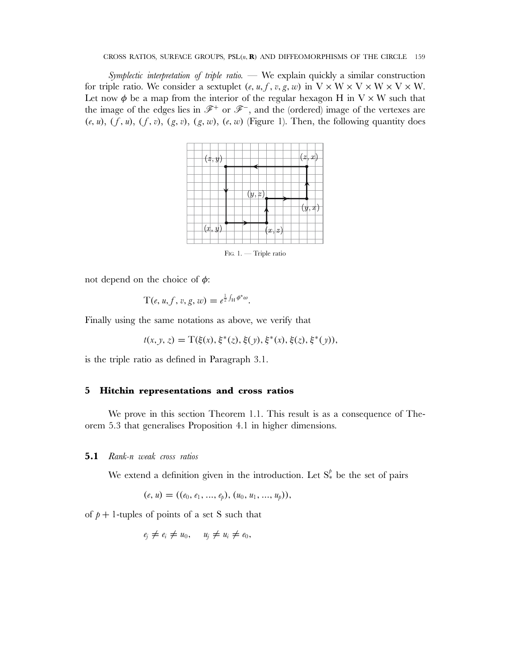*Symplectic interpretation of triple ratio.* — We explain quickly a similar construction for triple ratio. We consider a sextuplet  $(e, u, f, v, g, w)$  in  $V \times W \times V \times W \times V \times W$ . Let now  $\phi$  be a map from the interior of the regular hexagon H in V  $\times$  W such that the image of the edges lies in  $\mathscr{F}^+$  or  $\mathscr{F}^-$ , and the (ordered) image of the vertexes are  $(e, u), (f, u), (f, v), (g, v), (g, w), (e, w)$  (Figure 1). Then, the following quantity does



not depend on the choice of  $\phi$ :

$$
T(e, u, f, v, g, w) = e^{\frac{1}{2} \int_H \phi^* \omega}.
$$

Finally using the same notations as above, we verify that

$$
t(x, y, z) = T(\xi(x), \xi^*(z), \xi(y), \xi^*(x), \xi(z), \xi^*(y)),
$$

is the triple ratio as defined in Paragraph 3.1.

# **5 Hitchin representations and cross ratios**

We prove in this section Theorem 1.1. This result is as a consequence of Theorem 5.3 that generalises Proposition 4.1 in higher dimensions.

### **5.1** *Rank-*n *weak cross ratios*

We extend a definition given in the introduction. Let  $S^{\ell}_*$  be the set of pairs

$$
(e, u) = ((e_0, e_1, ..., e_p), (u_0, u_1, ..., u_p)),
$$

of  $p + 1$ -tuples of points of a set S such that

$$
e_j \neq e_i \neq u_0, \quad u_j \neq u_i \neq e_0,
$$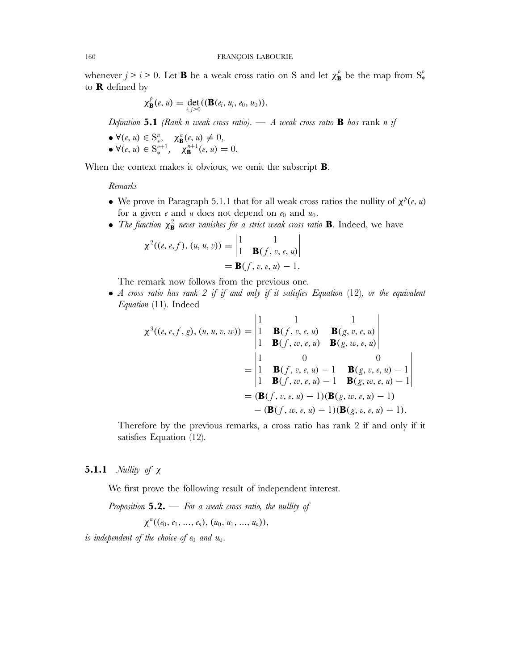whenever  $j>i>0$ . Let **B** be a weak cross ratio on S and let  $\chi_{\mathbf{B}}^{\beta}$  be the map from  $S_{*}^{\beta}$ to **R** defined by

$$
\chi_{\mathbf{B}}^{p}(e, u) = \det_{i,j>0}((\mathbf{B}(e_i, u_j, e_0, u_0)).
$$

*Definition* **5.1** *(Rank-*n *weak cross ratio).* — *A weak cross ratio* **B** *has* rank n *if*

 $\blacktriangleright \blacktriangleleft (e, u) \in \mathcal{S}_{*}^{n}, \quad \chi_{\mathbf{B}}^{n}(e, u) \neq 0,$ •  $\forall (e, u) \in S_*^{n+1}, \quad \chi_{\mathbf{B}}^{n+1}(e, u) = 0.$ 

When the context makes it obvious, we omit the subscript **B**.

*Remarks*

- We prove in Paragraph 5.1.1 that for all weak cross ratios the nullity of  $\chi^{\rho}(e, u)$ for a given  $e$  and  $u$  does not depend on  $e_0$  and  $u_0$ .
- The function  $\chi^2_{\mathbf{B}}$  never vanishes for a strict weak cross ratio **B**. Indeed, we have

$$
\chi^{2}((e, e, f), (u, u, v)) = \begin{vmatrix} 1 & 1 \\ 1 & \mathbf{B}(f, v, e, u) \end{vmatrix}
$$
  
=  $\mathbf{B}(f, v, e, u) - 1$ .

The remark now follows from the previous one.

• *A cross ratio has rank 2 if if and only if it satisfies Equation* (12)*, or the equivalent Equation* (11). Indeed

$$
\chi^{3}((e, e, f, g), (u, u, v, w)) = \begin{vmatrix} 1 & 1 & 1 \\ 1 & \mathbf{B}(f, v, e, u) & \mathbf{B}(g, v, e, u) \\ 1 & \mathbf{B}(f, w, e, u) & \mathbf{B}(g, w, e, u) \end{vmatrix}
$$
  
= 
$$
\begin{vmatrix} 1 & 0 & 0 \\ 1 & \mathbf{B}(f, v, e, u) - 1 & \mathbf{B}(g, v, e, u) - 1 \\ 1 & \mathbf{B}(f, w, e, u) - 1 & \mathbf{B}(g, w, e, u) - 1 \end{vmatrix}
$$
  
= 
$$
(\mathbf{B}(f, v, e, u) - 1)(\mathbf{B}(g, w, e, u) - 1)
$$
  
- 
$$
(\mathbf{B}(f, w, e, u) - 1)(\mathbf{B}(g, v, e, u) - 1).
$$

Therefore by the previous remarks, a cross ratio has rank 2 if and only if it satisfies Equation (12).

# **5.1.1** *Nullity of* χ

We first prove the following result of independent interest.

*Proposition* **5.2.** — *For a weak cross ratio, the nullity of*

$$
\chi^{n}((e_0, e_1, ..., e_n), (u_0, u_1, ..., u_n)),
$$

*is independent of the choice of*  $e_0$  *and*  $u_0$ .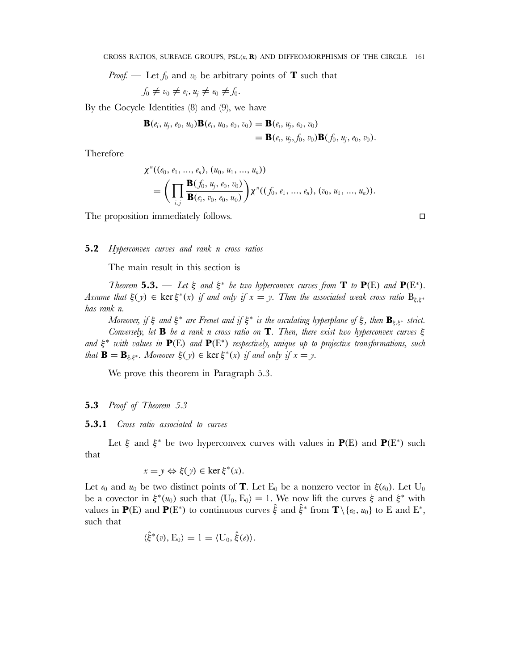*Proof.* — Let  $f_0$  and  $v_0$  be arbitrary points of **T** such that

$$
f_0 \neq v_0 \neq e_i, u_j \neq e_0 \neq f_0.
$$

By the Cocycle Identities (8) and (9), we have

$$
\mathbf{B}(e_i, u_j, e_0, u_0) \mathbf{B}(e_i, u_0, e_0, v_0) = \mathbf{B}(e_i, u_j, e_0, v_0)
$$
  
=  $\mathbf{B}(e_i, u_j, f_0, v_0) \mathbf{B}(f_0, u_j, e_0, v_0)$ .

Therefore

$$
\chi^{n}((e_0, e_1, ..., e_n), (u_0, u_1, ..., u_n))
$$
  
= 
$$
\left(\prod_{i,j} \frac{\mathbf{B}(f_0, u_j, e_0, v_0)}{\mathbf{B}(e_i, v_0, e_0, u_0)}\right) \chi^{n}((f_0, e_1, ..., e_n), (v_0, u_1, ..., u_n)).
$$

The proposition immediately follows.

**5.2** *Hyperconvex curves and rank* n *cross ratios*

The main result in this section is

*Theorem* **5.3.** — *Let*  $\xi$  *and*  $\xi^*$  *be two hyperconvex curves from* **T** *to*  $P(E)$  *and*  $P(E^*)$ *.* Assume that  $\xi(y) \in \ker \xi^*(x)$  *if and only if*  $x = y$ . Then the associated weak cross ratio  $B_{\xi,\xi^*}$ *has rank* n*.*

*Moreover, if* ξ *and* ξ<sup>∗</sup> *are Frenet and if* ξ<sup>∗</sup> *is the osculating hyperplane of* ξ*, then* **B**ξ,ξ<sup>∗</sup> *strict. Conversely, let* **B** *be a rank* n *cross ratio on* **T***. Then, there exist two hyperconvex curves* ξ *and* ξ<sup>∗</sup> *with values in* **P**(E) *and* **P**(E<sup>∗</sup>) *respectively, unique up to projective transformations, such that*  $\mathbf{B} = \mathbf{B}_{\xi, \xi^*}$ *. Moreover*  $\xi(y) \in \text{ker } \xi^*(x)$  *if and only if*  $x = y$ *.* 

We prove this theorem in Paragraph 5.3.

# **5.3** *Proof of Theorem 5.3*

**5.3.1** *Cross ratio associated to curves*

Let  $\xi$  and  $\xi^*$  be two hyperconvex curves with values in **P**(E) and **P**(E<sup>\*</sup>) such that

$$
x = y \Leftrightarrow \xi(y) \in \ker \xi^*(x).
$$

Let  $e_0$  and  $u_0$  be two distinct points of **T**. Let E<sub>0</sub> be a nonzero vector in  $\xi(e_0)$ . Let U<sub>0</sub> be a covector in  $\xi^*(u_0)$  such that  $\langle U_0, E_0 \rangle = 1$ . We now lift the curves  $\xi$  and  $\xi^*$  with values in **P**(E) and **P**(E<sup>\*</sup>) to continuous curves  $\hat{\xi}$  and  $\hat{\xi}$ <sup>\*</sup> from **T**\ { $e_0, u_0$ } to E and E<sup>\*</sup>, such that

$$
\langle \hat{\xi}^*(v), \mathbf{E}_0 \rangle = 1 = \langle \mathbf{U}_0, \hat{\xi}(e) \rangle.
$$

 $\Box$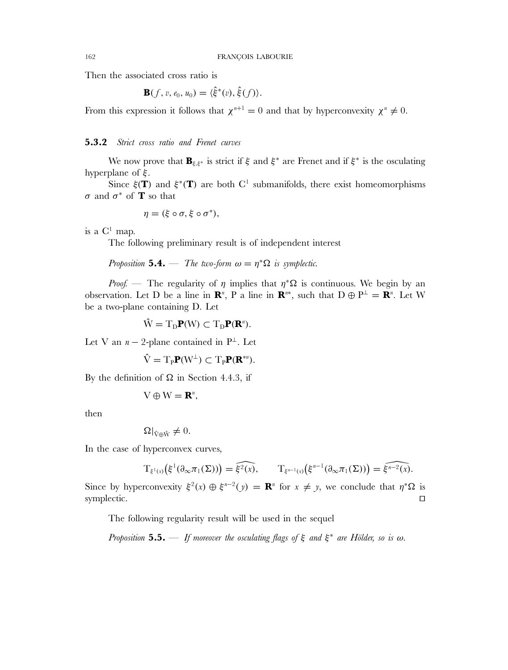Then the associated cross ratio is

$$
\mathbf{B}(f, v, e_0, u_0) = \langle \hat{\xi}^*(v), \hat{\xi}(f) \rangle.
$$

From this expression it follows that  $\chi^{n+1} = 0$  and that by hyperconvexity  $\chi^n \neq 0$ .

# **5.3.2** *Strict cross ratio and Frenet curves*

We now prove that  $\mathbf{B}_{\xi,\xi^*}$  is strict if  $\xi$  and  $\xi^*$  are Frenet and if  $\xi^*$  is the osculating hyperplane of ξ.

Since  $\xi(T)$  and  $\xi^*(T)$  are both C<sup>1</sup> submanifolds, there exist homeomorphisms σ and σ<sup>∗</sup> of **T** so that

$$
\eta=(\xi\circ\sigma,\xi\circ\sigma^*),
$$

is a  $C^1$  map.

The following preliminary result is of independent interest

*Proposition* **5.4.** — *The two-form*  $\omega = \eta^* \Omega$  *is symplectic.* 

*Proof.* — The regularity of  $\eta$  implies that  $\eta^*\Omega$  is continuous. We begin by an observation. Let D be a line in  $\mathbb{R}^n$ , P a line in  $\mathbb{R}^{n*}$ , such that  $D \oplus P^{\perp} = \mathbb{R}^n$ . Let W be a two-plane containing D. Let

$$
\hat{W} = T_D \mathbf{P}(W) \subset T_D \mathbf{P}(\mathbf{R}^n).
$$

Let V an  $n-2$ -plane contained in P<sup>⊥</sup>. Let

$$
\hat{\mathbf{V}} = \mathrm{T}_{\mathrm{P}} \mathbf{P}(\mathbf{W}^{\perp}) \subset \mathrm{T}_{\mathrm{P}} \mathbf{P}(\mathbf{R}^{*n}).
$$

By the definition of  $\Omega$  in Section 4.4.3, if

$$
V\oplus W=\mathbf{R}^n,
$$

then

$$
\Omega|_{\hat{V}\oplus\hat{W}}\neq 0.
$$

In the case of hyperconvex curves,

$$
T_{\xi^1(x)}(\xi^1(\partial_\infty\pi_1(\Sigma)))=\widehat{\xi^2(x)},\qquad T_{\xi^{n-1}(x)}(\xi^{n-1}(\partial_\infty\pi_1(\Sigma)))=\widehat{\xi^{n-2}(x)}.
$$

Since by hyperconvexity  $\xi^2(x) \oplus \xi^{n-2}(y) = \mathbf{R}^n$  for  $x \neq y$ , we conclude that  $\eta^* \Omega$  is symplectic.  $\Box$ 

The following regularity result will be used in the sequel

*Proposition* **5.5.** — *If moreover the osculating flags of* ξ *and* ξ<sup>∗</sup> *are Hölder, so is* ω*.*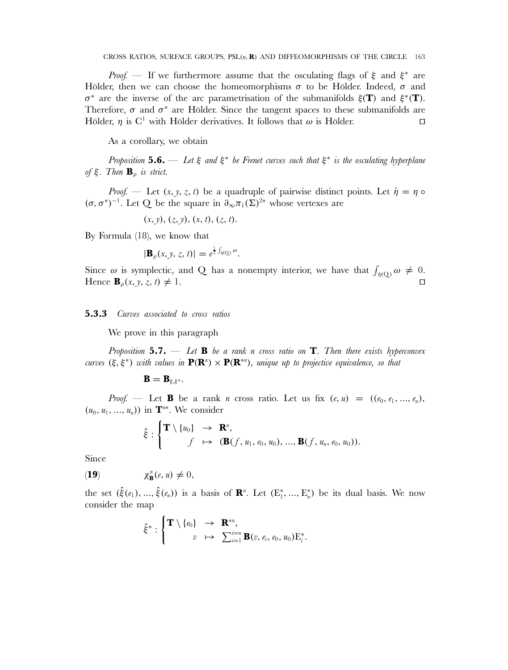*Proof.* — If we furthermore assume that the osculating flags of ξ and ξ<sup>\*</sup> are Hölder, then we can choose the homeomorphisms  $\sigma$  to be Hölder. Indeed,  $\sigma$  and σ<sup>∗</sup> are the inverse of the arc parametrisation of the submanifolds ξ(**T**) and ξ<sup>∗</sup>(**T**). Therefore,  $\sigma$  and  $\sigma^*$  are Hölder. Since the tangent spaces to these submanifolds are Hölder,  $\eta$  is C<sup>1</sup> with Hölder derivatives. It follows that  $\omega$  is Hölder.  $\Box$ 

As a corollary, we obtain

*Proposition* **5.6.** — *Let* ξ *and* ξ<sup>∗</sup> *be Frenet curves such that* ξ<sup>∗</sup> *is the osculating hyperplane of* ξ*. Then* **B**<sup>ρ</sup> *is strict.*

*Proof.* — Let  $(x, y, z, t)$  be a quadruple of pairwise distinct points. Let  $\dot{\eta} = \eta \circ$  $(\sigma, \sigma^*)^{-1}$ . Let Q be the square in  $\partial_{\infty}\pi_1(\Sigma)^{2*}$  whose vertexes are

 $(x, y), (z, y), (x, t), (z, t).$ 

By Formula (18), we know that

$$
|\mathbf{B}_{\rho}(x,y,z,t)|=e^{\frac{1}{2}\int_{\eta(Q)}\omega}.
$$

Since  $\omega$  is symplectic, and Q has a nonempty interior, we have that  $\int_{\eta(Q)} \omega \neq 0$ . Hence  $\mathbf{B}_{\rho}(x, y, z, t) \neq 1$ .  $\Box$ 

#### **5.3.3** *Curves associated to cross ratios*

We prove in this paragraph

*Proposition* **5.7.** — *Let* **B** *be a rank* n *cross ratio on* **T***. Then there exists hyperconvex curves*  $(\xi, \xi^*)$  *with values in*  $P(R^n) \times P(R^{*n})$ *, unique up to projective equivalence, so that* 

$$
\mathbf{B}=\mathbf{B}_{\xi,\xi^*}.
$$

*Proof.* — Let **B** be a rank *n* cross ratio. Let us fix  $(e, u) = ((e_0, e_1, ..., e_n))$  $(u_0, u_1, \ldots, u_n)$  in  $\mathbf{T}^{n*}$ . We consider

$$
\hat{\xi}: \begin{cases} \mathbf{T} \setminus \{u_0\} & \to \mathbf{R}^n, \\ f & \mapsto (\mathbf{B}(f, u_1, e_0, u_0), \dots, \mathbf{B}(f, u_n, e_0, u_0)). \end{cases}
$$

Since

$$
(19) \t\t \chi_{\mathbf{B}}^n(e, u) \neq 0,
$$

the set  $(\hat{\xi}(e_1), ..., \hat{\xi}(e_n))$  is a basis of  $\mathbb{R}^n$ . Let  $(E_1^*, ..., E_n^*)$  be its dual basis. We now consider the map

$$
\hat{\xi}^* : \begin{cases} \mathbf{T} \setminus \{e_0\} & \to \mathbf{R}^{*n}, \\ v & \mapsto \sum_{i=1}^{i=n} \mathbf{B}(v, e_i, e_0, u_0) \mathbf{E}_i^*. \end{cases}
$$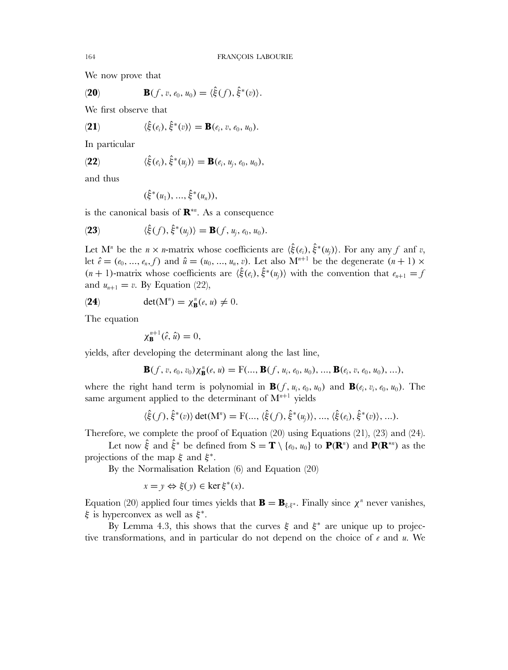We now prove that

(20) 
$$
\mathbf{B}(f, v, e_0, u_0) = \langle \hat{\xi}(f), \hat{\xi}^*(v) \rangle.
$$

We first observe that

(21) 
$$
\langle \hat{\xi}(e_i), \hat{\xi}^*(v) \rangle = \mathbf{B}(e_i, v, e_0, u_0).
$$

In particular

(22) 
$$
\langle \hat{\xi}(e_i), \hat{\xi}^*(u_j) \rangle = \mathbf{B}(e_i, u_j, e_0, u_0),
$$

and thus

$$
(\hat{\xi}^*(u_1), ..., \hat{\xi}^*(u_n)),
$$

is the canonical basis of **R**<sup>∗</sup><sup>n</sup> . As a consequence

(23) 
$$
\langle \hat{\xi}(f), \hat{\xi}^*(u_j) \rangle = \mathbf{B}(f, u_j, e_0, u_0).
$$

Let M<sup>n</sup> be the  $n \times n$ -matrix whose coefficients are  $\langle \hat{\xi}(e_i), \hat{\xi}^*(u_j) \rangle$ . For any any f anf v, let  $\hat{e} = (e_0, ..., e_n, f)$  and  $\hat{u} = (u_0, ..., u_n, v)$ . Let also  $M^{n+1}$  be the degenerate  $(n+1) \times$  $(n + 1)$ -matrix whose coefficients are  $\langle \hat{\xi}(e_i), \hat{\xi}^*(u_i) \rangle$  with the convention that  $e_{n+1} = f$ and  $u_{n+1} = v$ . By Equation (22),

(24) 
$$
\det(\mathbf{M}^n) = \chi_\mathbf{B}^n(e, u) \neq 0.
$$

The equation

$$
\chi_{\mathbf{B}}^{n+1}(\hat{e},\hat{u})=0,
$$

yields, after developing the determinant along the last line,

$$
\mathbf{B}(f, v, e_0, v_0) \chi_{\mathbf{B}}^n(e, u) = \mathrm{F}(..., \mathbf{B}(f, u_i, e_0, u_0), ..., \mathbf{B}(e_i, v, e_0, u_0), ...),
$$

where the right hand term is polynomial in  $\mathbf{B}(f, u_i, e_0, u_0)$  and  $\mathbf{B}(e_i, v_i, e_0, u_0)$ . The same argument applied to the determinant of  $M^{n+1}$  yields

$$
\langle \hat{\xi}(f), \hat{\xi}^*(v) \rangle \det(M^n) = F(..., \langle \hat{\xi}(f), \hat{\xi}^*(u_j) \rangle, ..., \langle \hat{\xi}(e_i), \hat{\xi}^*(v) \rangle, ...).
$$

Therefore, we complete the proof of Equation (20) using Equations (21), (23) and (24).

Let now  $\hat{\xi}$  and  $\hat{\xi}^*$  be defined from  $S = T \setminus \{e_0, u_0\}$  to  $P(R^n)$  and  $P(R^{*n})$  as the projections of the map  $\xi$  and  $\xi^*$ .

By the Normalisation Relation (6) and Equation (20)

$$
x = y \Leftrightarrow \xi(y) \in \ker \xi^*(x).
$$

Equation (20) applied four times yields that  $\mathbf{B} = \mathbf{B}_{\xi,\xi^*}$ . Finally since  $\chi^n$  never vanishes, ξ is hyperconvex as well as  $\xi^*$ .

By Lemma 4.3, this shows that the curves  $\xi$  and  $\xi^*$  are unique up to projective transformations, and in particular do not depend on the choice of  $e$  and  $u$ . We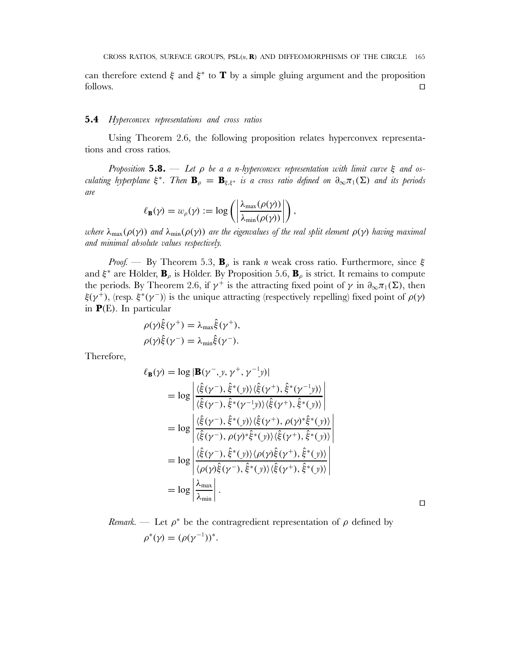can therefore extend  $\xi$  and  $\xi^*$  to **T** by a simple gluing argument and the proposition  $\Box$  follows.  $\Box$ 

# **5.4** *Hyperconvex representations and cross ratios*

Using Theorem 2.6, the following proposition relates hyperconvex representations and cross ratios.

*Proposition* **5.8.** — *Let* ρ *be a a* n*-hyperconvex representation with limit curve* ξ *and osculating hyperplane*  $\xi^*$ *. Then*  $\mathbf{B}_{\rho} = \mathbf{B}_{\xi, \xi^*}$  *is a cross ratio defined on*  $\partial_{\infty} \pi_1(\Sigma)$  *and its periods are*

$$
\ell_{\mathbf{B}}(\gamma) = w_{\rho}(\gamma) := \log \left( \left| \frac{\lambda_{\max}(\rho(\gamma))}{\lambda_{\min}(\rho(\gamma))} \right| \right),\,
$$

*where* λmax(ρ(γ)) *and* λmin(ρ(γ)) *are the eigenvalues of the real split element* ρ(γ) *having maximal and minimal absolute values respectively.*

*Proof.* — By Theorem 5.3,  $\mathbf{B}_{\rho}$  is rank *n* weak cross ratio. Furthermore, since  $\xi$ and  $\xi^*$  are Hölder,  $\mathbf{B}_\rho$  is Hölder. By Proposition 5.6,  $\mathbf{B}_\rho$  is strict. It remains to compute the periods. By Theorem 2.6, if  $\gamma^+$  is the attracting fixed point of  $\gamma$  in  $\partial_{\infty}\pi_1(\Sigma)$ , then  $\xi(\gamma^+)$ , (resp.  $\xi^*(\gamma^-)$ ) is the unique attracting (respectively repelling) fixed point of  $\rho(\gamma)$ in **P**(E). In particular

$$
\rho(\gamma)\hat{\xi}(\gamma^+) = \lambda_{\max}\hat{\xi}(\gamma^+),
$$
  

$$
\rho(\gamma)\hat{\xi}(\gamma^-) = \lambda_{\min}\hat{\xi}(\gamma^-).
$$

Therefore,

$$
\ell_{\mathbf{B}}(\gamma) = \log |\mathbf{B}(\gamma^-, y, \gamma^+, \gamma^{-1}y)|
$$
  
\n
$$
= \log \left| \frac{\langle \hat{\xi}(\gamma^-), \hat{\xi}^*(y) \rangle \langle \hat{\xi}(\gamma^+), \hat{\xi}^*(\gamma^{-1}y) \rangle}{\langle \hat{\xi}(\gamma^-), \hat{\xi}^*(\gamma^{-1}y) \rangle \langle \hat{\xi}(\gamma^+), \hat{\xi}^*(y) \rangle} \right|
$$
  
\n
$$
= \log \left| \frac{\langle \hat{\xi}(\gamma^-), \hat{\xi}^*(y) \rangle \langle \hat{\xi}(\gamma^+), \rho(\gamma^*) \hat{\xi}^*(y) \rangle}{\langle \hat{\xi}(\gamma^-), \rho(\gamma^*) \hat{\xi}^*(y) \rangle \langle \hat{\xi}(\gamma^+), \hat{\xi}^*(y) \rangle} \right|
$$
  
\n
$$
= \log \left| \frac{\langle \hat{\xi}(\gamma^-), \hat{\xi}^*(y) \rangle \langle \rho(\gamma) \hat{\xi}(\gamma^+), \hat{\xi}^*(y) \rangle}{\langle \rho(\gamma) \hat{\xi}(\gamma^-), \hat{\xi}^*(y) \rangle \langle \hat{\xi}(\gamma^+), \hat{\xi}^*(y) \rangle} \right|
$$
  
\n
$$
= \log \left| \frac{\lambda_{\text{max}}}{\lambda_{\text{min}}} \right|.
$$

*Remark.* — Let  $\rho^*$  be the contragredient representation of  $\rho$  defined by  $\rho^*(\gamma) = (\rho(\gamma^{-1}))^*.$ 

 $\Box$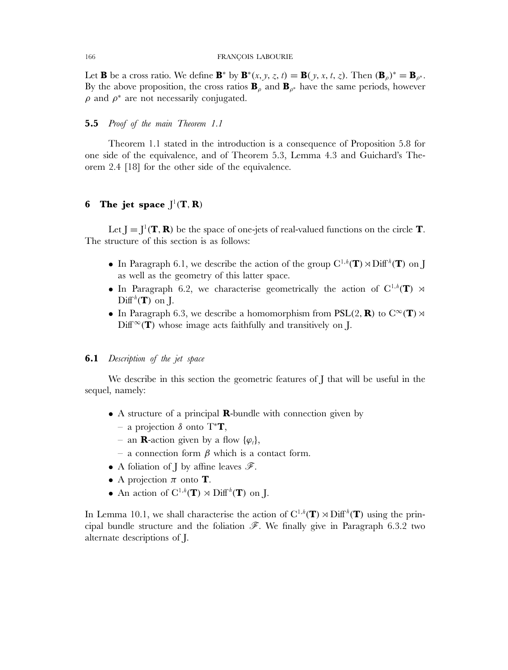Let **B** be a cross ratio. We define **B**<sup>\*</sup> by **B**<sup>\*</sup>(*x, y, z, t*) = **B**(*y, x, t, z*). Then  $(\mathbf{B}_{\rho})^* = \mathbf{B}_{\rho^*}.$ By the above proposition, the cross ratios  $\mathbf{B}_{\rho}$  and  $\mathbf{B}_{\rho^*}$  have the same periods, however  $\rho$  and  $\rho^*$  are not necessarily conjugated.

# **5.5** *Proof of the main Theorem 1.1*

Theorem 1.1 stated in the introduction is a consequence of Proposition 5.8 for one side of the equivalence, and of Theorem 5.3, Lemma 4.3 and Guichard's Theorem 2.4 [18] for the other side of the equivalence.

# **6** The jet space  $J^1(T, R)$

Let  $J = J^1(T, R)$  be the space of one-jets of real-valued functions on the circle **T**. The structure of this section is as follows:

- In Paragraph 6.1, we describe the action of the group  $C^{1,h}(\mathbf{T}) \rtimes \text{Diff}^h(\mathbf{T})$  on J as well as the geometry of this latter space.
- In Paragraph 6.2, we characterise geometrically the action of  $C^{1,h}(\mathbf{T}) \rtimes$  $\mathrm{Diff}^h(\mathbf{T})$  on J.
- In Paragraph 6.3, we describe a homomorphism from  $PSL(2, \mathbf{R})$  to  $C^{\infty}(\mathbf{T}) \rtimes$  $Diff^{\infty}(\mathbf{T})$  whose image acts faithfully and transitively on J.

# **6.1** *Description of the jet space*

We describe in this section the geometric features of I that will be useful in the sequel, namely:

- A structure of a principal **R**-bundle with connection given by
	- a projection δ onto T<sup>∗</sup>**T**,
	- an **R**-action given by a flow  $\{\varphi_t\},\$
	- a connection form β which is a contact form.
- A foliation of J by affine leaves  $\mathscr{F}$ .
- A projection  $\pi$  onto **T**.
- An action of  $C^{1,h}(\mathbf{T}) \rtimes \mathrm{Diff}^h(\mathbf{T})$  on J.

In Lemma 10.1, we shall characterise the action of  $C^{1,h}(\mathbf{T}) \rtimes \text{Diff}^h(\mathbf{T})$  using the principal bundle structure and the foliation  $\mathscr{F}$ . We finally give in Paragraph 6.3.2 two alternate descriptions of J.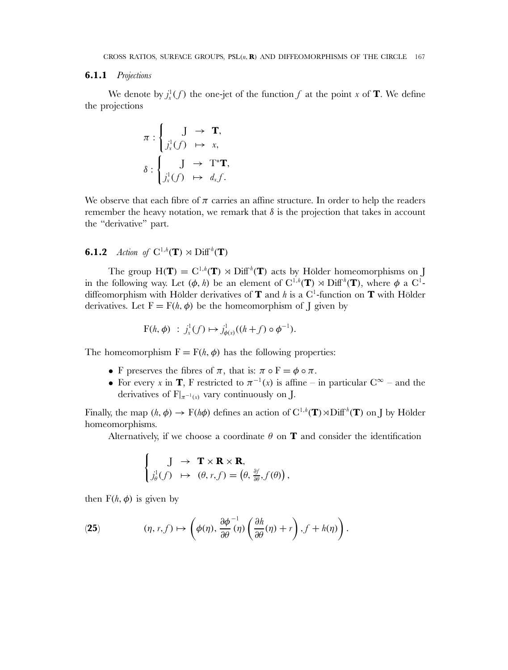### **6.1.1** *Projections*

We denote by  $j_x^1(f)$  the one-jet of the function f at the point x of **T**. We define the projections

$$
\pi : \begin{cases} \nJ \rightarrow \mathbf{T}, \\ \nJ_x^1(f) \rightarrow x, \\ \n\delta : \n\begin{cases} \nJ \rightarrow \mathrm{T}^* \mathbf{T}, \\ \nJ_x^1(f) \rightarrow d_x f. \n\end{cases} \n\end{cases}
$$

We observe that each fibre of  $\pi$  carries an affine structure. In order to help the readers remember the heavy notation, we remark that  $\delta$  is the projection that takes in account the "derivative" part.

# **6.1.2** *Action of*  $C^{1,h}(\mathbf{T}) \rtimes \text{Diff}^h(\mathbf{T})$

The group  $H(T) = C^{1,h}(T) \rtimes Diff^{h}(T)$  acts by Hölder homeomorphisms on J in the following way. Let  $(\phi, h)$  be an element of  $C^{1,h}(\mathbf{T}) \rtimes \mathrm{Diff}^h(\mathbf{T})$ , where  $\phi$  a  $C^1$ diffeomorphism with Hölder derivatives of **T** and h is a  $C^1$ -function on **T** with Hölder derivatives. Let  $F = F(h, \phi)$  be the homeomorphism of J given by

$$
F(h, \phi) : j_x^1(f) \mapsto j_{\phi(x)}^1((h+f) \circ \phi^{-1}).
$$

The homeomorphism  $F = F(h, \phi)$  has the following properties:

- F preserves the fibres of  $\pi$ , that is:  $\pi \circ F = \phi \circ \pi$ .
- For every x in **T**, F restricted to  $\pi^{-1}(x)$  is affine in particular  $C^{\infty}$  and the derivatives of  $F|_{\pi^{-1}(x)}$  vary continuously on J.

Finally, the map  $(h, \phi) \to F(h\phi)$  defines an action of  $C^{1,h}(\mathbf{T}) \rtimes \text{Diff}^h(\mathbf{T})$  on J by Hölder homeomorphisms.

Alternatively, if we choose a coordinate  $\theta$  on **T** and consider the identification

$$
\begin{cases}\nJ \to \mathbf{T} \times \mathbf{R} \times \mathbf{R}, \\
j_{\theta}^{1}(f) \mapsto (\theta, r, f) = (\theta, \frac{\partial f}{\partial \theta}, f(\theta)),\n\end{cases}
$$

then  $F(h, \phi)$  is given by

(25) 
$$
(\eta, r, f) \mapsto \left(\phi(\eta), \frac{\partial \phi}{\partial \theta}^{-1}(\eta) \left(\frac{\partial h}{\partial \theta}(\eta) + r\right), f + h(\eta)\right).
$$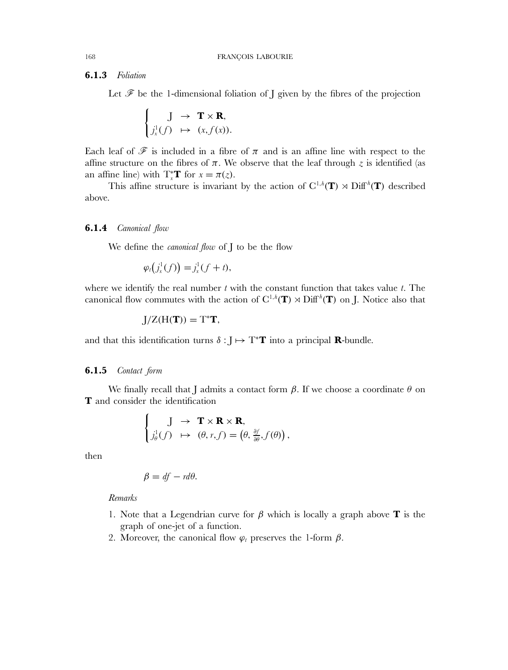# **6.1.3** *Foliation*

Let  $\mathscr F$  be the 1-dimensional foliation of J given by the fibres of the projection

$$
\begin{cases} J \to \mathbf{T} \times \mathbf{R}, \\ j_x^1(f) \mapsto (x, f(x)). \end{cases}
$$

Each leaf of  $\mathscr F$  is included in a fibre of  $\pi$  and is an affine line with respect to the affine structure on the fibres of  $\pi$ . We observe that the leaf through z is identified (as an affine line) with  $T_x^*T$  for  $x = \pi(z)$ .

This affine structure is invariant by the action of  $C^{1,h}(\mathbf{T}) \rtimes \mathrm{Diff}^h(\mathbf{T})$  described above.

### **6.1.4** *Canonical flow*

We define the *canonical flow* of J to be the flow

$$
\varphi_t(j^1_x(f)) = j^1_x(f + t),
$$

where we identify the real number  $t$  with the constant function that takes value  $t$ . The canonical flow commutes with the action of  $C^{1,h}(\mathbf{T}) \rtimes \mathrm{Diff}^h(\mathbf{T})$  on J. Notice also that

$$
J/Z(H(\boldsymbol{T}))=T^{\ast}\boldsymbol{T},
$$

and that this identification turns  $\delta : J \mapsto T^*T$  into a principal **R**-bundle.

### **6.1.5** *Contact form*

We finally recall that I admits a contact form  $\beta$ . If we choose a coordinate  $\theta$  on **T** and consider the identification

$$
\begin{cases} \quad J \to \mathbf{T} \times \mathbf{R} \times \mathbf{R}, \\ j_{\theta}^{1}(f) \mapsto (\theta, r, f) = (\theta, \frac{\partial f}{\partial \theta}, f(\theta)), \end{cases}
$$

then

$$
\beta = df - rd\theta.
$$

*Remarks*

- 1. Note that a Legendrian curve for β which is locally a graph above **T** is the graph of one-jet of a function.
- 2. Moreover, the canonical flow  $\varphi_t$  preserves the 1-form  $\beta$ .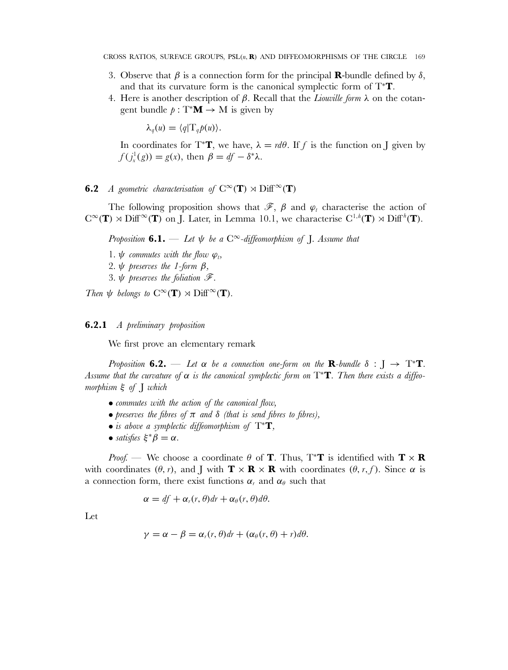- 3. Observe that  $\beta$  is a connection form for the principal **R**-bundle defined by  $\delta$ , and that its curvature form is the canonical symplectic form of T<sup>∗</sup>**T**.
- 4. Here is another description of β. Recall that the *Liouville form* λ on the cotangent bundle  $p : T^*M \to M$  is given by

 $\lambda_q(u) = \langle q | \mathrm{T}_q p(u) \rangle.$ 

In coordinates for T<sup>\*</sup>**T**, we have,  $\lambda = d\theta$ . If f is the function on J given by  $f(j_x^1(g)) = g(x)$ , then  $\beta = df - \delta^* \lambda$ .

# **6.2** *A geometric characterisation of*  $C^{\infty}(\mathbf{T}) \rtimes \text{Diff}^{\infty}(\mathbf{T})$

The following proposition shows that  $\mathscr{F}, \beta$  and  $\varphi_t$  characterise the action of  $C^{\infty}(\mathbf{T}) \rtimes \text{Diff}^{\infty}(\mathbf{T})$  on J. Later, in Lemma 10.1, we characterise  $C^{1,h}(\mathbf{T}) \rtimes \text{Diff}^{h}(\mathbf{T})$ .

*Proposition* **6.1.** — Let  $\psi$  be a  $C^{\infty}$ -diffeomorphism of *J. Assume that* 

- 1.  $\psi$  *commutes with the flow*  $\varphi_t$ ,
- 2*.* ψ *preserves the 1-form* β*,*
- 3*.* ψ *preserves the foliation* F*.*

*Then*  $\psi$  *belongs to*  $C^{\infty}(\mathbf{T}) \rtimes \mathrm{Diff}^{\infty}(\mathbf{T})$ *.* 

# **6.2.1** *A preliminary proposition*

We first prove an elementary remark

*Proposition* **6.2.** — Let  $\alpha$  be a connection one-form on the **R**-bundle  $\delta : J \rightarrow T^*T$ . Assume that the curvature of  $\alpha$  is the canonical symplectic form on T<sup>\*</sup>**T**. Then there exists a diffeo*morphism* ξ *of* J *which*

- *commutes with the action of the canonical flow,*
- *preserves the fibres of* π *and* δ *(that is send fibres to fibres),*
- *is above a symplectic diffeomorphism of* T<sup>∗</sup>**T***,*
- *satisfies*  $\xi^* \beta = \alpha$ .

*Proof.* — We choose a coordinate  $\theta$  of **T**. Thus, T<sup>\*</sup>**T** is identified with **T**  $\times$  **R** with coordinates  $(\theta, r)$ , and J with  $\mathbf{T} \times \mathbf{R} \times \mathbf{R}$  with coordinates  $(\theta, r, f)$ . Since  $\alpha$  is a connection form, there exist functions  $\alpha_r$  and  $\alpha_\theta$  such that

$$
\alpha = df + \alpha_r(r, \theta)dr + \alpha_\theta(r, \theta)d\theta.
$$

Let

$$
\gamma = \alpha - \beta = \alpha_r(r, \theta)dr + (\alpha_\theta(r, \theta) + r)d\theta.
$$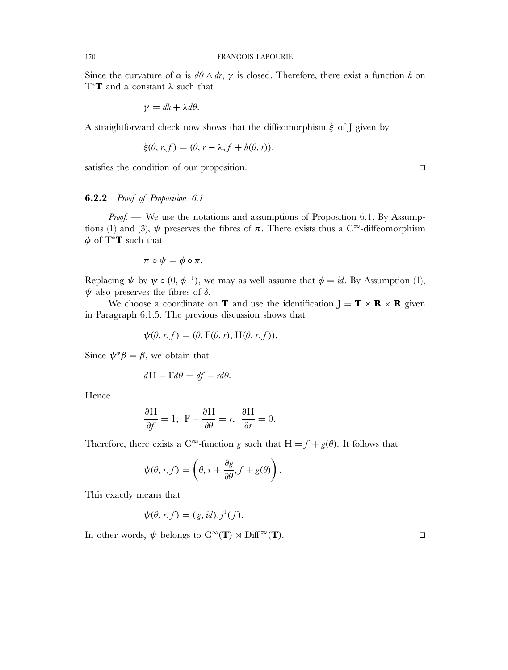Since the curvature of  $\alpha$  is  $d\theta \wedge dr$ ,  $\gamma$  is closed. Therefore, there exist a function h on T<sup>∗</sup>**T** and a constant λ such that

$$
\gamma = dh + \lambda d\theta.
$$

A straightforward check now shows that the diffeomorphism  $\xi$  of J given by

$$
\xi(\theta, r, f) = (\theta, r - \lambda, f + h(\theta, r)).
$$

satisfies the condition of our proposition.

### **6.2.2** *Proof of Proposition 6.1*

*Proof.* — We use the notations and assumptions of Proposition 6.1. By Assumptions (1) and (3),  $\psi$  preserves the fibres of  $\pi$ . There exists thus a C<sup>∞</sup>-diffeomorphism  $\phi$  of T<sup>\*</sup>**T** such that

$$
\pi\circ\psi=\phi\circ\pi.
$$

Replacing  $\psi$  by  $\psi \circ (0, \phi^{-1})$ , we may as well assume that  $\phi = id$ . By Assumption (1),  $ψ$  also preserves the fibres of  $δ$ .

We choose a coordinate on **T** and use the identification  $J = T \times R \times R$  given in Paragraph 6.1.5. The previous discussion shows that

$$
\psi(\theta, r, f) = (\theta, F(\theta, r), H(\theta, r, f)).
$$

Since  $\psi^* \beta = \beta$ , we obtain that

$$
dH - Fd\theta = df - rd\theta.
$$

Hence

$$
\frac{\partial H}{\partial f} = 1, \ \ F - \frac{\partial H}{\partial \theta} = r, \ \ \frac{\partial H}{\partial r} = 0.
$$

Therefore, there exists a C∞-function g such that  $H = f + g(\theta)$ . It follows that

$$
\psi(\theta, r, f) = \left(\theta, r + \frac{\partial g}{\partial \theta}, f + g(\theta)\right).
$$

This exactly means that

$$
\psi(\theta, r, f) = (g, id).j^1(f).
$$

In other words,  $\psi$  belongs to  $C^{\infty}(\mathbf{T}) \rtimes \mathrm{Diff}^{\infty}(\mathbf{T})$ .

 $\Box$ 

 $\Box$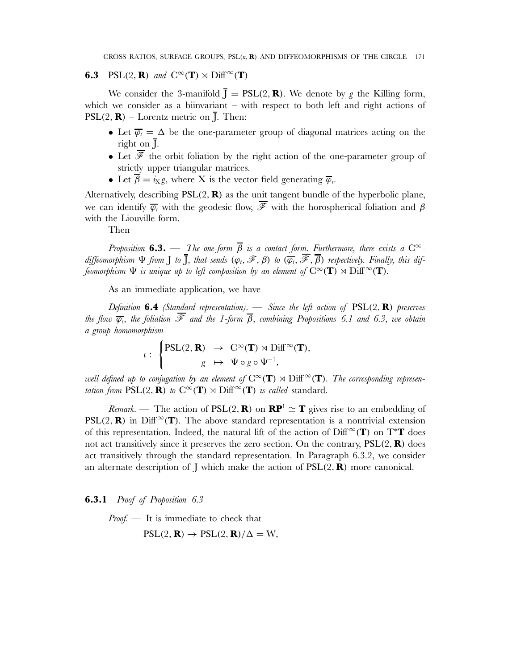# **6.3** PSL(2, **R**) and  $C^{\infty}(\mathbf{T}) \rtimes \text{Diff}^{\infty}(\mathbf{T})$

We consider the 3-manifold  $\overline{\mathbf{J}} = \text{PSL}(2, \mathbf{R})$ . We denote by g the Killing form, which we consider as a biinvariant – with respect to both left and right actions of  $PSL(2, \mathbf{R})$  – Lorentz metric on  $\bar{I}$ . Then:

- Let  $\overline{\varphi_t} = \Delta$  be the one-parameter group of diagonal matrices acting on the right on J.
- Let  $\overline{\mathscr{F}}$  the orbit foliation by the right action of the one-parameter group of strictly upper triangular matrices.
- Let  $\overline{\beta} = i_X g$ , where X is the vector field generating  $\overline{\varphi}_t$ .

Alternatively, describing PSL(2, **R**) as the unit tangent bundle of the hyperbolic plane, we can identify  $\overline{\varphi_t}$  with the geodesic flow,  $\overline{\mathscr{F}}$  with the horospherical foliation and  $\beta$ with the Liouville form.

Then

*Proposition* **6.3.** — *The one-form*  $\overline{\beta}$  *is a contact form. Furthermore, there exists a*  $C^{\infty}$  $d$ *iffeomorphism*  $\Psi$  *from*  $\overline{\mathrm{J}}$ *, that sends*  $(\varphi_t, \mathscr{F}, \beta)$  *to*  $(\overline{\varphi_t}, \overline{\mathscr{F}}, \overline{\beta})$  *respectively. Finally, this diffeomorphism*  $\Psi$  *is unique up to left composition by an element of*  $C^{\infty}(\mathbf{T}) \rtimes \mathrm{Diff}^{\infty}(\mathbf{T})$ *.* 

As an immediate application, we have

*Definition* **6.4** *(Standard representation).* — *Since the left action of* PSL(2, **R**) *preserves the flow*  $\overline{\varphi}_t$ , the foliation  $\overline{\mathscr{F}}$  and the 1-form  $\overline{\beta}$ , combining Propositions 6.1 and 6.3, we obtain *a group homomorphism*

$$
\iota: \begin{cases} \mathrm{PSL}(2,\mathbf{R}) & \to \mathbb{C}^\infty(\mathbf{T}) \rtimes \mathrm{Diff}^\infty(\mathbf{T}), \\ g & \mapsto \Psi \circ g \circ \Psi^{-1}, \end{cases}
$$

*well defined up to conjugation by an element of*  $C^{\infty}(\mathbf{T}) \rtimes \mathrm{Diff}^{\infty}(\mathbf{T})$ *. The corresponding representation from*  $PSL(2, \mathbf{R})$  *to*  $C^{\infty}(\mathbf{T}) \rtimes \text{Diff}^{\infty}(\mathbf{T})$  *is called* standard.

*Remark.* — The action of  $PSL(2, \mathbf{R})$  on  $\mathbf{RP}^1 \simeq \mathbf{T}$  gives rise to an embedding of PSL(2, **R**) in Diff<sup> $\infty$ </sup>(**T**). The above standard representation is a nontrivial extension of this representation. Indeed, the natural lift of the action of Diff<sup> $\infty$ </sup>(T) on T<sup>\*</sup>T does not act transitively since it preserves the zero section. On the contrary, PSL(2, **R**) does act transitively through the standard representation. In Paragraph 6.3.2, we consider an alternate description of  $\bf{J}$  which make the action of  $PSL(2, \bf{R})$  more canonical.

**6.3.1** *Proof of Proposition 6.3*

*Proof.* — It is immediate to check that

 $PSL(2, \mathbf{R}) \rightarrow PSL(2, \mathbf{R})/\Delta = W$ ,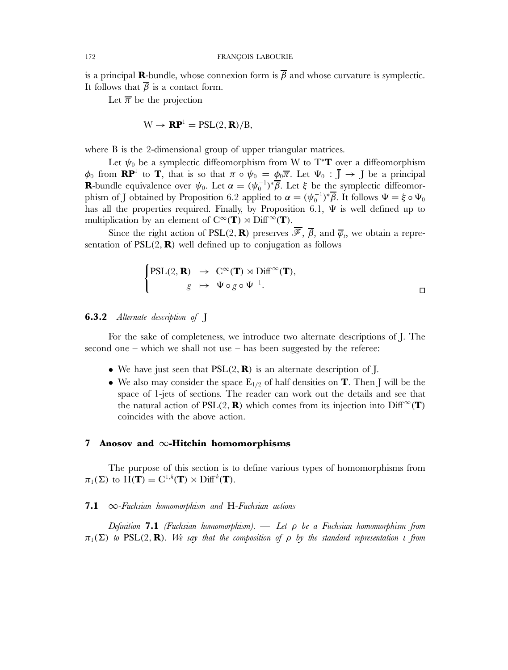is a principal **R**-bundle, whose connexion form is  $\overline{\beta}$  and whose curvature is symplectic. It follows that  $\overline{\beta}$  is a contact form.

Let  $\overline{\pi}$  be the projection

$$
W \to \mathbf{RP}^1 = PSL(2, \mathbf{R})/B,
$$

where B is the 2-dimensional group of upper triangular matrices.

Let  $\psi_0$  be a symplectic diffeomorphism from W to T<sup>\*</sup>**T** over a diffeomorphism  $\phi_0$  from **RP**<sup>1</sup> to **T**, that is so that  $\pi \circ \psi_0 = \phi_0 \overline{\pi}$ . Let  $\Psi_0 : \overline{J} \to J$  be a principal **R**-bundle equivalence over  $\psi_0$ . Let  $\alpha = (\psi_0^{-1})^* \overline{\beta}$ . Let  $\xi$  be the symplectic diffeomorphism of J obtained by Proposition 6.2 applied to  $\alpha = (\psi_0^{-1})^* \overline{\beta}$ . It follows  $\Psi = \xi \circ \Psi_0$ has all the properties required. Finally, by Proposition 6.1,  $\Psi$  is well defined up to multiplication by an element of  $C^{\infty}(\mathbf{T}) \rtimes \text{Diff}^{\infty}(\mathbf{T})$ .

Since the right action of PSL(2, **R**) preserves  $\overline{\mathscr{F}}, \overline{\beta}$ , and  $\overline{\varphi}_t$ , we obtain a representation of  $PSL(2, \mathbf{R})$  well defined up to conjugation as follows

$$
\begin{cases}\n\text{PSL}(2, \mathbf{R}) & \to \mathbb{C}^{\infty}(\mathbf{T}) \rtimes \text{Diff}^{\infty}(\mathbf{T}), \\
g & \mapsto \Psi \circ g \circ \Psi^{-1}.\n\end{cases} \qquad \qquad \Box
$$

# **6.3.2** *Alternate description of* J

For the sake of completeness, we introduce two alternate descriptions of J. The second one – which we shall not use – has been suggested by the referee:

- We have just seen that  $PSL(2, \mathbf{R})$  is an alternate description of J.
- We also may consider the space  $E_{1/2}$  of half densities on **T**. Then J will be the space of 1-jets of sections. The reader can work out the details and see that the natural action of PSL(2, **R**) which comes from its injection into  $\text{Diff}^{\infty}(\mathbf{T})$ coincides with the above action.

# **7 Anosov and** ∞**-Hitchin homomorphisms**

The purpose of this section is to define various types of homomorphisms from  $\pi_1(\Sigma)$  to  $\widehat{H(T)} = C^{1,h}(T) \rtimes \mathrm{Diff}^h(T)$ .

# **7.1** ∞*-Fuchsian homomorphism and* H*-Fuchsian actions*

*Definition* **7.1** *(Fuchsian homomorphism).* — *Let* ρ *be a Fuchsian homomorphism from*  $\pi_1(\Sigma)$  *to* PSL(2, **R**)*. We say that the composition of*  $\rho$  *by the standard representation if from*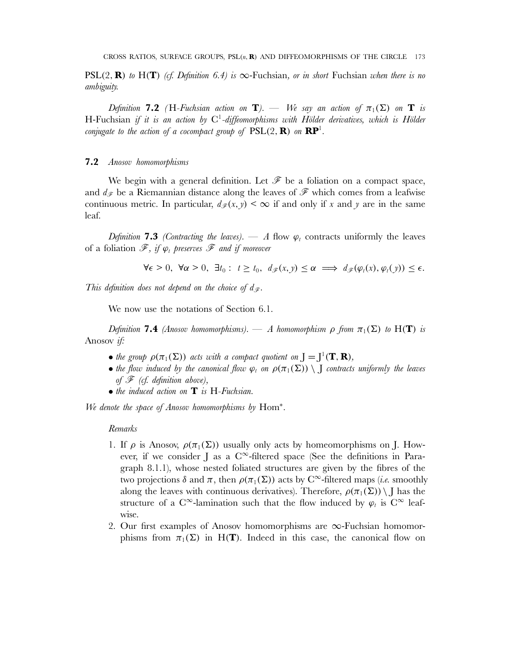**PSL(2, <b>R**) *to* H(**T**) *(cf. Definition 6.4) is*  $\infty$ -Fuchsian, *or in short* Fuchsian *when there is no ambiguity.*

*Definition* **7.2** *(H-Fuchsian action on* **T***).* — *We say an action of*  $\pi_1(\Sigma)$  *on* **T** *is* H-Fuchsian *if it is an action by* C1*-diffeomorphisms with Hölder derivatives, which is Hölder conjugate to the action of a cocompact group of*  $PSL(2, \mathbf{R})$  *on*  $\mathbf{RP}^1$ *.* 

# **7.2** *Anosov homomorphisms*

We begin with a general definition. Let  $\mathscr F$  be a foliation on a compact space, and  $d_{\mathscr{F}}$  be a Riemannian distance along the leaves of  $\mathscr{F}$  which comes from a leafwise continuous metric. In particular,  $d_{\mathscr{F}}(x,y) \leq \infty$  if and only if x and y are in the same leaf.

*Definition* **7.3** *(Contracting the leaves).* — *A* flow  $\varphi_t$  contracts uniformly the leaves of a foliation  $\mathscr{F}$ , if  $\varphi_t$  preserves  $\mathscr{F}$  and if moreover

$$
\forall \epsilon > 0, \ \forall \alpha > 0, \ \exists t_0 : \ t \geq t_0, \ d_{\mathscr{F}}(x, y) \leq \alpha \implies d_{\mathscr{F}}(\varphi_t(x), \varphi_t(y)) \leq \epsilon.
$$

*This definition does not depend on the choice of*  $d_{\mathscr{F}}$ .

We now use the notations of Section 6.1.

*Definition* **7.4** *(Anosov homomorphisms).* — *A homomorphism*  $\rho$  *from*  $\pi_1(\Sigma)$  *to*  $H(T)$  *is* Anosov *if:*

- the group  $\rho(\pi_1(\Sigma))$  acts with a compact quotient on  $J = J^1(\mathbf{T}, \mathbf{R})$ ,
- *the flow induced by the canonical flow*  $\varphi_t$  *on*  $\rho(\pi_1(\Sigma)) \setminus J$  *contracts uniformly the leaves of* F *(cf. definition above),*
- *the induced action on* **T** *is* H*-Fuchsian.*

*We denote the space of Anosov homomorphisms by* Hom<sup>∗</sup> *.*

# *Remarks*

- 1. If  $\rho$  is Anosov,  $\rho(\pi_1(\Sigma))$  usually only acts by homeomorphisms on J. However, if we consider J as a  $C^{\infty}$ -filtered space (See the definitions in Paragraph 8.1.1), whose nested foliated structures are given by the fibres of the two projections  $\delta$  and  $\pi$ , then  $\rho(\pi_1(\Sigma))$  acts by C<sup>∞</sup>-filtered maps *(i.e.* smoothly along the leaves with continuous derivatives). Therefore,  $\rho(\pi_1(\Sigma)) \setminus J$  has the structure of a C∞-lamination such that the flow induced by  $\varphi_t$  is C∞ leafwise.
- 2. Our first examples of Anosov homomorphisms are  $\infty$ -Fuchsian homomorphisms from  $\pi_1(\Sigma)$  in H(**T**). Indeed in this case, the canonical flow on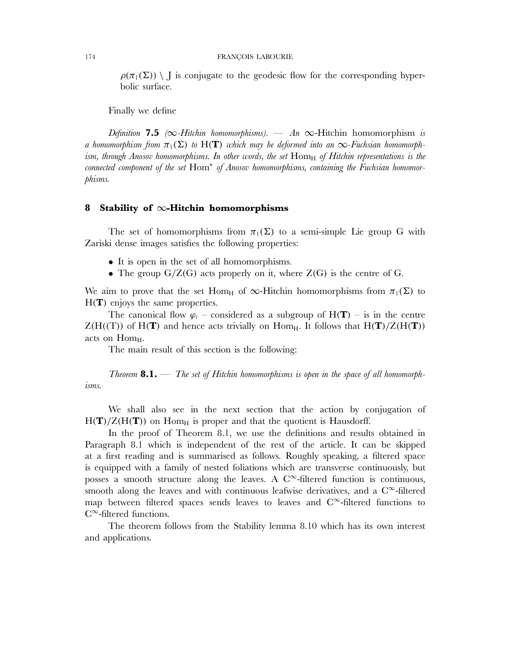#### 174 FRANÇOIS LABOURIE

 $\rho(\pi_1(\Sigma)) \setminus J$  is conjugate to the geodesic flow for the corresponding hyperbolic surface.

Finally we define

*Definition* **7.5**  $(\infty$ -Hitchin homomorphisms). — *An*  $\infty$ -Hitchin homomorphism *is a homomorphism from*  $\pi_1(\Sigma)$  *to*  $H(T)$  *which may be deformed into an*  $\infty$ -*Fuchsian homomorphism, through Anosov homomorphisms. In other words, the set* Hom<sub>H</sub> *of Hitchin representations is the connected component of the set* Hom<sup>∗</sup> *of Anosov homomorphisms, containing the Fuchsian homomorphisms.*

## **8 Stability of** ∞**-Hitchin homomorphisms**

The set of homomorphisms from  $\pi_1(\Sigma)$  to a semi-simple Lie group G with Zariski dense images satisfies the following properties:

- It is open in the set of all homomorphisms.
- The group  $G/Z(G)$  acts properly on it, where  $Z(G)$  is the centre of G.

We aim to prove that the set Hom<sub>H</sub> of  $\infty$ -Hitchin homomorphisms from  $\pi_1(\Sigma)$  to H(**T**) enjoys the same properties.

The canonical flow  $\varphi_t$  – considered as a subgroup of  $H(T)$  – is in the centre  $Z(H(T))$  of  $H(T)$  and hence acts trivially on Hom<sub>H</sub>. It follows that  $H(T)/Z(H(T))$ acts on  $Hom_{H}$ .

The main result of this section is the following:

*Theorem* **8.1.** — *The set of Hitchin homomorphisms is open in the space of all homomorphisms.*

We shall also see in the next section that the action by conjugation of  $H(T)/Z(H(T))$  on Hom<sub>H</sub> is proper and that the quotient is Hausdorff.

In the proof of Theorem 8.1, we use the definitions and results obtained in Paragraph 8.1 which is independent of the rest of the article. It can be skipped at a first reading and is summarised as follows. Roughly speaking, a filtered space is equipped with a family of nested foliations which are transverse continuously, but posses a smooth structure along the leaves. A  $C^{\infty}$ -filtered function is continuous, smooth along the leaves and with continuous leafwise derivatives, and a  $C^{\infty}$ -filtered map between filtered spaces sends leaves to leaves and  $C^{\infty}$ -filtered functions to C<sup>∞</sup>-filtered functions.

The theorem follows from the Stability lemma 8.10 which has its own interest and applications.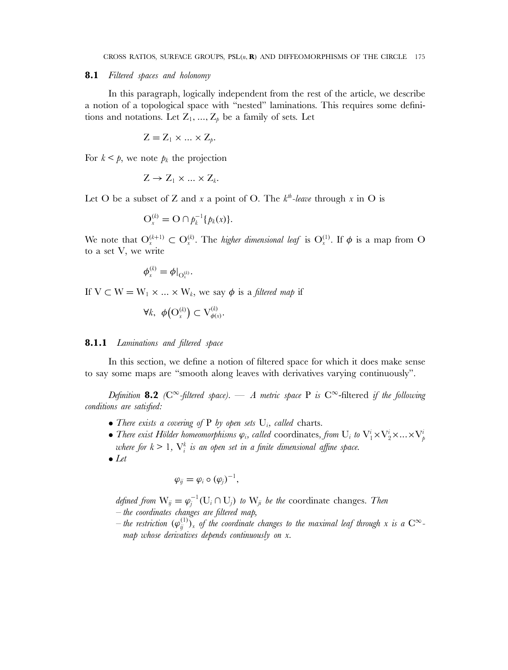#### **8.1** *Filtered spaces and holonomy*

In this paragraph, logically independent from the rest of the article, we describe a notion of a topological space with "nested" laminations. This requires some definitions and notations. Let  $Z_1, ..., Z_p$  be a family of sets. Let

$$
Z = Z_1 \times \ldots \times Z_p.
$$

For  $k < p$ , we note  $p_k$  the projection

$$
Z \to Z_1 \times \ldots \times Z_k.
$$

Let O be a subset of Z and x a point of O. The  $k^{th}$ -leave through x in O is

$$
O_x^{(k)} = O \cap p_k^{-1} \{p_k(x)\}.
$$

We note that  $O_{x}^{(k+1)} \subset O_{x}^{(k)}$ . The *higher dimensional leaf* is  $O_{x}^{(1)}$ . If  $\phi$  is a map from O to a set V, we write

$$
\phi_{\scriptscriptstyle x}^{\scriptscriptstyle (k)}=\phi|_{\mathcal{O}_{\scriptscriptstyle x}^{\scriptscriptstyle (k)}}.
$$

If  $V \subset W = W_1 \times ... \times W_k$ , we say  $\phi$  is a *filtered map* if

$$
\forall k, \ \phi\big(\mathcal{O}_x^{(k)}\big) \subset \mathcal{V}_{\phi(x)}^{(k)}.
$$

### **8.1.1** *Laminations and filtered space*

In this section, we define a notion of filtered space for which it does make sense to say some maps are "smooth along leaves with derivatives varying continuously".

*Definition* **8.2** *(* $C^{\infty}$ -filtered space). — *A metric space* P *is*  $C^{\infty}$ -filtered *if the following conditions are satisfied:*

- *There exists a covering of*  $P$  *by open sets*  $U_i$ *, called* charts.
- There exist Hölder homeomorphisms  $\varphi_i$ , called coordinates, from  $U_i$  to  $V_1^i \times V_2^i \times ... \times V_p^i$ where for  $k \geq 1$ ,  $\mathrm{V}^k_i$  is an open set in a finite dimensional affine space.
- *Let*

$$
\varphi_{ij}=\varphi_i\circ(\varphi_j)^{-1},
$$

*defined from*  $W_{ij} = \varphi_j^{-1}(U_i \cap U_j)$  *to*  $W_{ji}$  *be the* coordinate changes. Then *– the coordinates changes are filtered map,*

 $-$  the restriction  $(\varphi_j^{(1)})_x$  of the coordinate changes to the maximal leaf through x is a  $C^\infty$ *map whose derivatives depends continuously on* x*.*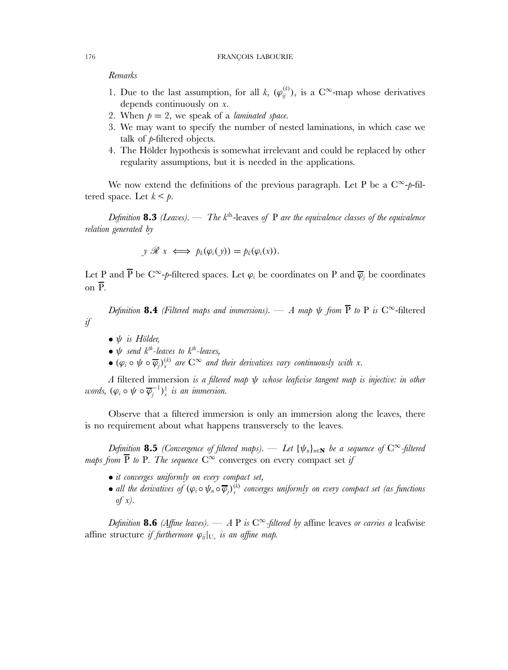### *Remarks*

- 1. Due to the last assumption, for all k,  $(\varphi_{ij}^{(k)})_x$  is a C<sup>∞</sup>-map whose derivatives depends continuously on x.
- 2. When  $p = 2$ , we speak of a *laminated space*.
- 3. We may want to specify the number of nested laminations, in which case we talk of p-filtered objects.
- 4. The Hölder hypothesis is somewhat irrelevant and could be replaced by other regularity assumptions, but it is needed in the applications.

We now extend the definitions of the previous paragraph. Let P be a  $C^{\infty}-p$ -filtered space. Let  $k < p$ .

*Definition* **8.3** *(Leaves).* — *The*  $k<sup>th</sup>$ -leaves *of* P *are the equivalence classes of the equivalence relation generated by*

$$
y \mathscr{R} x \iff p_k(\varphi_i(y)) = p_k(\varphi_i(x)).
$$

Let P and  $\overline{P}$  be  $C^{\infty}-p$ -filtered spaces. Let  $\varphi_i$  be coordinates on P and  $\overline{\varphi}_j$  be coordinates on P.

*Definition* **8.4** *(Filtered maps and immersions).* — *A map*  $\psi$  *from*  $\overline{P}$  *to*  $P$  *is*  $C^{\infty}$ -filtered *if*

- ψ *is Hölder,*
- ψ *send* k*th-leaves to* k*th-leaves,*
- $(\varphi_i \circ \psi \circ \overline{\varphi}_j)_x^{(k)}$  are  $C^{\infty}$  and their derivatives vary continuously with x.

*A* filtered immersion *is a filtered map* ψ *whose leafwise tangent map is injective: in other words,*  $(\varphi_i \circ \psi \circ \overline{\varphi_j}^{-1})^1_x$  *is an immersion.* 

Observe that a filtered immersion is only an immersion along the leaves, there is no requirement about what happens transversely to the leaves.

*Definition* **8.5** *(Convergence of filtered maps).* — *Let*  ${\psi_n}_{n \in \mathbb{N}}$  *be a sequence of*  $C^\infty$ -filtered *maps from*  $\overline{P}$  *to* P*. The sequence*  $C^{\infty}$  converges on every compact set *if* 

- *it converges uniformly on every compact set,*
- all the derivatives of  $(\varphi_i \circ \psi_n \circ \overline{\varphi}_j)_x^{(k)}$  converges uniformly on every compact set (as functions *of* x*).*

*Definition* **8.6** *(Affine leaves).* — *A* P *is*  $C^{\infty}$ -*filtered by* affine leaves *or carries a* leafwise affine structure *if furthermore*  $\varphi_{ij}|_{U_x}$  *is an affine map.*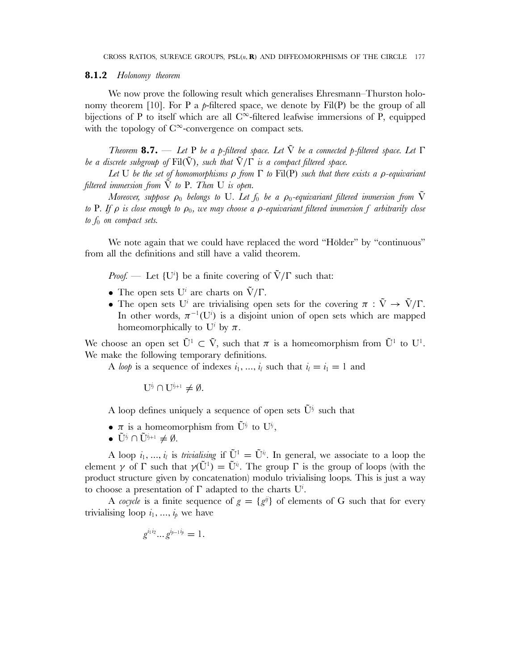### **8.1.2** *Holonomy theorem*

We now prove the following result which generalises Ehresmann–Thurston holonomy theorem [10]. For P a  $p$ -filtered space, we denote by Fil(P) be the group of all bijections of P to itself which are all C<sup>∞</sup>-filtered leafwise immersions of P, equipped with the topology of  $C^{\infty}$ -convergence on compact sets.

*Theorem* **8.7.** — *Let* P *be a* p*-filtered space. Let* V˜ *be a connected* p*-filtered space. Let* Γ *be a discrete subgroup of*  $Fil(\tilde{V})$ *, such that*  $\tilde{V}/\Gamma$  *is a compact filtered space.* 

*Let* U *be the set of homomorphisms* ρ *from* Γ *to* Fil(P) *such that there exists a* ρ*-equivariant filtered immersion from*  $\tilde{V}$  *to* P*. Then* U *is open.* 

*Moreover, suppose*  $\rho_0$  *belongs to* U*. Let*  $f_0$  *be a*  $\rho_0$ -equivariant filtered immersion from  $\tilde{V}$ *to* P*. If* ρ *is close enough to* ρ0*, we may choose a* ρ*-equivariant filtered immersion* f *arbitrarily close to*  $f_0$  *on compact sets.* 

We note again that we could have replaced the word "Hölder" by "continuous" from all the definitions and still have a valid theorem.

*Proof.* — Let  $\{U^i\}$  be a finite covering of  $\tilde{V}/\Gamma$  such that:

- The open sets  $U^i$  are charts on  $\tilde{V}/\Gamma$ .
- The open sets U<sup>i</sup> are trivialising open sets for the covering  $\pi : \tilde{V} \to \tilde{V}/\Gamma$ . In other words,  $\pi^{-1}(U^i)$  is a disjoint union of open sets which are mapped homeomorphically to  $U^i$  by  $\pi$ .

We choose an open set  $\tilde{U}^1 \subset \tilde{V}$ , such that  $\pi$  is a homeomorphism from  $\tilde{U}^1$  to  $U^1$ . We make the following temporary definitions.

A *loop* is a sequence of indexes  $i_1, ..., i_l$  such that  $i_l = i_1 = 1$  and

$$
U^{i_j} \cap U^{i_{j+1}} \neq \emptyset.
$$

A loop defines uniquely a sequence of open sets  $\tilde{U}^{\tilde{y}}$  such that

- $\pi$  is a homeomorphism from  $\tilde{U}^{i_j}$  to  $U^{i_j}$ ,
- $\tilde{\mathbf{U}}^{i_j} \cap \tilde{\mathbf{U}}^{i_{j+1}} \neq \emptyset$ .

A loop  $i_1, ..., i_l$  is *trivialising* if  $\tilde{U}^1 = \tilde{U}^{i_l}$ . In general, we associate to a loop the element  $\gamma$  of  $\Gamma$  such that  $\gamma(\tilde{U}^1) = \tilde{U}^{\dot{\psi}}$ . The group  $\Gamma$  is the group of loops (with the product structure given by concatenation) modulo trivialising loops. This is just a way to choose a presentation of  $\Gamma$  adapted to the charts  $U^i$ .

A cocycle is a finite sequence of  $g = \{g^{ij}\}\$  of elements of G such that for every trivialising loop  $i_1, ..., i_n$  we have

$$
g^{i_1i_2} \dots g^{i_{p-1}i_p} = 1.
$$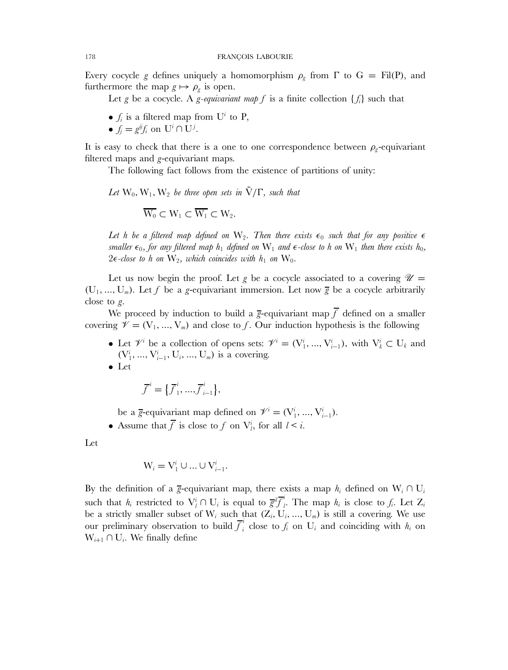Every cocycle g defines uniquely a homomorphism  $\rho_g$  from  $\Gamma$  to  $G = \text{Fil}(P)$ , and furthermore the map  $g \mapsto \rho_g$  is open.

Let g be a cocycle. A g-equivariant map f is a finite collection  $\{f_i\}$  such that

- $f_i$  is a filtered map from  $U^i$  to P,
- $f_j = g^{ij} f_i$  on  $U^i \cap U^j$ .

It is easy to check that there is a one to one correspondence between  $\rho_{g}$ -equivariant filtered maps and g-equivariant maps.

The following fact follows from the existence of partitions of unity:

Let  $W_0, W_1, W_2$  *be three open sets in*  $\tilde{V}/\Gamma$ *, such that* 

 $\overline{W_0} \subset W_1 \subset \overline{W_1} \subset W_2$ .

Let h be a filtered map defined on  $W_2$ . Then there exists  $\epsilon_0$  such that for any positive  $\epsilon$ *smaller*  $\epsilon_0$ *, for any filtered map*  $h_1$  *defined on*  $W_1$  *and*  $\epsilon$ -close to h on  $W_1$  *then there exists*  $h_0$ *,* 2 $\epsilon$ -close to h on  $W_2$ , which coincides with  $h_1$  on  $W_0$ .

Let us now begin the proof. Let g be a cocycle associated to a covering  $\mathcal{U} =$  $(U_1, ..., U_m)$ . Let f be a g-equivariant immersion. Let now  $\overline{g}$  be a cocycle arbitrarily close to g.

We proceed by induction to build a g-equivariant map  $\overline{f}$  defined on a smaller covering  $\mathscr{V} = (V_1, ..., V_m)$  and close to f. Our induction hypothesis is the following

- Let  $\mathcal{V}^i$  be a collection of opens sets:  $\mathcal{V}^i = (\mathbf{V}^i_1, ..., \mathbf{V}^i_{i-1}),$  with  $\mathbf{V}^i_k \subset \mathbf{U}_k$  and  $(V_1^i, ..., V_{i-1}^i, U_i, ..., U_m)$  is a covering.
- Let

$$
\overline{f}^i = {\overline{f}_1^i, ..., \overline{f}_{i-1}^i},
$$

be a  $\overline{g}$ -equivariant map defined on  $\mathcal{V}^i = (\mathbf{V}^i_1, ..., \mathbf{V}^i_{i-1}).$ 

• Assume that  $\overline{f}$  is close to  $f$  on  $V_i^i$ , for all  $l < i$ .

Let

$$
W_i = V_1^i \cup ... \cup V_{i-1}^i.
$$

By the definition of a  $\bar{g}$ -equivariant map, there exists a map  $h_i$  defined on  $W_i \cap U_i$ such that  $h_i$  restricted to  $V_i^i \cap U_i$  is equal to  $\overline{g}^i \overline{f}_i^i$  $\mu$ . The map  $h_i$  is close to  $f_i$ . Let  $Z_i$ be a strictly smaller subset of  $W_i$  such that  $(Z_i, U_i, ..., U_m)$  is still a covering. We use our preliminary observation to build  $\overline{f}_i^i$  close to  $f_i$  on  $U_i$  and coinciding with  $h_i$  on  $W_{i+1} \cap U_i$ . We finally define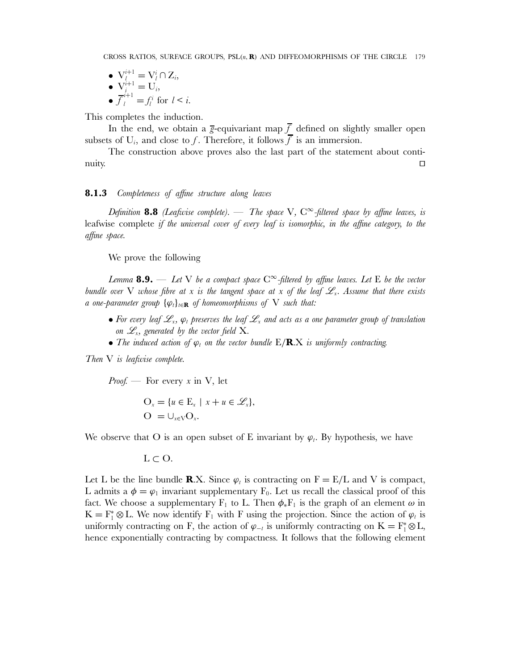$\bullet\ \mathbf{V}^{i+1}_{l}=\mathbf{V}^{i}_{l}\cap \mathbf{Z}_{i},$ •  $V_i^{i+1} = U_i$ •  $\overline{f}_l^{i+1} = f_l^i$  for  $l < i$ .

This completes the induction.

In the end, we obtain a  $\bar{g}$ -equivariant map  $\bar{f}$  defined on slightly smaller open subsets of  $U_i$ , and close to f. Therefore, it follows f is an immersion.

The construction above proves also the last part of the statement about continuity.  $\Box$ 

## **8.1.3** *Completeness of affine structure along leaves*

*Definition* **8.8** *(Leafwise complete).* — *The space* V,  $C^{\infty}$ -filtered space by affine leaves, is leafwise complete *if the universal cover of every leaf is isomorphic, in the affine category, to the affine space.*

We prove the following

*Lemma* **8.9.** — *Let* V *be a compact space* C<sup>∞</sup>*-filtered by affine leaves. Let* E *be the vector bundle over* V *whose fibre at* x *is the tangent space at* x of the leaf  $\mathscr{L}_x$ . Assume that there exists *a* one-parameter group  $\{\varphi_t\}_{t \in \mathbf{R}}$  of homeomorphisms of V such that:

- For every leaf  $\mathscr{L}_x$ ,  $\varphi_t$  preserves the leaf  $\mathscr{L}_x$  and acts as a one parameter group of translation *on*  $\mathscr{L}_x$ *, generated by the vector field* X*.*
- *The induced action of*  $\varphi_t$  *on the vector bundle*  $E/R.X$  *is uniformly contracting.*

*Then* V *is leafwise complete.*

*Proof.* — For every x in V, let

$$
\begin{aligned} \mathbf{O}_x &= \{ u \in \mathbf{E}_x \mid x + u \in \mathscr{L}_x \}, \\ \mathbf{O} &= \cup_{x \in \mathbf{V}} \mathbf{O}_x. \end{aligned}
$$

We observe that O is an open subset of E invariant by  $\varphi_t$ . By hypothesis, we have

 $L \subset O$ .

Let L be the line bundle **R**.X. Since  $\varphi_t$  is contracting on  $F = E/L$  and V is compact, L admits a  $\phi = \varphi_1$  invariant supplementary  $F_0$ . Let us recall the classical proof of this fact. We choose a supplementary  $F_1$  to L. Then  $\phi_* F_1$  is the graph of an element  $\omega$  in  $K = F_1^* \otimes L$ . We now identify  $F_1$  with F using the projection. Since the action of  $\varphi_t$  is uniformly contracting on F, the action of  $\varphi_{-t}$  is uniformly contracting on  $K = F_1^* \otimes L$ , hence exponentially contracting by compactness. It follows that the following element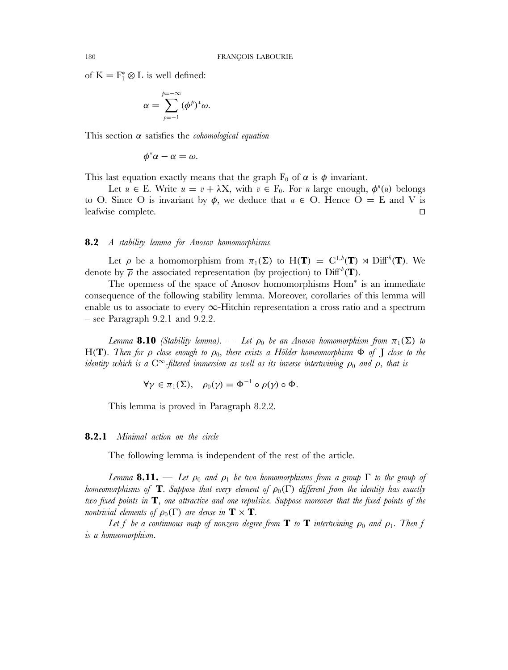of  $K = F_1^* \otimes L$  is well defined:

$$
\alpha = \sum_{p=-1}^{p=-\infty} (\phi^p)^* \omega.
$$

This section α satisfies the *cohomological equation*

$$
\phi^*\alpha-\alpha=\omega.
$$

This last equation exactly means that the graph  $F_0$  of  $\alpha$  is  $\phi$  invariant.

Let  $u \in E$ . Write  $u = v + \lambda X$ , with  $v \in F_0$ . For *n* large enough,  $\phi^n(u)$  belongs to O. Since O is invariant by  $\phi$ , we deduce that  $u \in O$ . Hence  $O = E$  and V is leafwise complete.  $\Box$ 

## **8.2** *A stability lemma for Anosov homomorphisms*

Let  $\rho$  be a homomorphism from  $\pi_1(\Sigma)$  to  $H(T) = C^{1,h}(T) \rtimes \text{Diff}^h(T)$ . We denote by  $\overline{\rho}$  the associated representation (by projection) to Diff<sup>h</sup>(**T**).

The openness of the space of Anosov homomorphisms Hom<sup>∗</sup> is an immediate consequence of the following stability lemma. Moreover, corollaries of this lemma will enable us to associate to every  $\infty$ -Hitchin representation a cross ratio and a spectrum – see Paragraph 9.2.1 and 9.2.2.

*Lemma* **8.10** *(Stability lemma).* — *Let*  $\rho_0$  *be an Anosov homomorphism from*  $\pi_1(\Sigma)$  *to* H(**T**)*. Then for*  $\rho$  *close enough to*  $\rho_0$ *, there exists a Hölder homeomorphism*  $\Phi$  *of*  $\Gamma$  *close to the identity which is a*  $C^{\infty}$ -filtered immersion as well as its inverse intertwining  $\rho_0$  and  $\rho$ , that is

 $\forall \nu \in \pi_1(\Sigma)$ ,  $\rho_0(\nu) = \Phi^{-1} \circ \rho(\nu) \circ \Phi$ .

This lemma is proved in Paragraph 8.2.2.

## **8.2.1** *Minimal action on the circle*

The following lemma is independent of the rest of the article.

*Lemma* **8.11.** — *Let*  $\rho_0$  *and*  $\rho_1$  *be two homomorphisms from a group*  $\Gamma$  *to the group of homeomorphisms of* **T***. Suppose that every element of*  $\rho_0(\Gamma)$  *different from the identity has exactly two fixed points in* **T***, one attractive and one repulsive. Suppose moreover that the fixed points of the nontrivial elements of*  $\rho_0(\Gamma)$  *are dense in*  $\mathbf{T} \times \mathbf{T}$ *.* 

Let f be a continuous map of nonzero degree from  $\bf{T}$  to  $\bf{T}$  intertwining  $\rho_0$  and  $\rho_1$ . Then f *is a homeomorphism.*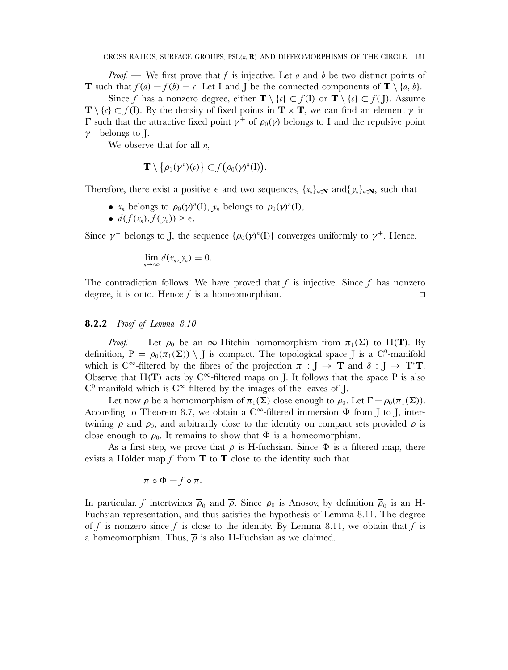*Proof.* — We first prove that f is injective. Let a and b be two distinct points of **T** such that  $f(a) = f(b) = c$ . Let I and J be the connected components of  $\mathbf{T} \setminus \{a, b\}$ .

Since f has a nonzero degree, either  $\mathbf{T} \setminus \{c\} \subset f(\mathbf{I})$  or  $\mathbf{T} \setminus \{c\} \subset f(\mathbf{I})$ . Assume **T** \  $\{c\} \subset f(\mathbf{I})$ . By the density of fixed points in **T** × **T**, we can find an element  $\gamma$  in Γ such that the attractive fixed point  $\gamma^+$  of  $\rho_0(\gamma)$  belongs to I and the repulsive point  $\gamma$ <sup>-</sup> belongs to J.

We observe that for all  $n$ ,

$$
\mathbf{T}\setminus\{\rho_1(\gamma^n)(c)\}\subset f(\rho_0(\gamma)^n(I)).
$$

Therefore, there exist a positive  $\epsilon$  and two sequences,  $\{x_n\}_{n\in\mathbb{N}}$  and  $\{y_n\}_{n\in\mathbb{N}}$ , such that

- $x_n$  belongs to  $\rho_0(\gamma)^n(I)$ ,  $y_n$  belongs to  $\rho_0(\gamma)^n(I)$ ,
- $d(f(x_n), f(y_n)) \geq \epsilon$ .

Since  $\gamma$ <sup>-</sup> belongs to J, the sequence  $\{\rho_0(\gamma)^n(I)\}$  converges uniformly to  $\gamma^+$ . Hence,

$$
\lim_{n\to\infty}d(x_n,y_n)=0.
$$

The contradiction follows. We have proved that f is injective. Since f has nonzero degree, it is onto. Hence  $f$  is a homeomorphism.  $\Box$ 

## **8.2.2** *Proof of Lemma 8.10*

*Proof.* — Let  $\rho_0$  be an  $\infty$ -Hitchin homomorphism from  $\pi_1(\Sigma)$  to H(**T**). By definition,  $P = \rho_0(\pi_1(\Sigma)) \setminus J$  is compact. The topological space J is a C<sup>0</sup>-manifold which is C<sup>∞</sup>-filtered by the fibres of the projection  $\pi : J \to \mathbf{T}$  and  $\delta : J \to T^* \mathbf{T}$ . Observe that H(**T**) acts by  $C^{\infty}$ -filtered maps on J. It follows that the space P is also  $C^0$ -manifold which is  $C^\infty$ -filtered by the images of the leaves of J.

Let now  $\rho$  be a homomorphism of  $\pi_1(\Sigma)$  close enough to  $\rho_0$ . Let  $\Gamma = \rho_0(\pi_1(\Sigma))$ . According to Theorem 8.7, we obtain a  $C^{\infty}$ -filtered immersion  $\Phi$  from J to J, intertwining  $\rho$  and  $\rho_0$ , and arbitrarily close to the identity on compact sets provided  $\rho$  is close enough to  $\rho_0$ . It remains to show that  $\Phi$  is a homeomorphism.

As a first step, we prove that  $\bar{\rho}$  is H-fuchsian. Since  $\Phi$  is a filtered map, there exists a Hölder map f from  $\mathbf T$  to  $\mathbf T$  close to the identity such that

$$
\pi \circ \Phi = f \circ \pi.
$$

In particular, f intertwines  $\overline{\rho}_0$  and  $\overline{\rho}$ . Since  $\rho_0$  is Anosov, by definition  $\overline{\rho}_0$  is an H-Fuchsian representation, and thus satisfies the hypothesis of Lemma 8.11. The degree of f is nonzero since f is close to the identity. By Lemma 8.11, we obtain that f is a homeomorphism. Thus,  $\bar{\rho}$  is also H-Fuchsian as we claimed.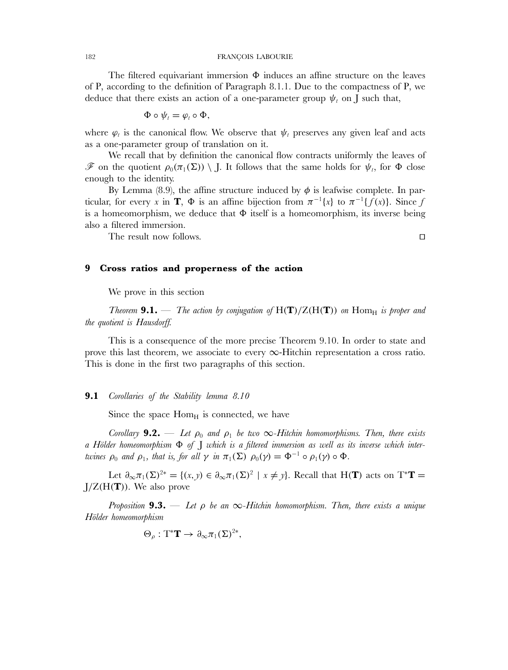The filtered equivariant immersion  $\Phi$  induces an affine structure on the leaves of P, according to the definition of Paragraph 8.1.1. Due to the compactness of P, we deduce that there exists an action of a one-parameter group  $\psi_t$  on J such that,

$$
\Phi\circ\psi_t=\varphi_t\circ\Phi,
$$

where  $\varphi_t$  is the canonical flow. We observe that  $\psi_t$  preserves any given leaf and acts as a one-parameter group of translation on it.

We recall that by definition the canonical flow contracts uniformly the leaves of  $\mathscr F$  on the quotient  $\rho_0(\pi_1(\Sigma)) \setminus J$ . It follows that the same holds for  $\psi_t$ , for  $\Phi$  close enough to the identity.

By Lemma (8.9), the affine structure induced by  $\phi$  is leafwise complete. In particular, for every x in **T**,  $\Phi$  is an affine bijection from  $\pi^{-1}\{x\}$  to  $\pi^{-1}\{f(x)\}$ . Since f is a homeomorphism, we deduce that Φ itself is a homeomorphism, its inverse being also a filtered immersion.

 $\Box$ 

The result now follows.

# **9 Cross ratios and properness of the action**

We prove in this section

*Theorem* **9.1.** — *The action by conjugation of*  $H(T)/Z(H(T))$  *on*  $Hom_H$  *is proper and the quotient is Hausdorff.*

This is a consequence of the more precise Theorem 9.10. In order to state and prove this last theorem, we associate to every ∞-Hitchin representation a cross ratio. This is done in the first two paragraphs of this section.

### **9.1** *Corollaries of the Stability lemma 8.10*

Since the space  $Hom_H$  is connected, we have

*Corollary* **9.2.** — Let  $\rho_0$  and  $\rho_1$  be two  $\infty$ -Hitchin homomorphisms. Then, there exists *a Hölder homeomorphism* Φ *of* J *which is a filtered immersion as well as its inverse which intertwines*  $\rho_0$  *and*  $\rho_1$ *, that is, for all*  $\gamma$  *in*  $\pi_1(\Sigma)$   $\rho_0(\gamma) = \Phi^{-1} \circ \rho_1(\gamma) \circ \Phi$ *.* 

Let  $\partial_{\infty}\pi_1(\Sigma)^{2*} = \{(x, y) \in \partial_{\infty}\pi_1(\Sigma)^2 \mid x \neq y\}$ . Recall that H(**T**) acts on T<sup>\*</sup>**T** = J/Z(H(**T**)). We also prove

*Proposition* **9.3.** — *Let* ρ *be an* ∞*-Hitchin homomorphism. Then, there exists a unique Hölder homeomorphism*

$$
\Theta_{\rho} : T^* \mathbf{T} \to \partial_{\infty} \pi_1(\Sigma)^{2*},
$$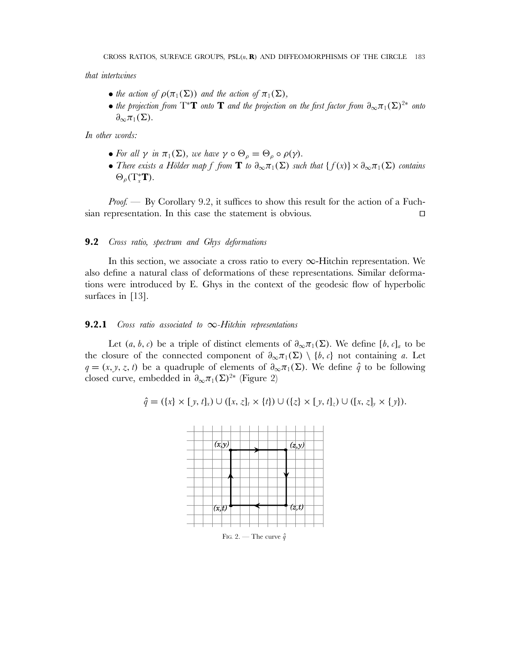*that intertwines*

- *the action of*  $\rho(\pi_1(\Sigma))$  *and the action of*  $\pi_1(\Sigma)$ *,*
- *the projection from*  $T^*T$  *onto*  $T$  *and the projection on the first factor from*  $\partial_{\infty}\pi_1(\Sigma)^{2*}$  *onto*  $\partial_{\infty}\pi_1(\Sigma)$ .

*In other words:*

- For all  $\gamma$  in  $\pi_1(\Sigma)$ , we have  $\gamma \circ \Theta_\rho = \Theta_\rho \circ \rho(\gamma)$ .
- *There exists a Hölder map* f from **T** *to*  $\partial_{\infty} \pi_1(\Sigma)$  *such that*  $\{f(x)\}\times \partial_{\infty} \pi_1(\Sigma)$  *contains*  $\Theta_{\rho}(T_{x}^{*}\mathbf{T}).$

*Proof.* — By Corollary 9.2, it suffices to show this result for the action of a Fuchsian representation. In this case the statement is obvious.  $\Box$ 

## **9.2** *Cross ratio, spectrum and Ghys deformations*

In this section, we associate a cross ratio to every  $\infty$ -Hitchin representation. We also define a natural class of deformations of these representations. Similar deformations were introduced by E. Ghys in the context of the geodesic flow of hyperbolic surfaces in [13].

## **9.2.1** *Cross ratio associated to* ∞*-Hitchin representations*

Let  $(a, b, c)$  be a triple of distinct elements of  $\partial_{\infty} \pi_1(\Sigma)$ . We define  $[b, c]_a$  to be the closure of the connected component of  $\partial_{\infty}\pi_1(\Sigma) \setminus \{b, c\}$  not containing a. Let  $q = (x, y, z, t)$  be a quadruple of elements of  $\partial_{\infty} \pi_1(\Sigma)$ . We define  $\hat{q}$  to be following closed curve, embedded in  $\partial_{\infty}\pi_1(\Sigma)^{2*}$  (Figure 2)

$$
\hat{q} = (\{x\} \times [y, t]_x) \cup ([x, z]_t \times \{t\}) \cup (\{z\} \times [y, t]_z) \cup ([x, z]_y \times \{y\}).
$$

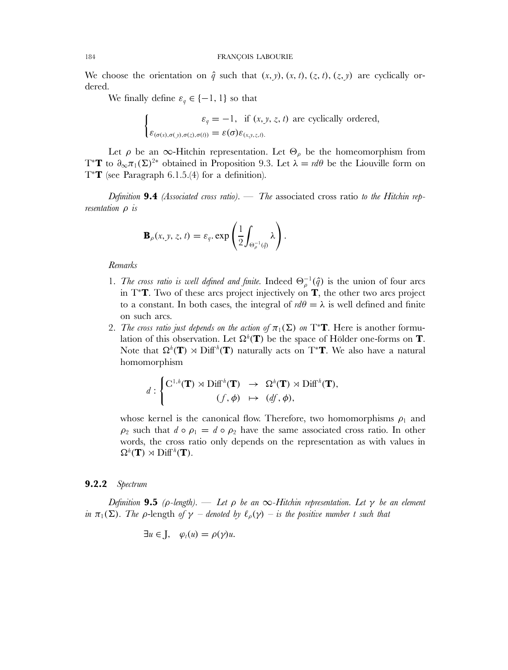We choose the orientation on  $\hat{q}$  such that  $(x, y)$ ,  $(x, t)$ ,  $(z, t)$ ,  $(z, y)$  are cyclically ordered.

We finally define  $\varepsilon_q \in \{-1, 1\}$  so that

$$
\begin{cases}\n\varepsilon_q = -1, & \text{if } (x, y, z, t) \text{ are cyclically ordered,} \\
\varepsilon_{(\sigma(x), \sigma(y), \sigma(z), \sigma(t))} = \varepsilon(\sigma) \varepsilon_{(x, y, z, t)}.\n\end{cases}
$$

Let  $\rho$  be an  $\infty$ -Hitchin representation. Let  $\Theta_{\rho}$  be the homeomorphism from T<sup>\*</sup>**T** to  $\partial_{\infty}\pi_1(\Sigma)^{2*}$  obtained in Proposition 9.3. Let  $\lambda = d\theta$  be the Liouville form on T<sup>∗</sup>**T** (see Paragraph 6.1.5.(4) for a definition).

*Definition* **9.4** *(Associated cross ratio).* — *The* associated cross ratio *to the Hitchin representation* ρ *is*

$$
\mathbf{B}_{\rho}(x, y, z, t) = \varepsilon_q \exp\left(\frac{1}{2}\int_{\Theta_{\rho}^{-1}(\hat{q})}\lambda\right).
$$

*Remarks*

- 1. *The cross ratio is well defined and finite*. Indeed  $\Theta_{\rho}^{-1}(\hat{q})$  is the union of four arcs in T<sup>∗</sup>**T**. Two of these arcs project injectively on **T**, the other two arcs project to a constant. In both cases, the integral of  $d\theta = \lambda$  is well defined and finite on such arcs.
- 2. *The cross ratio just depends on the action of*  $\pi_1(\Sigma)$  *on* T<sup>\*</sup>**T**. Here is another formulation of this observation. Let  $\Omega^h(\mathbf{T})$  be the space of Hölder one-forms on  $\mathbf{T}$ . Note that  $\Omega^h(\mathbf{T}) \rtimes \mathrm{Diff}^h(\mathbf{T})$  naturally acts on T<sup>\*</sup>**T**. We also have a natural homomorphism

$$
d: \begin{cases} \mathrm{C}^{1,h}(\mathbf{T}) \rtimes \mathrm{Diff}^h(\mathbf{T}) \rightarrow \Omega^h(\mathbf{T}) \rtimes \mathrm{Diff}^h(\mathbf{T}), \\ (f, \phi) \mapsto (df, \phi), \end{cases}
$$

whose kernel is the canonical flow. Therefore, two homomorphisms  $\rho_1$  and  $\rho_2$  such that  $d \circ \rho_1 = d \circ \rho_2$  have the same associated cross ratio. In other words, the cross ratio only depends on the representation as with values in  $\Omega^h(\mathbf{T}) \rtimes \mathrm{Diff}^h(\mathbf{T}).$ 

## **9.2.2** *Spectrum*

*Definition* **9.5** *(* $\rho$ *-length).* — *Let*  $\rho$  *be an*  $\infty$ *-Hitchin representation. Let*  $\gamma$  *be an element in*  $\pi_1(\Sigma)$ *. The ρ*-length *of*  $\gamma$  *– denoted by*  $\ell_\rho(\gamma)$  – *is the positive number* t *such that* 

$$
\exists u \in J, \quad \varphi_t(u) = \rho(\gamma)u.
$$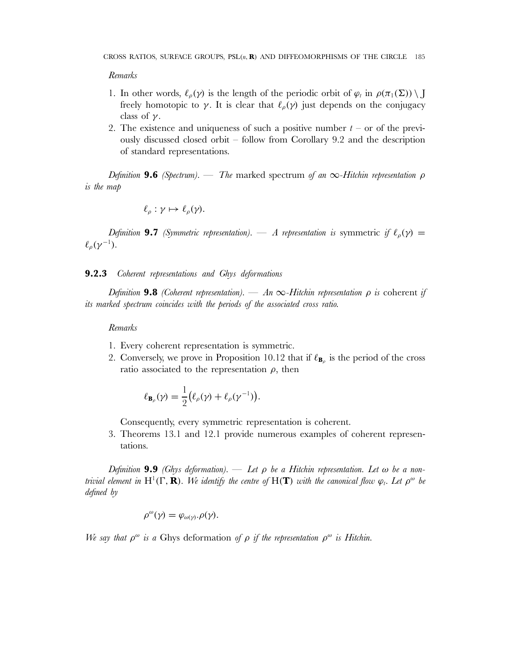#### *Remarks*

- 1. In other words,  $\ell_{\rho}(\gamma)$  is the length of the periodic orbit of  $\varphi_t$  in  $\rho(\pi_1(\Sigma)) \setminus J$ freely homotopic to  $\gamma$ . It is clear that  $\ell_{\rho}(\gamma)$  just depends on the conjugacy class of  $\gamma$ .
- 2. The existence and uniqueness of such a positive number  $t -$  or of the previously discussed closed orbit – follow from Corollary 9.2 and the description of standard representations.

*Definition* **9.6** *(Spectrum).* — *The* marked spectrum *of an* ∞*-Hitchin representation* ρ *is the map*

$$
\ell_{\rho}:\gamma\mapsto\ell_{\rho}(\gamma).
$$

*Definition* **9.7** *(Symmetric representation).* — *A representation is* symmetric *if*  $\ell_o(\gamma)$  =  $\ell_\rho(\gamma^{-1}).$ 

## **9.2.3** *Coherent representations and Ghys deformations*

*Definition* 9.8 *(Coherent representation).* — *An*  $\infty$ -Hitchin representation  $\rho$  is coherent if *its marked spectrum coincides with the periods of the associated cross ratio.*

### *Remarks*

- 1. Every coherent representation is symmetric.
- 2. Conversely, we prove in Proposition 10.12 that if  $\ell_{\mathbf{B}_p}$  is the period of the cross ratio associated to the representation  $\rho$ , then

$$
\ell_{\mathbf{B}_{\rho}}(\gamma) = \frac{1}{2} (\ell_{\rho}(\gamma) + \ell_{\rho}(\gamma^{-1})).
$$

Consequently, every symmetric representation is coherent.

3. Theorems 13.1 and 12.1 provide numerous examples of coherent representations.

*Definition* **9.9** *(Ghys deformation).* — *Let* ρ *be a Hitchin representation. Let* ω *be a nontrivial element in*  $H^1(\Gamma, \mathbf{R})$ *. We identify the centre of*  $H(\mathbf{T})$  *with the canonical flow*  $\varphi_t$ *. Let*  $\rho^{\omega}$  *be defined by*

$$
\rho^{\omega}(\gamma) = \varphi_{\omega(\gamma)}.\rho(\gamma).
$$

*We say that*  $\rho^{\omega}$  *is a* Ghys deformation *of*  $\rho$  *if the representation*  $\rho^{\omega}$  *is Hitchin.*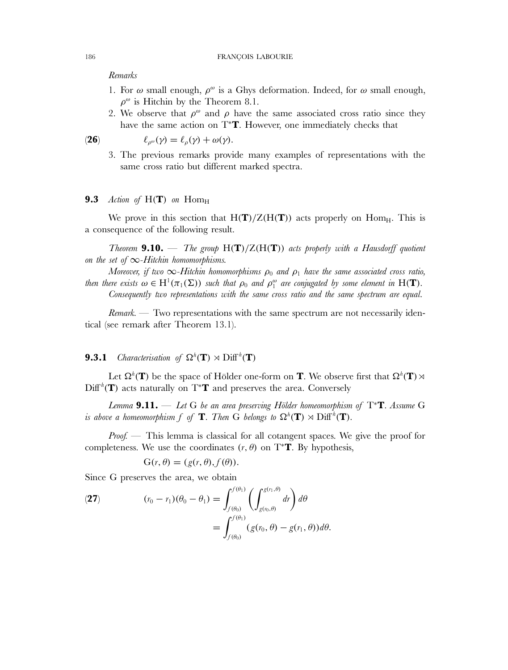### *Remarks*

- 1. For  $\omega$  small enough,  $\rho^{\omega}$  is a Ghys deformation. Indeed, for  $\omega$  small enough,  $\rho^{\omega}$  is Hitchin by the Theorem 8.1.
- 2. We observe that  $\rho^{\omega}$  and  $\rho$  have the same associated cross ratio since they have the same action on T<sup>∗</sup>**T**. However, one immediately checks that

**(26)**  $\ell_{\rho^{\omega}}(\gamma) = \ell_{\rho}(\gamma) + \omega(\gamma).$ 

3. The previous remarks provide many examples of representations with the same cross ratio but different marked spectra.

### **9.3** *Action of*  $H(T)$  *on*  $Hom_H$

We prove in this section that  $H(T)/Z(H(T))$  acts properly on Hom<sub>H</sub>. This is a consequence of the following result.

*Theorem* **9.10.** — *The group* H(**T**)/Z(H(**T**)) *acts properly with a Hausdorff quotient on the set of* ∞*-Hitchin homomorphisms.*

*Moreover, if two*  $\infty$ -Hitchin homomorphisms  $\rho_0$  and  $\rho_1$  have the same associated cross ratio, *then there exists*  $\omega \in H^1(\pi_1(\Sigma))$  *such that*  $\rho_0$  *and*  $\rho_1^{\omega}$  *are conjugated by some element in*  $H(\mathbf{T})$ *. Consequently two representations with the same cross ratio and the same spectrum are equal.*

*Remark.* — Two representations with the same spectrum are not necessarily identical (see remark after Theorem 13.1).

# **9.3.1** *Characterisation of*  $\Omega^h(\mathbf{T}) \rtimes \text{Diff}^h(\mathbf{T})$

Let  $\Omega^h(\mathbf{T})$  be the space of Hölder one-form on **T**. We observe first that  $\Omega^h(\mathbf{T}) \rtimes$  $\text{Diff}^{\hbar}(\mathbf{T})$  acts naturally on  $T^*\mathbf{T}$  and preserves the area. Conversely

*Lemma* **9.11.** — *Let* G *be an area preserving Hölder homeomorphism of* T<sup>∗</sup>**T***. Assume* G *is above a homeomorphism*  $f$  *of*  $\textbf{T}$ *. Then*  $\overline{G}$  *belongs to*  $\Omega^h(\textbf{T}) \rtimes \mathrm{Diff}^h(\textbf{T})$ *.* 

*Proof.* — This lemma is classical for all cotangent spaces. We give the proof for completeness. We use the coordinates  $(r, \theta)$  on T<sup>\*</sup>**T**. By hypothesis,

$$
G(r, \theta) = (g(r, \theta), f(\theta)).
$$

Since G preserves the area, we obtain

(27) 
$$
(r_0 - r_1)(\theta_0 - \theta_1) = \int_{f(\theta_0)}^{f(\theta_1)} \left( \int_{g(r_0, \theta)}^{g(r_1, \theta)} dr \right) d\theta
$$

$$
= \int_{f(\theta_0)}^{f(\theta_1)} (g(r_0, \theta) - g(r_1, \theta)) d\theta.
$$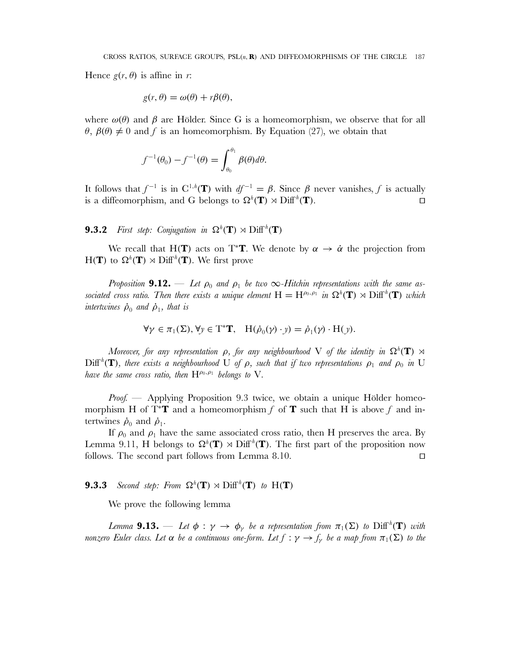Hence  $g(r, \theta)$  is affine in r:

$$
g(r,\theta) = \omega(\theta) + r\beta(\theta),
$$

where  $\omega(\theta)$  and  $\beta$  are Hölder. Since G is a homeomorphism, we observe that for all  $\theta$ ,  $\beta(\theta) \neq 0$  and f is an homeomorphism. By Equation (27), we obtain that

$$
f^{-1}(\theta_0) - f^{-1}(\theta) = \int_{\theta_0}^{\theta_1} \beta(\theta) d\theta.
$$

It follows that  $f^{-1}$  is in  $C^{1,h}(\mathbf{T})$  with  $df^{-1} = \beta$ . Since  $\beta$  never vanishes, f is actually is a diffeomorphism, and G belongs to  $\Omega^h(\mathbf{T}) \rtimes \mathrm{Diff}^h(\mathbf{T})$ .  $\Box$ 

**9.3.2** *First step: Conjugation in*  $\Omega^h(\mathbf{T}) \rtimes \mathrm{Diff}^h(\mathbf{T})$ 

We recall that H(**T**) acts on T<sup>\*</sup>**T**. We denote by  $\alpha \to \dot{\alpha}$  the projection from  $H(T)$  to  $\Omega^h(T) \rtimes \text{Diff}^h(T)$ . We first prove

*Proposition* **9.12.** — Let  $\rho_0$  and  $\rho_1$  be two  $\infty$ -Hitchin representations with the same as*sociated cross ratio. Then there exists a unique element*  $H = H^{\rho_0, \rho_1}$  *in*  $\Omega^h(\mathbf{T}) \rtimes \mathrm{Diff}^h(\mathbf{T})$  *which intertwines*  $\dot{\rho}_0$  *and*  $\dot{\rho}_1$ *, that is* 

$$
\forall \gamma \in \pi_1(\Sigma), \forall y \in T^* \mathbf{T}, \quad H(\dot{\rho}_0(\gamma) \cdot y) = \dot{\rho}_1(\gamma) \cdot H(y).
$$

*Moreover, for any representation*  $\rho$ *, for any neighbourhood*  $V$  *of the identity in*  $\Omega^h(\mathbf{T})\rtimes\mathbf{I}$  $\mathrm{Diff}^h(\mathbf{T})$ *, there exists a neighbourhood*  $U$  *of*  $\rho$ *, such that if two representations*  $\rho_1$  *and*  $\rho_0$  *in*  $U$ *have the same cross ratio, then*  $H^{\rho_0, \rho_1}$  *belongs to* V.

*Proof.* — Applying Proposition 9.3 twice, we obtain a unique Hölder homeomorphism H of T<sup>∗</sup>**T** and a homeomorphism f of **T** such that H is above f and intertwines  $\dot{\rho}_0$  and  $\dot{\rho}_1$ .

If  $\rho_0$  and  $\rho_1$  have the same associated cross ratio, then H preserves the area. By Lemma 9.11, H belongs to  $\Omega^h(\mathbf{T}) \rtimes \mathrm{Diff}^h(\mathbf{T})$ . The first part of the proposition now follows. The second part follows from Lemma 8.10.  $\Box$ 

# **9.3.3** *Second step: From*  $\Omega^h(\mathbf{T}) \rtimes \mathrm{Diff}^h(\mathbf{T})$  *to*  $H(\mathbf{T})$

We prove the following lemma

Lemma  $9.13.$  — Let  $\phi$  :  $\gamma$   $\rightarrow$   $\phi$ <sub> $\gamma$ </sub> be a representation from  $\pi_1(\Sigma)$  to  $\mathrm{Diff}^h(\mathbf{T})$  with *nonzero Euler class. Let*  $\alpha$  *be a continuous one-form. Let*  $f : \gamma \to f_{\gamma}$  *be a map from*  $\pi_1(\Sigma)$  *to the*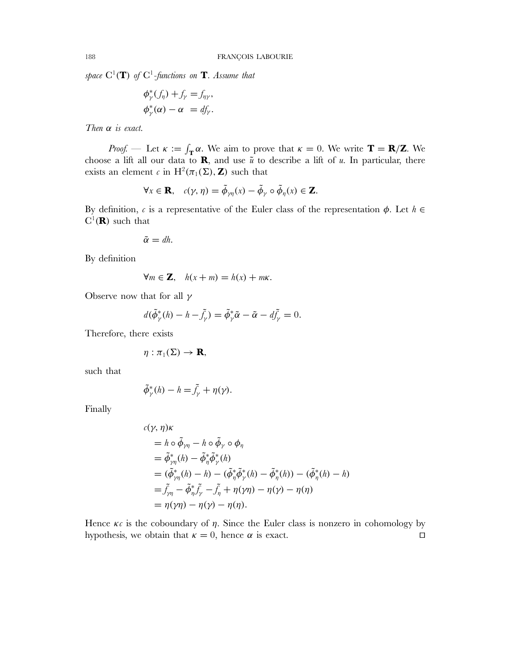$space \ C^1(\mathbf{T})$  of  $C^1$ -functions on  $\mathbf{T}$ *. Assume that* 

$$
\begin{aligned}\n\phi^*_\gamma(f_\eta) + f_\gamma &= f_{\eta\gamma}, \\
\phi^*_\gamma(\alpha) - \alpha &= df_\gamma.\n\end{aligned}
$$

*Then* α *is exact.*

*Proof.* — Let  $\kappa := \int_{\mathbf{T}} \alpha$ . We aim to prove that  $\kappa = 0$ . We write  $\mathbf{T} = \mathbf{R}/\mathbf{Z}$ . We choose a lift all our data to **R**, and use  $\tilde{u}$  to describe a lift of u. In particular, there exists an element c in H<sup>2</sup>( $\pi_1(\Sigma)$ , **Z**) such that

$$
\forall x \in \mathbf{R}, \quad c(\gamma, \eta) = \tilde{\phi}_{\gamma\eta}(x) - \tilde{\phi}_{\gamma} \circ \tilde{\phi}_{\eta}(x) \in \mathbf{Z}.
$$

By definition, c is a representative of the Euler class of the representation  $\phi$ . Let  $h \in$  $C^1(\mathbf{R})$  such that

$$
\tilde{\alpha}=dh.
$$

By definition

$$
\forall m \in \mathbf{Z}, \quad h(x+m) = h(x) + m\kappa.
$$

Observe now that for all  $\gamma$ 

$$
d(\tilde{\phi}_{\gamma}^*(h) - h - \tilde{f}_{\gamma}) = \tilde{\phi}_{\gamma}^* \tilde{\alpha} - \tilde{\alpha} - d\tilde{f}_{\gamma} = 0.
$$

Therefore, there exists

$$
\eta: \pi_1(\Sigma) \to \mathbf{R},
$$

such that

$$
\tilde{\phi}_{\gamma}^*(h) - h = \tilde{f}_{\gamma} + \eta(\gamma).
$$

Finally

$$
c(\gamma, \eta)\kappa
$$
  
=  $h \circ \tilde{\phi}_{\gamma\eta} - h \circ \tilde{\phi}_{\gamma} \circ \phi_{\eta}$   
=  $\tilde{\phi}_{\gamma\eta}^*(h) - \tilde{\phi}_{\eta}^* \tilde{\phi}_{\gamma}^*(h)$   
=  $(\tilde{\phi}_{\gamma\eta}^*(h) - h) - (\tilde{\phi}_{\eta}^* \tilde{\phi}_{\gamma}^*(h) - \tilde{\phi}_{\eta}^*(h)) - (\tilde{\phi}_{\eta}^*(h) - h)$   
=  $\tilde{f}_{\gamma\eta} - \tilde{\phi}_{\eta}^* \tilde{f}_{\gamma} - \tilde{f}_{\eta} + \eta(\gamma\eta) - \eta(\gamma) - \eta(\eta)$   
=  $\eta(\gamma\eta) - \eta(\gamma) - \eta(\eta)$ .

Hence  $\kappa c$  is the coboundary of  $\eta$ . Since the Euler class is nonzero in cohomology by hypothesis, we obtain that  $\kappa = 0$ , hence  $\alpha$  is exact.  $\Box$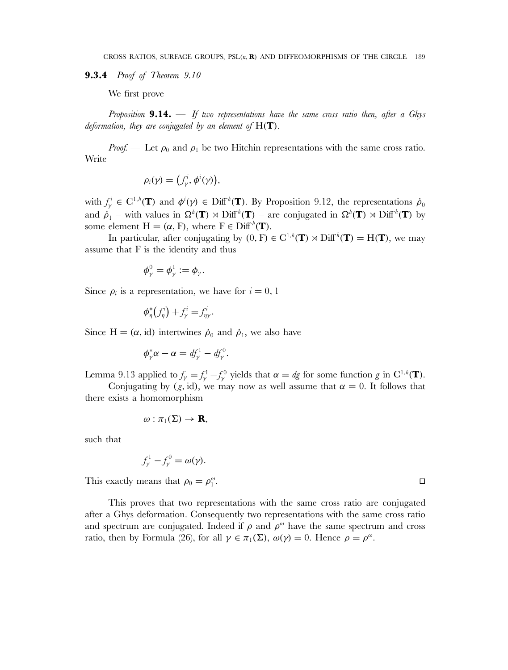**9.3.4** *Proof of Theorem 9.10*

We first prove

*Proposition* **9.14.** — *If two representations have the same cross ratio then, after a Ghys deformation, they are conjugated by an element of* H(**T**)*.*

*Proof.* — Let  $\rho_0$  and  $\rho_1$  be two Hitchin representations with the same cross ratio. Write

$$
\rho_i(\gamma) = \bigl(f_\gamma^i, \phi^i(\gamma)\bigr),
$$

with  $f^i_\gamma \in C^{1,h}(\mathbf{T})$  and  $\phi^i(\gamma) \in \text{Diff}^h(\mathbf{T})$ . By Proposition 9.12, the representations  $\dot{\rho}_0$ and  $\dot{\rho}_1$  – with values in  $\Omega^h(\mathbf{T}) \rtimes \text{Diff}^h(\mathbf{T})$  – are conjugated in  $\Omega^h(\mathbf{T}) \rtimes \text{Diff}^h(\mathbf{T})$  by some element  $H = (\alpha, F)$ , where  $F \in \text{Diff}^h(\mathbf{T})$ .

In particular, after conjugating by  $(0, F) \in C^{1,h}(\mathbf{T}) \rtimes \text{Diff}^h(\mathbf{T}) = H(\mathbf{T})$ , we may assume that F is the identity and thus

$$
\phi^0_\gamma=\phi^1_\gamma:=\phi_\gamma.
$$

Since  $\rho_i$  is a representation, we have for  $i = 0, 1$ 

 $\phi_{\eta}^*(f_{\eta}^i) + f_{\gamma}^i = f_{\eta\gamma}^i.$ 

Since H =  $(\alpha, id)$  intertwines  $\dot{\rho}_0$  and  $\dot{\rho}_1$ , we also have

$$
\phi_{\gamma}^* \alpha - \alpha = df_{\gamma}^1 - df_{\gamma}^0.
$$

Lemma 9.13 applied to  $f_{\gamma} = f_{\gamma}^1 - f_{\gamma}^0$  yields that  $\alpha = dg$  for some function g in C<sup>1,h</sup>(**T**).

Conjugating by  $(g, id)$ , we may now as well assume that  $\alpha = 0$ . It follows that there exists a homomorphism

$$
\omega: \pi_1(\Sigma) \to \mathbf{R},
$$

such that

$$
f_{\gamma}^{1} - f_{\gamma}^{0} = \omega(\gamma).
$$

This exactly means that  $\rho_0 = \rho_1^{\omega}$ .  $\mathbb{Z}$  .

This proves that two representations with the same cross ratio are conjugated after a Ghys deformation. Consequently two representations with the same cross ratio and spectrum are conjugated. Indeed if  $\rho$  and  $\rho^{\omega}$  have the same spectrum and cross ratio, then by Formula (26), for all  $\gamma \in \pi_1(\Sigma)$ ,  $\omega(\gamma) = 0$ . Hence  $\rho = \rho^{\omega}$ .

 $\Box$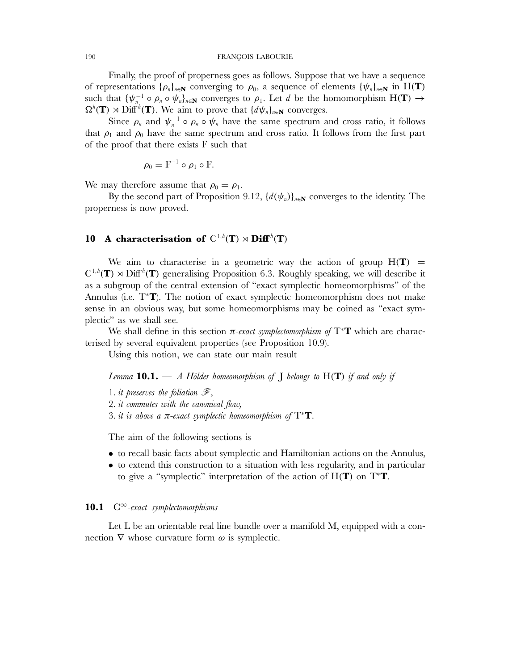#### 190 FRANÇOIS LABOURIE

Finally, the proof of properness goes as follows. Suppose that we have a sequence of representations  $\{\rho_n\}_{n\in\mathbb{N}}$  converging to  $\rho_0$ , a sequence of elements  $\{\psi_n\}_{n\in\mathbb{N}}$  in H(**T**) such that  $\{\psi_{n}^{-1} \circ \rho_n \circ \psi_n\}_{n \in \mathbb{N}}$  converges to  $\rho_1$ . Let d be the homomorphism  $H(\mathbf{T}) \to$  $\Omega^h(\mathbf{T}) \rtimes \mathrm{Diff}^h(\mathbf{T})$ . We aim to prove that  $\{d\psi_n\}_{n\in\mathbf{N}}$  converges.

Since  $\rho_n$  and  $\psi_n^{-1} \circ \rho_n \circ \psi_n$  have the same spectrum and cross ratio, it follows that  $\rho_1$  and  $\rho_0$  have the same spectrum and cross ratio. It follows from the first part of the proof that there exists F such that

$$
\rho_0 = F^{-1} \circ \rho_1 \circ F.
$$

We may therefore assume that  $\rho_0 = \rho_1$ .

By the second part of Proposition 9.12,  $\{d(\psi_n)\}_{n\in\mathbb{N}}$  converges to the identity. The properness is now proved.

# 10 A characterisation of  $C^{1,h}(T) \rtimes Diff^{h}(T)$

We aim to characterise in a geometric way the action of group  $H(T)$  =  $C^{1,h}(\mathbf{T}) \rtimes \mathrm{Diff}^h(\mathbf{T})$  generalising Proposition 6.3. Roughly speaking, we will describe it as a subgroup of the central extension of "exact symplectic homeomorphisms" of the Annulus (i.e. T<sup>∗</sup>**T**). The notion of exact symplectic homeomorphism does not make sense in an obvious way, but some homeomorphisms may be coined as "exact symplectic" as we shall see.

We shall define in this section  $\pi$ -exact symplectomorphism of  $T^*T$  which are characterised by several equivalent properties (see Proposition 10.9).

Using this notion, we can state our main result

*Lemma* **10.1.** — *A Hölder homeomorphism of* J *belongs to* H(**T**) *if and only if*

1*. it preserves the foliation* F*,* 2*. it commutes with the canonical flow,* 3*. it is above a* π*-exact symplectic homeomorphism of* T<sup>∗</sup>**T***.*

The aim of the following sections is

- to recall basic facts about symplectic and Hamiltonian actions on the Annulus,
- to extend this construction to a situation with less regularity, and in particular to give a "symplectic" interpretation of the action of H(**T**) on T<sup>∗</sup>**T**.

## **10.1** C<sup>∞</sup>*-exact symplectomorphisms*

Let L be an orientable real line bundle over a manifold M, equipped with a connection  $\nabla$  whose curvature form  $\omega$  is symplectic.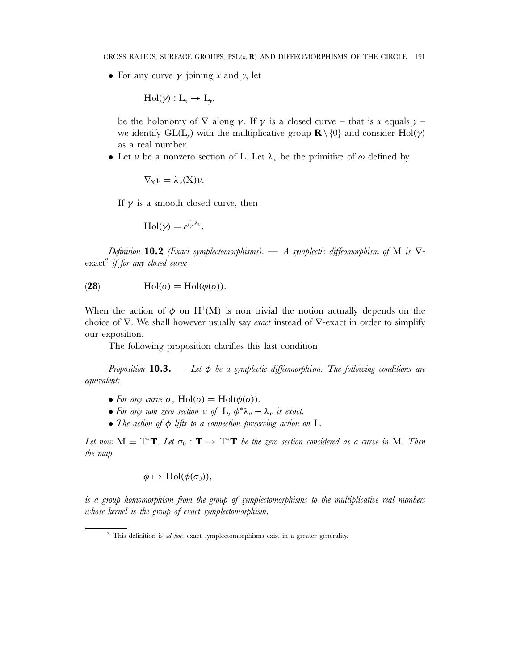• For any curve  $\gamma$  joining x and y, let

$$
\mathrm{Hol}(\gamma): L_x \to L_y,
$$

be the holonomy of  $\nabla$  along  $\gamma$ . If  $\gamma$  is a closed curve – that is x equals  $\gamma$  – we identify  $GL(L_x)$  with the multiplicative group **R** \ {0} and consider Hol( $\gamma$ ) as a real number.

• Let v be a nonzero section of L. Let  $\lambda_{\nu}$  be the primitive of  $\omega$  defined by

$$
\nabla_X \nu = \lambda_\nu(X) \nu.
$$

If  $\gamma$  is a smooth closed curve, then

$$
\mathrm{Hol}(\gamma)=e^{\int_{\gamma}\lambda_{\nu}}.
$$

*Definition* **10.2** *(Exact symplectomorphisms).* — *A symplectic diffeomorphism of* M *is* ∇ exact<sup>2</sup> *if for any closed curve*

(28) 
$$
\text{Hol}(\sigma) = \text{Hol}(\phi(\sigma)).
$$

When the action of  $\phi$  on H<sup>1</sup>(M) is non trivial the notion actually depends on the choice of ∇. We shall however usually say *exact* instead of ∇-exact in order to simplify our exposition.

The following proposition clarifies this last condition

*Proposition* **10.3.** — *Let* φ *be a symplectic diffeomorphism. The following conditions are equivalent:*

- *For any curve*  $\sigma$ , Hol( $\sigma$ ) = Hol( $\phi(\sigma)$ ).
- For any non zero section  $\nu$  of  $\mathbb{L}, \phi^* \lambda_{\nu} \lambda_{\nu}$  is exact.
- *The action of* φ *lifts to a connection preserving action on* L*.*

*Let now*  $M = T^*T$ *. Let*  $\sigma_0 : T \to T^*T$  *be the zero section considered as a curve in* M*. Then the map*

$$
\phi \mapsto \mathrm{Hol}(\phi(\sigma_0)),
$$

*is a group homomorphism from the group of symplectomorphisms to the multiplicative real numbers whose kernel is the group of exact symplectomorphism.*

<sup>2</sup> This definition is *ad hoc*: exact symplectomorphisms exist in a greater generality.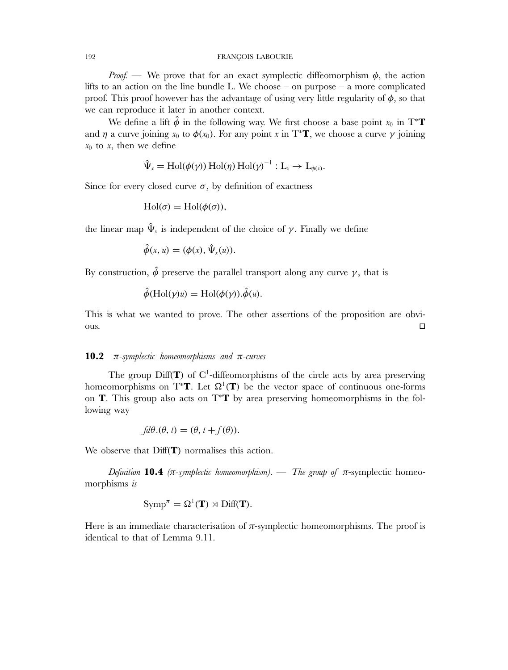*Proof.* — We prove that for an exact symplectic diffeomorphism  $\phi$ , the action lifts to an action on the line bundle L. We choose – on purpose – a more complicated proof. This proof however has the advantage of using very little regularity of  $\phi$ , so that we can reproduce it later in another context.

We define a lift  $\hat{\phi}$  in the following way. We first choose a base point  $x_0$  in T<sup>\*</sup>**T** and  $\eta$  a curve joining  $x_0$  to  $\phi(x_0)$ . For any point x in T<sup>\*</sup>**T**, we choose a curve  $\gamma$  joining  $x_0$  to x, then we define

$$
\hat{\Psi}_x = Hol(\phi(\gamma)) Hol(\eta) Hol(\gamma)^{-1} : L_x \to L_{\phi(x)}.
$$

Since for every closed curve  $\sigma$ , by definition of exactness

$$
Hol(\sigma) = Hol(\phi(\sigma)),
$$

the linear map  $\hat{\Psi}_x$  is independent of the choice of  $\gamma$ . Finally we define

$$
\hat{\phi}(x, u) = (\phi(x), \hat{\Psi}_x(u)).
$$

By construction,  $\hat{\phi}$  preserve the parallel transport along any curve  $\gamma$ , that is

$$
\hat{\phi}(\text{Hol}(\gamma)u) = \text{Hol}(\phi(\gamma)).\hat{\phi}(u).
$$

This is what we wanted to prove. The other assertions of the proposition are obvi- $\Box$  $\Box$ 

## **10.2** π*-symplectic homeomorphisms and* π*-curves*

The group  $Diff(\mathbf{T})$  of  $C^1$ -diffeomorphisms of the circle acts by area preserving homeomorphisms on T<sup>\*</sup>**T**. Let  $\Omega^1(T)$  be the vector space of continuous one-forms on **T**. This group also acts on T<sup>∗</sup>**T** by area preserving homeomorphisms in the following way

$$
fd\theta.(\theta, t) = (\theta, t + f(\theta)).
$$

We observe that  $\text{Diff}(\mathbf{T})$  normalises this action.

*Definition* **10.4** *(* $\pi$ *-symplectic homeomorphism).* — *The group of*  $\pi$ -symplectic homeomorphisms *is*

$$
Symp^{\pi} = \Omega^1(\mathbf{T}) \rtimes \text{Diff}(\mathbf{T}).
$$

Here is an immediate characterisation of  $\pi$ -symplectic homeomorphisms. The proof is identical to that of Lemma 9.11.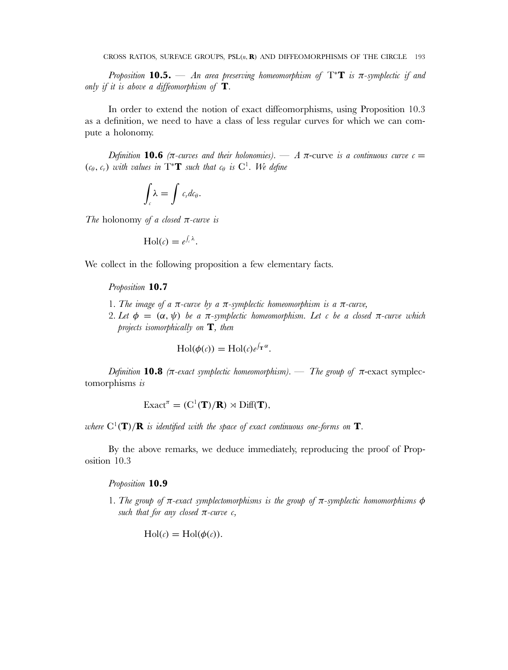*Proposition* **10.5.** — An area preserving homeomorphism of  $T^*T$  is  $\pi$ -symplectic if and *only if it is above a diffeomorphism of* **T***.*

In order to extend the notion of exact diffeomorphisms, using Proposition 10.3 as a definition, we need to have a class of less regular curves for which we can compute a holonomy.

*Definition* **10.6** (π-curves and their holonomies). — A π-curve is a continuous curve  $c =$  $(c_{\theta}, c_{r})$  *with values in*  $T^*T$  *such that*  $c_{\theta}$  *is*  $C^1$ *. We define* 

$$
\int_{c} \lambda = \int c_{r} dc_{\theta}.
$$

*The* holonomy *of a closed* π*-curve is*

$$
\mathrm{Hol}(c)=e^{\int_c \lambda}.
$$

We collect in the following proposition a few elementary facts.

### *Proposition* **10.7**

- 1*. The image of a* π*-curve by a* π*-symplectic homeomorphism is a* π*-curve,*
- 2*. Let*  $\phi = (\alpha, \psi)$  *be a*  $\pi$ -symplectic homeomorphism. Let c *be a closed*  $\pi$ -curve which *projects isomorphically on* **T***, then*

$$
\mathrm{Hol}(\phi(c)) = \mathrm{Hol}(c)e^{\int_{\mathbf{T}} \alpha}.
$$

*Definition* **10.8** *(*π*-exact symplectic homeomorphism).* — *The group of* π-exact symplectomorphisms *is*

 $\text{Exact}^{\pi} = (\text{C}^1(\mathbf{T})/\mathbf{R}) \rtimes \text{Diff}(\mathbf{T}),$ 

*where*  $C^1(T)/R$  *is identified with the space of exact continuous one-forms on* **T***.* 

By the above remarks, we deduce immediately, reproducing the proof of Proposition 10.3

## *Proposition* **10.9**

1*. The group of* π*-exact symplectomorphisms is the group of* π*-symplectic homomorphisms* φ *such that for any closed*  $\pi$ -*curve c*,

 $\text{Hol}(c) = \text{Hol}(\phi(c)).$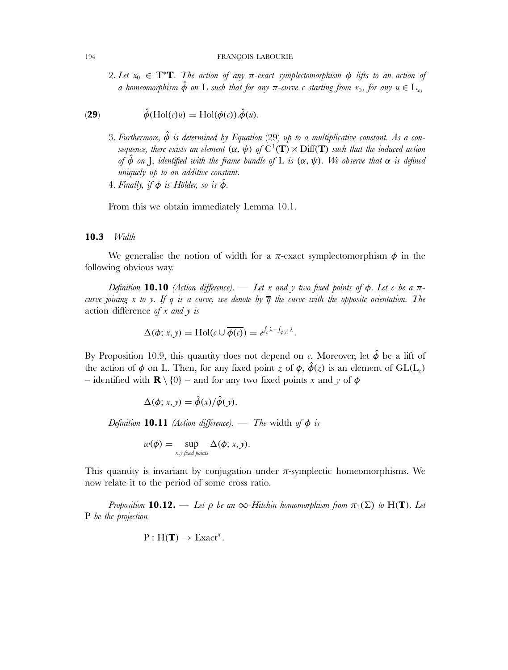2*. Let*  $x_0 \in T^*$ **T***. The action of any*  $\pi$ -exact symplectomorphism  $\phi$  lifts to an action of *a homeomorphism*  $\hat{\phi}$  *on* L *such that for any*  $\pi$ -curve c *starting from*  $x_0$ , *for any*  $u \in L_{x_0}$ 

(29) 
$$
\hat{\phi}(\text{Hol}(c)u) = \text{Hol}(\phi(c)).\hat{\phi}(u).
$$

3*. Furthermore,* φˆ *is determined by Equation* (29) *up to a multiplicative constant. As a consequence, there exists an element*  $(\alpha, \psi)$  of  $C^1(\mathbf{T}) \rtimes \mathrm{Diff}(\mathbf{T})$  *such that the induced action of*  $\phi$  *on J, identified with the frame bundle of* L *is* ( $\alpha$ ,  $\psi$ ). We observe that  $\alpha$  *is defined uniquely up to an additive constant.* 4*. Finally, if*  $\phi$  *is Hölder, so is*  $\hat{\phi}$ *.* 

From this we obtain immediately Lemma 10.1.

### **10.3** *Width*

We generalise the notion of width for a  $\pi$ -exact symplectomorphism  $\phi$  in the following obvious way.

*Definition* **10.10** *(Action difference).* — *Let* x and y *two fixed points of*  $\phi$ *. Let* c *be* a  $\pi$ *curve joining* x *to* y*. If* q *is a curve, we denote by* q *the curve with the opposite orientation. The* action difference *of* x *and* y *is*

$$
\Delta(\phi; x, y) = Hol(c \cup \overline{\phi(c)}) = e^{\int_c \lambda - \int_{\phi(c)} \lambda}.
$$

By Proposition 10.9, this quantity does not depend on c. Moreover, let  $\hat{\phi}$  be a lift of the action of  $\phi$  on L. Then, for any fixed point z of  $\phi$ ,  $\hat{\phi}(z)$  is an element of GL(L<sub>z</sub>) – identified with **R** \ {0} – and for any two fixed points x and y of  $\phi$ 

$$
\Delta(\phi; x, y) = \hat{\phi}(x) / \hat{\phi}(y).
$$

*Definition* **10.11** *(Action difference).* — *The* width *of*  $\phi$  *is* 

$$
w(\phi) = \sup_{x,y \text{ fixed points}} \Delta(\phi; x, y).
$$

This quantity is invariant by conjugation under  $\pi$ -symplectic homeomorphisms. We now relate it to the period of some cross ratio.

*Proposition* **10.12.** — Let  $\rho$  be an  $\infty$ -Hitchin homomorphism from  $\pi_1(\Sigma)$  to H(**T**). Let P *be the projection*

$$
P: H(\mathbf{T}) \to \mathrm{Exact}^{\pi}.
$$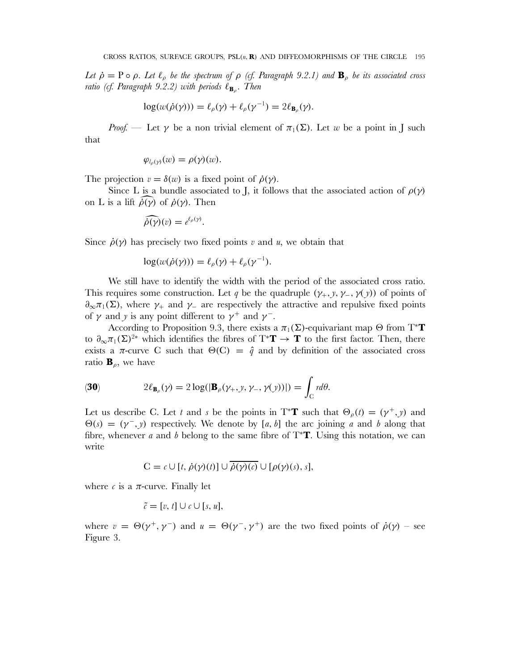*Let*  $\dot{\rho} = P \circ \rho$ *. Let*  $\ell_{\rho}$  *be the spectrum of*  $\rho$  *(cf. Paragraph 9.2.1) and*  $\mathbf{B}_{\rho}$  *be its associated cross ratio (cf. Paragraph 9.2.2) with periods*  $\ell_{\mathbf{B}_o}$ *. Then* 

$$
\log(w(\dot{\rho}(\gamma))) = \ell_{\rho}(\gamma) + \ell_{\rho}(\gamma^{-1}) = 2\ell_{\mathbf{B}_{\rho}}(\gamma).
$$

*Proof.* — Let  $\gamma$  be a non trivial element of  $\pi_1(\Sigma)$ . Let w be a point in J such that

$$
\varphi_{l_{\rho}(\gamma)}(w)=\rho(\gamma)(w).
$$

The projection  $v = \delta(w)$  is a fixed point of  $\dot{\rho}(\gamma)$ .

Since L is a bundle associated to J, it follows that the associated action of  $\rho(\gamma)$ on L is a lift  $\hat{\rho}(\gamma)$  of  $\hat{\rho}(\gamma)$ . Then

$$
\widehat{\dot{\rho}(\gamma)}(v)=e^{\ell_{\rho}(\gamma)}.
$$

Since  $\dot{\rho}(\gamma)$  has precisely two fixed points v and u, we obtain that

$$
\log(w(\dot{\rho}(\gamma))) = \ell_{\rho}(\gamma) + \ell_{\rho}(\gamma^{-1}).
$$

We still have to identify the width with the period of the associated cross ratio. This requires some construction. Let q be the quadruple  $(\gamma_+, \gamma, \gamma_-, \gamma(\gamma))$  of points of  $\partial_{\infty}\pi_1(\Sigma)$ , where  $\gamma_+$  and  $\gamma_-$  are respectively the attractive and repulsive fixed points of  $\gamma$  and  $\gamma$  is any point different to  $\gamma^+$  and  $\gamma^-$ .

According to Proposition 9.3, there exists a  $\pi_1(\Sigma)$ -equivariant map  $\Theta$  from T<sup>\*</sup>**T** to  $\partial_{\infty}\pi_1(\Sigma)^{2*}$  which identifies the fibres of T<sup>\*</sup>**T**  $\rightarrow$  **T** to the first factor. Then, there exists a  $\pi$ -curve C such that  $\Theta(C) = \hat{q}$  and by definition of the associated cross ratio  $\mathbf{B}_{\rho}$ , we have

(30) 
$$
2\ell_{\mathbf{B}_{\rho}}(\gamma) = 2\log(|\mathbf{B}_{\rho}(\gamma_{+},y,\gamma_{-},\gamma(y))|) = \int_{C} r d\theta.
$$

Let us describe C. Let t and s be the points in T<sup>\*</sup>**T** such that  $\Theta_{\rho}(t) = (\gamma^{+}, \gamma)$  and  $\Theta(s) = (\gamma^-, \gamma)$  respectively. We denote by [a, b] the arc joining a and b along that fibre, whenever a and b belong to the same fibre of T<sup>∗</sup>**T**. Using this notation, we can write

$$
C = c \cup [t, \dot{\rho}(\gamma)(t)] \cup \overline{\dot{\rho}(\gamma)(c)} \cup [\rho(\gamma)(s), s],
$$

where c is a  $\pi$ -curve. Finally let

$$
\tilde{c} = [v, t] \cup c \cup [s, u],
$$

where  $v = \Theta(\gamma^+, \gamma^-)$  and  $u = \Theta(\gamma^-, \gamma^+)$  are the two fixed points of  $\dot{\rho}(\gamma)$  – see Figure 3.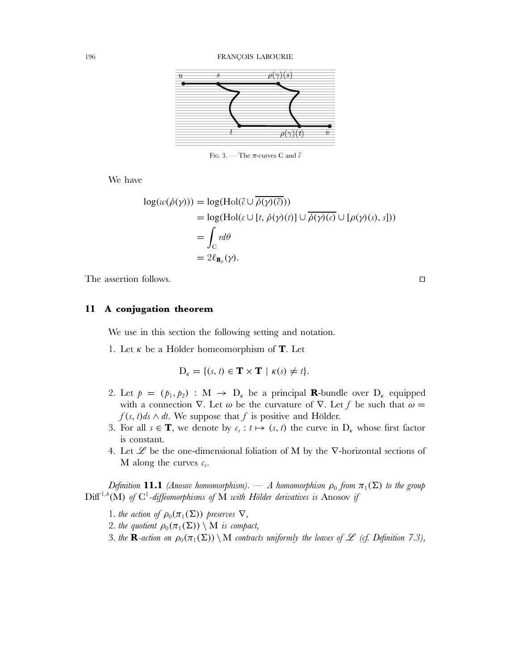

FIG. 3. — The  $\pi$ -curves C and  $\tilde{c}$ 

We have

$$
log(w(\dot{\rho}(\gamma))) = log(Hol(\tilde{c} \cup \overline{\dot{\rho}(\gamma)(\tilde{c})}))
$$
  
= log(Hol( $c \cup [t, \dot{\rho}(\gamma)(t)] \cup \overline{\dot{\rho}(\gamma)(c)} \cup [\rho(\gamma)(s), s]))=  $\int_C rd\theta$   
=  $2\ell_{\mathbf{B}_{\rho}}(\gamma).$$ 

The assertion follows.

## **11 A conjugation theorem**

We use in this section the following setting and notation.

1. Let  $\kappa$  be a Hölder homeomorphism of **T**. Let

$$
\mathbf{D}_{\kappa} = \{ (s, t) \in \mathbf{T} \times \mathbf{T} \mid \kappa(s) \neq t \}.
$$

- 2. Let  $p = (p_1, p_2) : M \rightarrow D_K$  be a principal **R**-bundle over  $D_K$  equipped with a connection  $\nabla$ . Let  $\omega$  be the curvature of  $\nabla$ . Let f be such that  $\omega =$  $f(s, t)$ ds ∧ dt. We suppose that f is positive and Hölder.
- 3. For all  $s \in \mathbf{T}$ , we denote by  $c_s : t \mapsto (s, t)$  the curve in  $D_k$  whose first factor is constant.
- 4. Let  $\mathscr L$  be the one-dimensional foliation of M by the  $\nabla$ -horizontal sections of M along the curves  $c_s$ .

*Definition* **11.1** *(Anosov homomorphism).* — *A homomorphism*  $\rho_0$  *from*  $\pi_1(\Sigma)$  *to the group*  $\text{Diff}^{1,h}(\textbf{M})$  of  $\text{C}^1$ -diffeomorphisms of M with Hölder derivatives is Anosov if

- 1*. the action of*  $\rho_0(\pi_1(\Sigma))$  *preserves*  $\nabla$ *,*
- 2*. the quotient*  $\rho_0(\pi_1(\Sigma)) \setminus M$  *is compact,*
- 3*. the* **R**-action on  $\rho_0(\pi_1(\Sigma)) \setminus M$  contracts uniformly the leaves of  $\mathscr L$  (cf. Definition 7.3),

 $\Box$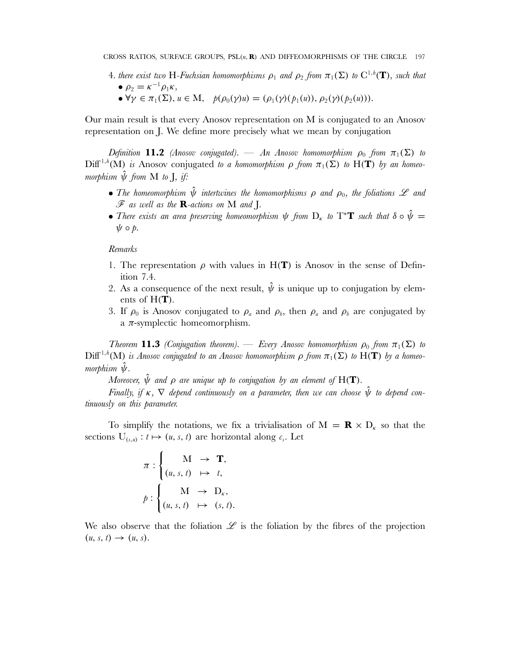- 4*. there exist two* H-Fuchsian homomorphisms  $\rho_1$  and  $\rho_2$  from  $\pi_1(\Sigma)$  to  $C^{1,h}(\mathbf{T})$ , such that •  $\rho_2 = \kappa^{-1} \rho_1 \kappa,$ 
	- $\forall \gamma \in \pi_1(\Sigma)$ ,  $u \in M$ ,  $p(\rho_0(\gamma)u) = (\rho_1(\gamma)(p_1(u)), \rho_2(\gamma)(p_2(u))).$

Our main result is that every Anosov representation on M is conjugated to an Anosov representation on J. We define more precisely what we mean by conjugation

*Definition* **11.2** *(Anosov conjugated).* — *An Anosov homomorphism*  $\rho_0$  *from*  $\pi_1(\Sigma)$  *to*  $Diff<sup>1,h</sup>(M)$  *is* Anosov conjugated *to a homomorphism*  $\rho$  *from*  $\pi_1(\Sigma)$  *to*  $H(T)$  *by an homeomorphism*  $\hat{\psi}$  *from* **M** *to* **J***, if:* 

- The homeomorphism  $\hat{\psi}$  intertwines the homomorphisms  $\rho$  and  $\rho_0$ , the foliations  $\mathscr L$  and F *as well as the* **R***-actions on* M *and* J*.*
- There exists an area preserving homeomorphism  $\psi$  from  $D_{\kappa}$  to  $T^*T$  such that  $\delta \circ \hat{\psi} =$  $\psi \circ \phi$ .

## *Remarks*

- 1. The representation  $\rho$  with values in H(**T**) is Anosov in the sense of Definition 7.4.
- 2. As a consequence of the next result,  $\hat{\psi}$  is unique up to conjugation by elements of H(**T**).
- 3. If  $\rho_0$  is Anosov conjugated to  $\rho_a$  and  $\rho_b$ , then  $\rho_a$  and  $\rho_b$  are conjugated by a  $\pi$ -symplectic homeomorphism.

*Theorem* **11.3** *(Conjugation theorem).* — *Every Anosov homomorphism*  $\rho_0$  *from*  $\pi_1(\Sigma)$  *to*  $\mathrm{Diff}^{1,h}(\mathrm{M})$  *is Anosov conjugated to an Anosov homomorphism*  $\rho$  *from*  $\pi_1(\Sigma)$  *to*  $\mathrm{H}(\mathbf{T})$  *by a homeo* $m$ *orphism*  $\hat{\psi}$ .

*Moreover,*  $\hat{\psi}$  *and*  $\rho$  *are unique up to conjugation by an element of*  $H(T)$ *.* 

*Finally, if*  $\kappa$ ,  $\nabla$  *depend continuously on a parameter, then we can choose*  $\hat{\psi}$  to *depend continuously on this parameter.*

To simplify the notations, we fix a trivialisation of  $M = \mathbf{R} \times D_{\kappa}$  so that the sections  $U_{(s,u)}: t \mapsto (u, s, t)$  are horizontal along  $c_s$ . Let

$$
\pi : \begin{cases} M \rightarrow \mathbf{T}, \\ (u, s, t) \mapsto t, \\ \mathbf{M} \rightarrow \mathbf{D}_{\kappa}, \\ (u, s, t) \mapsto (s, t). \end{cases}
$$

We also observe that the foliation  $\mathscr L$  is the foliation by the fibres of the projection  $(u, s, t) \rightarrow (u, s).$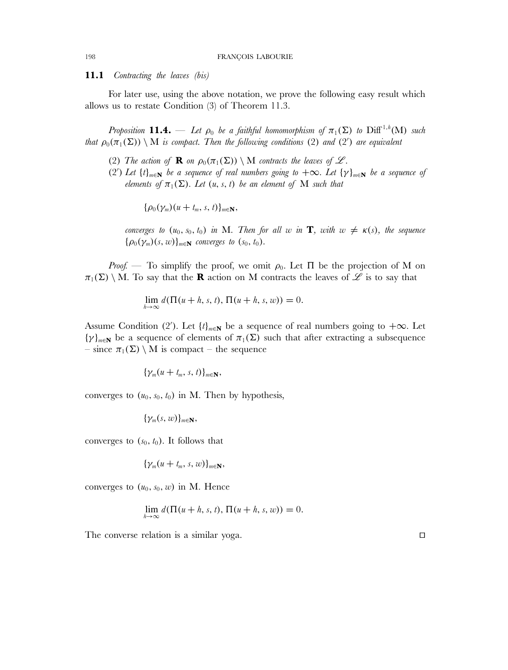**11.1** *Contracting the leaves (bis)*

For later use, using the above notation, we prove the following easy result which allows us to restate Condition (3) of Theorem 11.3.

*Proposition* **11.4.** — Let  $\rho_0$  be a faithful homomorphism of  $\pi_1(\Sigma)$  to  $\text{Diff}^{1,h}(\mathbf{M})$  such *that*  $\rho_0(\pi_1(\Sigma)) \setminus M$  *is compact. Then the following conditions* (2) *and* (2') *are equivalent* 

- (2) The action of **R** on  $\rho_0(\pi_1(\Sigma)) \setminus M$  contracts the leaves of  $\mathcal{L}$ .
- (2') Let  $\{t\}_{m\in\mathbb{N}}$  be a sequence of real numbers going to  $+\infty$ . Let  $\{\gamma\}_{m\in\mathbb{N}}$  be a sequence of *elements of*  $\pi_1(\Sigma)$ *. Let*  $(u, s, t)$  *be an element of* M *such that*

 ${\rho_0(\gamma_m)(u + t_m, s, t)}_{m \in \mathbb{N}},$ 

*converges to*  $(u_0, s_0, t_0)$  *in* M*. Then for all* w *in* **T***, with*  $w \neq \kappa(s)$ *, the sequence*  ${\rho_0(\gamma_m)(s, w)}_{m \in \mathbf{N}}$  *converges to*  $(s_0, t_0)$ *.* 

*Proof.* — To simplify the proof, we omit  $\rho_0$ . Let  $\Pi$  be the projection of M on  $\pi_1(\Sigma) \setminus M$ . To say that the **R** action on M contracts the leaves of  $\mathscr L$  is to say that

$$
\lim_{h\to\infty} d(\Pi(u+h,s,t),\Pi(u+h,s,w)) = 0.
$$

Assume Condition (2'). Let  $\{t\}_{m\in\mathbb{N}}$  be a sequence of real numbers going to  $+\infty$ . Let  $\{\gamma\}_{m\in\mathbb{N}}$  be a sequence of elements of  $\pi_1(\Sigma)$  such that after extracting a subsequence – since  $\pi_1(\Sigma) \setminus M$  is compact – the sequence

$$
\{\gamma_m(u+t_m, s, t)\}_{m\in\mathbf{N}},
$$

converges to  $(u_0, s_0, t_0)$  in M. Then by hypothesis,

$$
\{\gamma_m(s, w)\}_{m\in\mathbf{N}},
$$

converges to  $(s_0, t_0)$ . It follows that

$$
\{\gamma_m(u+t_m, s, w)\}_{m\in\mathbf{N}},
$$

converges to  $(u_0, s_0, w)$  in M. Hence

$$
\lim_{h \to \infty} d(\Pi(u + h, s, t), \Pi(u + h, s, w)) = 0.
$$

The converse relation is a similar yoga.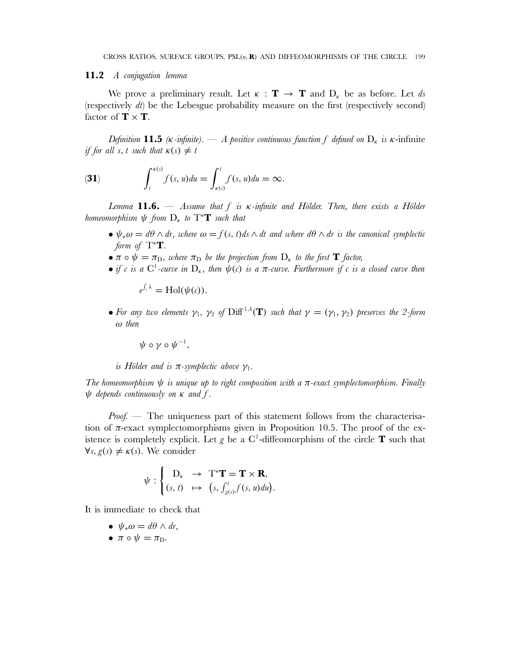### **11.2** *A conjugation lemma*

We prove a preliminary result. Let  $\kappa : \mathbf{T} \to \mathbf{T}$  and  $D_{\kappa}$  be as before. Let ds (respectively  $dt$ ) be the Lebesgue probability measure on the first (respectively second) factor of  $\mathbf{T} \times \mathbf{T}$ .

*Definition* **11.5**  $\kappa$ -*infinite*). — *A positive continuous function* f *defined* on  $D_{\kappa}$  *is*  $\kappa$ -*infinite if for all s, t such that*  $\kappa(s) \neq t$ 

(31) 
$$
\int_t^{\kappa(s)} f(s, u) du = \int_{\kappa(s)}^t f(s, u) du = \infty.
$$

*Lemma* **11.6.** — *Assume that* f *is* κ*-infinite and Hölder. Then, there exists a Hölder homeomorphism*  $\psi$  *from*  $D_{\kappa}$  *to*  $T^*T$  *such that* 

- $\bullet \psi_*\omega = d\theta \wedge dr$ , where  $\omega = f(s, t)ds \wedge dt$  and where  $d\theta \wedge dr$  is the canonical symplectic *form of*  $T^*T$ *.*
- $\pi \circ \psi = \pi_D$ , where  $\pi_D$  be the projection from  $D_{\kappa}$  to the first **T** factor,
- *if* c is a  $C^1$ -curve in  $D_{\kappa}$ , then  $\psi(c)$  is a  $\pi$ -curve. Furthermore if c is a closed curve then

 $e^{\int_c \lambda} = \text{Hol}(\psi(c)).$ 

• For any two elements  $\gamma_1$ ,  $\gamma_2$  of  $\text{Diff}^{1,h}(\mathbf{T})$  such that  $\gamma = (\gamma_1, \gamma_2)$  preserves the 2-form ω *then*

 $\psi \circ \gamma \circ \psi^{-1}$ ,

*is Hölder and is*  $\pi$ -symplectic above  $\gamma_1$ .

*The homeomorphism* ψ *is unique up to right composition with a* π*-exact symplectomorphism. Finally* ψ *depends continuously on* κ *and* f *.*

*Proof.* — The uniqueness part of this statement follows from the characterisation of  $\pi$ -exact symplectomorphisms given in Proposition 10.5. The proof of the existence is completely explicit. Let  $g$  be a  $C^1$ -diffeomorphism of the circle **T** such that  $\forall s, g(s) \neq \kappa(s)$ . We consider

$$
\psi : \begin{cases} \mathbf{D}_{\kappa} & \to \mathbf{T}^* \mathbf{T} = \mathbf{T} \times \mathbf{R}, \\ (s, t) & \mapsto (s, \int_{g(s)}^t f(s, u) du). \end{cases}
$$

It is immediate to check that

- $\psi_* \omega = d\theta \wedge dr$ ,
- $\pi \circ \psi = \pi_D$ .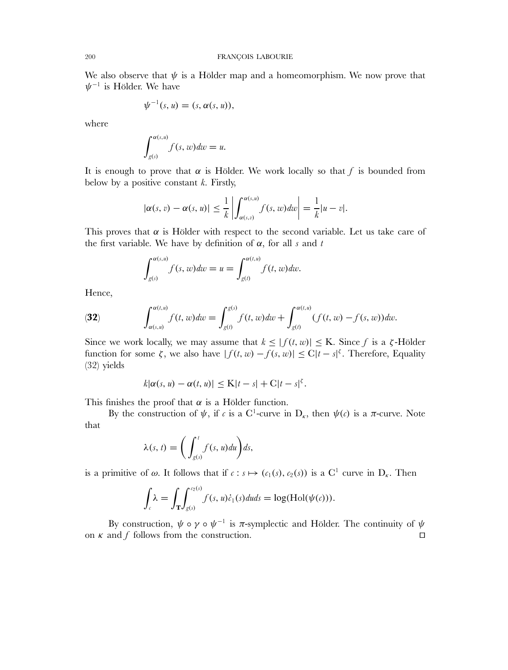We also observe that  $\psi$  is a Hölder map and a homeomorphism. We now prove that  $\psi^{-1}$  is Hölder. We have

$$
\psi^{-1}(s, u) = (s, \alpha(s, u)),
$$

where

$$
\int_{g(s)}^{\alpha(s,u)} f(s,w) dw = u.
$$

It is enough to prove that  $\alpha$  is Hölder. We work locally so that f is bounded from below by a positive constant  $k$ . Firstly,

$$
|\alpha(s,v)-\alpha(s,u)| \leq \frac{1}{k} \left| \int_{\alpha(s,v)}^{\alpha(s,u)} f(s,w) dw \right| = \frac{1}{k} |u-v|.
$$

This proves that  $\alpha$  is Hölder with respect to the second variable. Let us take care of the first variable. We have by definition of  $\alpha$ , for all s and t

$$
\int_{g(s)}^{\alpha(s,u)} f(s,w) dw = u = \int_{g(t)}^{\alpha(t,u)} f(t,w) dw.
$$

Hence,

(32) 
$$
\int_{\alpha(s,u)}^{\alpha(t,u)} f(t,w) dw = \int_{g(t)}^{g(s)} f(t,w) dw + \int_{g(t)}^{\alpha(t,u)} (f(t,w) - f(s,w)) dw.
$$

Since we work locally, we may assume that  $k \leq |f(t, w)| \leq K$ . Since f is a  $\zeta$ -Hölder function for some  $\zeta$ , we also have  $|f(t, w) - f(s, w)| \leq C |t - s|^{\zeta}$ . Therefore, Equality (32) yields

$$
k|\alpha(s, u) - \alpha(t, u)| \leq K|t - s| + C|t - s|^{s}.
$$

This finishes the proof that  $\alpha$  is a Hölder function.

By the construction of  $\psi$ , if c is a C<sup>1</sup>-curve in D<sub>k</sub>, then  $\psi(c)$  is a  $\pi$ -curve. Note that

$$
\lambda(s, t) = \bigg(\int_{g(s)}^t f(s, u) du\bigg) ds,
$$

is a primitive of  $\omega$ . It follows that if  $c : s \mapsto (c_1(s), c_2(s))$  is a C<sup>1</sup> curve in D<sub>k</sub>. Then

$$
\int_{c} \lambda = \int_{\mathbf{T}} \int_{g(s)}^{c_2(s)} f(s, u) \dot{c}_1(s) du ds = \log(\text{Hol}(\psi(c))).
$$

By construction,  $\psi \circ \gamma \circ \psi^{-1}$  is  $\pi$ -symplectic and Hölder. The continuity of  $\psi$ on  $\kappa$  and  $f$  follows from the construction.  $\Box$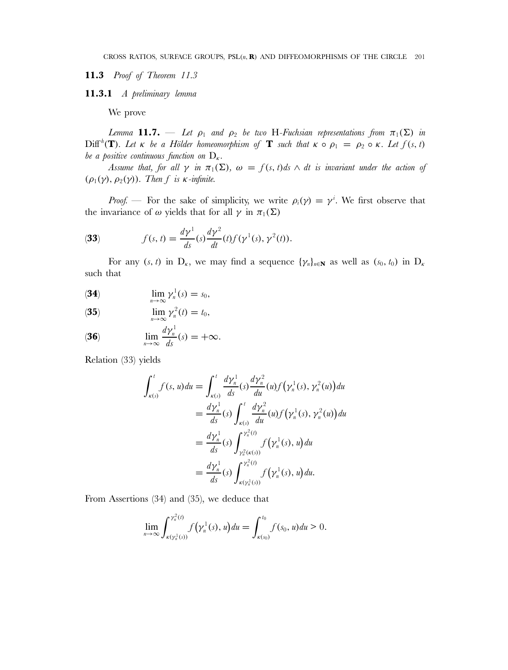**11.3** *Proof of Theorem 11.3*

**11.3.1** *A preliminary lemma*

We prove

*Lemma* **11.7.** — *Let*  $\rho_1$  *and*  $\rho_2$  *be two* H-Fuchsian representations from  $\pi_1(\Sigma)$  *in*  $\text{Diff}^{h}(\mathbf{T})$ *. Let*  $\kappa$  *be a Hölder homeomorphism of* **T** *such that*  $\kappa \circ \rho_1 = \rho_2 \circ \kappa$ *. Let*  $f(s, t)$ *be a positive continuous function on*  $D_{\kappa}$ .

*Assume that, for all*  $\gamma$  *in*  $\pi_1(\Sigma)$ *,*  $\omega = f(s, t)ds \wedge dt$  *is invariant under the action of*  $(\rho_1(\gamma), \rho_2(\gamma))$ *. Then* f *is*  $\kappa$ *-infinite.* 

*Proof.* — For the sake of simplicity, we write  $\rho_i(\gamma) = \gamma^i$ . We first observe that the invariance of  $\omega$  yields that for all  $\gamma$  in  $\pi_1(\Sigma)$ 

(33) 
$$
f(s, t) = \frac{d\gamma^1}{ds}(s)\frac{d\gamma^2}{dt}(t)f(\gamma^1(s), \gamma^2(t)).
$$

For any  $(s, t)$  in  $D_{\kappa}$ , we may find a sequence  $\{\gamma_n\}_{n\in\mathbb{N}}$  as well as  $(s_0, t_0)$  in  $D_{\kappa}$ such that

$$
\lim_{n\to\infty}\gamma_n^1(s)=s_0,
$$

(35) 
$$
\lim_{n\to\infty}\gamma_n^2(t)=t_0,
$$

(36) 
$$
\lim_{n\to\infty}\frac{d\gamma_n^1}{ds}(s)=+\infty.
$$

Relation (33) yields

$$
\int_{\kappa(s)}^{t} f(s, u) du = \int_{\kappa(s)}^{t} \frac{d\gamma_n^1}{ds} (s) \frac{d\gamma_n^2}{du} (u) f(\gamma_n^1(s), \gamma_n^2(u)) du \n= \frac{d\gamma_n^1}{ds} (s) \int_{\kappa(s)}^{t} \frac{d\gamma_n^2}{du} (u) f(\gamma_n^1(s), \gamma_n^2(u)) du \n= \frac{d\gamma_n^1}{ds} (s) \int_{\gamma_n^2(\kappa(s))}^{\gamma_n^2(t)} f(\gamma_n^1(s), u) du \n= \frac{d\gamma_n^1}{ds} (s) \int_{\kappa(\gamma_n^1(s))}^{\gamma_n^2(t)} f(\gamma_n^1(s), u) du.
$$

From Assertions (34) and (35), we deduce that

$$
\lim_{n\to\infty}\int_{\kappa(\gamma_n^1(s))}^{\gamma_n^2(t)}f(\gamma_n^1(s),u)du=\int_{\kappa(s_0)}^{t_0}f(s_0,u)du>0.
$$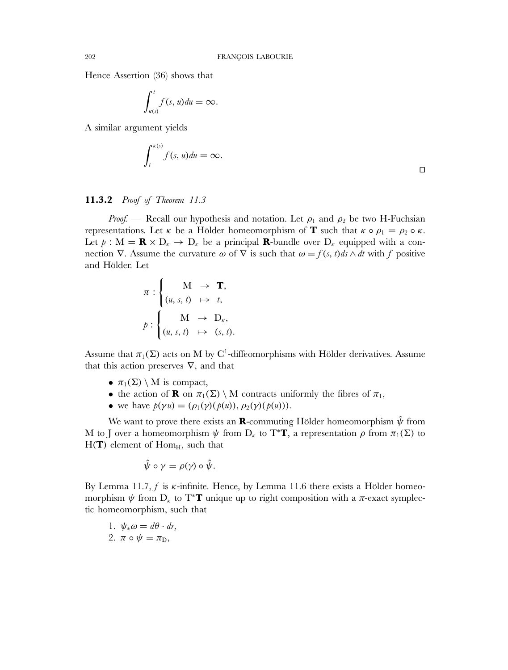Hence Assertion (36) shows that

$$
\int_{\kappa(s)}^t f(s, u) du = \infty.
$$

A similar argument yields

$$
\int_{t}^{\kappa(s)} f(s, u) du = \infty.
$$

## **11.3.2** *Proof of Theorem 11.3*

*Proof.* — Recall our hypothesis and notation. Let  $\rho_1$  and  $\rho_2$  be two H-Fuchsian representations. Let  $\kappa$  be a Hölder homeomorphism of **T** such that  $\kappa \circ \rho_1 = \rho_2 \circ \kappa$ . Let  $p : M = \mathbf{R} \times D_{\kappa} \to D_{\kappa}$  be a principal **R**-bundle over  $D_{\kappa}$  equipped with a connection  $\nabla$ . Assume the curvature  $\omega$  of  $\nabla$  is such that  $\omega = f(s, t)ds \wedge dt$  with f positive and Hölder. Let

$$
\pi : \begin{cases} M \rightarrow \mathbf{T}, \\ (u, s, t) \mapsto t, \\ \mathbf{M} \rightarrow \mathbf{D}_{\kappa}, \\ (u, s, t) \mapsto (s, t). \end{cases}
$$

Assume that  $\pi_1(\Sigma)$  acts on M by C<sup>1</sup>-diffeomorphisms with Hölder derivatives. Assume that this action preserves  $\nabla$ , and that

- $\pi_1(\Sigma) \setminus M$  is compact,
- the action of **R** on  $\pi_1(\Sigma) \setminus M$  contracts uniformly the fibres of  $\pi_1$ ,
- we have  $p(\gamma u) = (\rho_1(\gamma)(p(u)), \rho_2(\gamma)(p(u))).$

We want to prove there exists an **R**-commuting Hölder homeomorphism  $\hat{\psi}$  from M to J over a homeomorphism  $\psi$  from D<sub>k</sub> to T<sup>\*</sup>**T**, a representation  $\rho$  from  $\pi_1(\Sigma)$  to  $H(T)$  element of  $Hom<sub>H</sub>$ , such that

$$
\hat{\psi} \circ \gamma = \rho(\gamma) \circ \hat{\psi}.
$$

By Lemma 11.7, f is  $\kappa$ -infinite. Hence, by Lemma 11.6 there exists a Hölder homeomorphism  $\psi$  from  $D_{\kappa}$  to T<sup>\*</sup>**T** unique up to right composition with a  $\pi$ -exact symplectic homeomorphism, such that

1.  $\psi_*\omega = d\theta \cdot dr$ , 2.  $\pi \circ \psi = \pi_D$ ,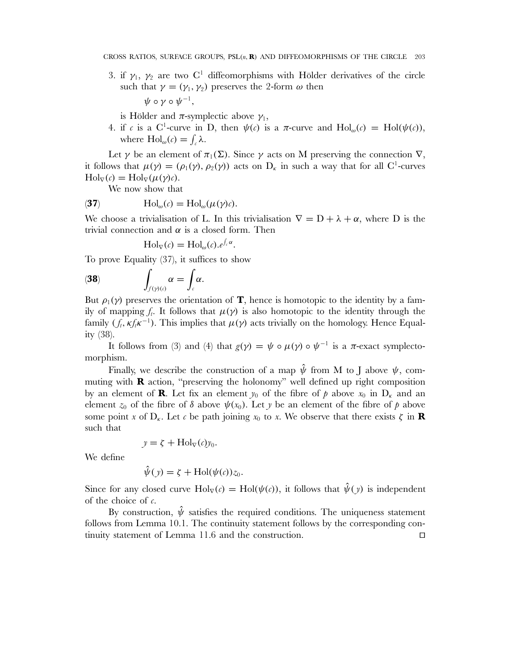3. if  $\gamma_1$ ,  $\gamma_2$  are two C<sup>1</sup> diffeomorphisms with Hölder derivatives of the circle such that  $\gamma = (\gamma_1, \gamma_2)$  preserves the 2-form  $\omega$  then  $h \circ \omega \circ \psi^{-1}$ 

$$
\psi\circ\gamma\circ\psi^{-1},
$$

is Hölder and  $\pi$ -symplectic above  $\gamma_1$ ,

4. if c is a C<sup>1</sup>-curve in D, then  $\psi(c)$  is a  $\pi$ -curve and  $\text{Hol}_{\omega}(c) = \text{Hol}(\psi(c))$ , where  $\text{Hol}_{\omega}(c) = \int_{c} \lambda$ .

Let  $\gamma$  be an element of  $\pi_1(\Sigma)$ . Since  $\gamma$  acts on M preserving the connection  $\nabla$ , it follows that  $\mu(\gamma) = (\rho_1(\gamma), \rho_2(\gamma))$  acts on  $D_k$  in such a way that for all C<sup>1</sup>-curves  $\text{Hol}_{\nabla}(c) = \text{Hol}_{\nabla}(\mu(\gamma)c).$ 

We now show that

(37) 
$$
\mathrm{Hol}_{\omega}(c) = \mathrm{Hol}_{\omega}(\mu(\gamma)c).
$$

We choose a trivialisation of L. In this trivialisation  $\nabla = D + \lambda + \alpha$ , where D is the trivial connection and  $\alpha$  is a closed form. Then

$$
Hol_{\nabla}(c) = Hol_{\omega}(c).e^{\int_{c} \alpha}.
$$

To prove Equality (37), it suffices to show

$$
\textbf{(38)} \qquad \qquad \int_{f(\gamma)(\epsilon)} \alpha = \int_{\epsilon} \alpha.
$$

But  $\rho_1(\gamma)$  preserves the orientation of **T**, hence is homotopic to the identity by a family of mapping  $f_t$ . It follows that  $\mu(\gamma)$  is also homotopic to the identity through the family  $(f_t, \kappa f_t \kappa^{-1})$ . This implies that  $\mu(\gamma)$  acts trivially on the homology. Hence Equality (38).

It follows from (3) and (4) that  $g(\gamma) = \psi \circ \mu(\gamma) \circ \psi^{-1}$  is a  $\pi$ -exact symplectomorphism.

Finally, we describe the construction of a map  $\hat{\psi}$  from M to J above  $\psi$ , commuting with **R** action, "preserving the holonomy" well defined up right composition by an element of **R**. Let fix an element  $y_0$  of the fibre of p above  $x_0$  in  $D_k$  and an element  $z_0$  of the fibre of  $\delta$  above  $\psi(x_0)$ . Let y be an element of the fibre of p above some point x of  $D_{\kappa}$ . Let c be path joining  $x_0$  to x. We observe that there exists  $\zeta$  in **R** such that

$$
y = \zeta + \text{Hol}_{\nabla}(c)y_0.
$$

We define

$$
\hat{\psi}(y) = \zeta + \text{Hol}(\psi(c))z_0.
$$

Since for any closed curve  $Hol_{\nabla}(c) = Hol(\psi(c))$ , it follows that  $\hat{\psi}(\gamma)$  is independent of the choice of  $c$ .

By construction,  $\hat{\psi}$  satisfies the required conditions. The uniqueness statement follows from Lemma 10.1. The continuity statement follows by the corresponding continuity statement of Lemma 11.6 and the construction.  $\Box$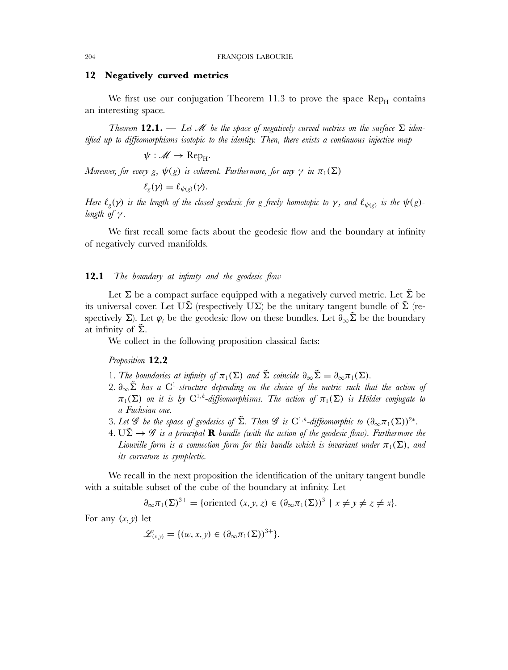### **12 Negatively curved metrics**

We first use our conjugation Theorem 11.3 to prove the space  $\text{Rep}_{H}$  contains an interesting space.

*Theorem* **12.1.** — Let  $\mathcal{M}$  be the space of negatively curved metrics on the surface  $\Sigma$  iden*tified up to diffeomorphisms isotopic to the identity. Then, there exists a continuous injective map*

 $\psi : \mathscr{M} \to \mathrm{Rep}_{H}$ .

*Moreover, for every* g,  $\psi(g)$  *is coherent. Furthermore, for any*  $\gamma$  *in*  $\pi_1(\Sigma)$ 

$$
\ell_g(\gamma)=\ell_{\psi(g)}(\gamma).
$$

*Here*  $\ell_g(\gamma)$  *is the length of the closed geodesic for g freely homotopic to*  $\gamma$ *, and*  $\ell_{\psi(g)}$  *is the*  $\psi(g)$ *length of*  $\gamma$ *.* 

We first recall some facts about the geodesic flow and the boundary at infinity of negatively curved manifolds.

## **12.1** *The boundary at infinity and the geodesic flow*

Let  $\Sigma$  be a compact surface equipped with a negatively curved metric. Let  $\Sigma$  be its universal cover. Let  $U\tilde{\Sigma}$  (respectively  $U\Sigma$ ) be the unitary tangent bundle of  $\tilde{\Sigma}$  (respectively  $\Sigma$ ). Let  $\varphi_t$  be the geodesic flow on these bundles. Let  $\partial_\infty \tilde{\Sigma}$  be the boundary at infinity of  $\Sigma$ .

We collect in the following proposition classical facts:

*Proposition* **12.2**

- 1*. The boundaries at infinity of*  $\pi_1(\Sigma)$  *and*  $\tilde{\Sigma}$  *coincide*  $\partial_{\infty} \tilde{\Sigma} = \partial_{\infty} \pi_1(\Sigma)$ *.*
- 2*.* ∂∞Σ˜ *has a* C1*-structure depending on the choice of the metric such that the action of*  $\pi_1(\Sigma)$  on it is by  $\mathrm{C}^{1,h}$ -diffeomorphisms. The action of  $\pi_1(\Sigma)$  is Hölder conjugate to *a Fuchsian one.*
- 3*. Let*  $\mathscr G$  *be the space of geodesics of*  $\tilde{\Sigma}$ *. Then*  $\mathscr G$  *is*  $C^{1,h}$ -diffeomorphic to  $(\partial_\infty \pi_1(\Sigma))^{2*}$ .
- $4. U\tilde{\Sigma} \rightarrow \mathscr{G}$  is a principal **R**-bundle (with the action of the geodesic flow). Furthermore the *Liouville form is a connection form for this bundle which is invariant under*  $\pi_1(\Sigma)$ *, and its curvature is symplectic.*

We recall in the next proposition the identification of the unitary tangent bundle with a suitable subset of the cube of the boundary at infinity. Let

$$
\partial_{\infty}\pi_1(\Sigma)^{3+} = \{\text{oriented } (x, y, z) \in (\partial_{\infty}\pi_1(\Sigma))^3 \mid x \neq y \neq z \neq x\}.
$$

For any  $(x, y)$  let

$$
\mathscr{L}_{(x,y)} = \{ (w, x, y) \in (\partial_\infty \pi_1(\Sigma))^{3+} \}.
$$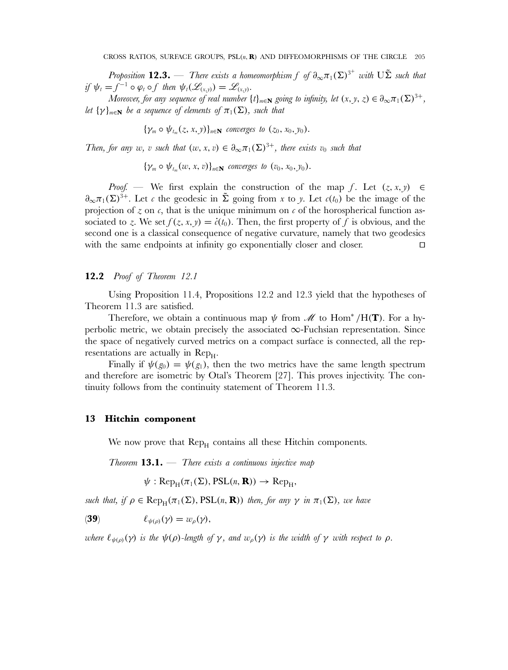*Proposition*  $12.3.$  — *There exists a homeomorphism*  $f$  *of*  $\partial_\infty \pi_1(\Sigma)^{3^+}$  *with*  $U\tilde{\Sigma}$  *such that if*  $\psi_t = f^{-1} \circ \varphi_t \circ f$  *then*  $\psi_t(\mathscr{L}_{(x,y)}) = \mathscr{L}_{(x,y)}$ *.* 

*Moreover, for any sequence of real number*  $\{t\}_{m\in\mathbb{N}}$  *going to infinity, let*  $(x, y, z) \in \partial_{\infty} \pi_1(\Sigma)^{3+}$ *, let*  $\{\gamma\}_{m\in\mathbb{N}}$  *be a sequence of elements of*  $\pi_1(\Sigma)$ *, such that* 

 ${\gamma_m \circ \psi_{t_m}(z, x, y)}_{n \in \mathbb{N}}$  *converges to*  $(z_0, x_0, y_0)$ .

*Then, for any* w, v *such that*  $(w, x, v) \in \partial_{\infty} \pi_1(\Sigma)^{3+}$ , *there exists*  $v_0$  *such that* 

 ${\gamma_m \circ \psi_t(\omega, x, v)}_{n \in \mathbb{N}}$  *converges to*  $(v_0, x_0, v_0)$ .

*Proof.* — We first explain the construction of the map f. Let  $(z, x, y) \in$  $\partial_{\infty}\pi_1(\Sigma)^{3+}$ . Let c the geodesic in  $\tilde{\Sigma}$  going from x to y. Let  $c(t_0)$  be the image of the projection of  $z$  on  $\epsilon$ , that is the unique minimum on  $\epsilon$  of the horospherical function associated to z. We set  $f(z, x, y) = \dot{c}(t_0)$ . Then, the first property of f is obvious, and the second one is a classical consequence of negative curvature, namely that two geodesics with the same endpoints at infinity go exponentially closer and closer.  $\Box$ 

## **12.2** *Proof of Theorem 12.1*

Using Proposition 11.4, Propositions 12.2 and 12.3 yield that the hypotheses of Theorem 11.3 are satisfied.

Therefore, we obtain a continuous map  $\psi$  from  $\mathcal M$  to Hom<sup>\*</sup>/H(**T**). For a hyperbolic metric, we obtain precisely the associated  $\infty$ -Fuchsian representation. Since the space of negatively curved metrics on a compact surface is connected, all the representations are actually in  $\mathrm{Rep}_{H}$ .

Finally if  $\psi(g_0) = \psi(g_1)$ , then the two metrics have the same length spectrum and therefore are isometric by Otal's Theorem [27]. This proves injectivity. The continuity follows from the continuity statement of Theorem 11.3.

## **13 Hitchin component**

We now prove that  $\text{Rep}_{H}$  contains all these Hitchin components.

*Theorem* **13.1.** — *There exists a continuous injective map*

 $\psi$ : Rep<sub>H</sub> $(\pi_1(\Sigma), PSL(n, \mathbf{R})) \rightarrow Rep_H$ 

*such that, if*  $\rho \in \text{Rep}_{H}(\pi_1(\Sigma), PSL(n, \mathbf{R}))$  *then, for any*  $\gamma$  *in*  $\pi_1(\Sigma)$ *, we have* 

(**39**)  $\ell_{\psi(\rho)}(\gamma) = w_{\rho}(\gamma),$ 

*where*  $\ell_{\psi(\rho)}(\gamma)$  *is the*  $\psi(\rho)$ *-length of*  $\gamma$ *, and*  $w_{\rho}(\gamma)$  *is the width of*  $\gamma$  *with respect to*  $\rho$ *.*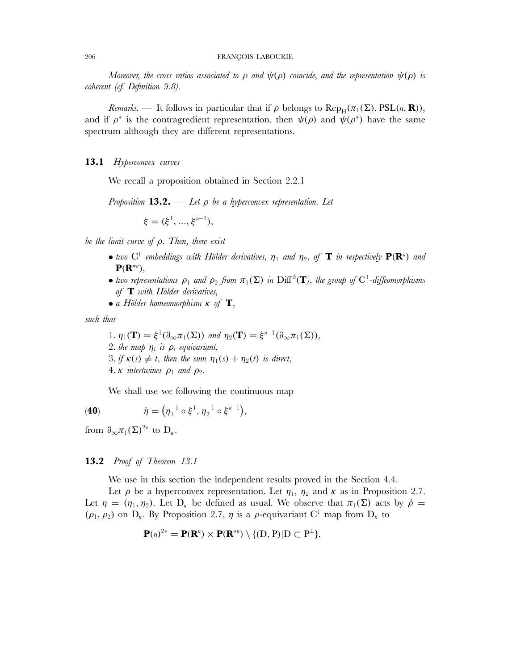*Moreover, the cross ratios associated to*  $\rho$  *and*  $\psi(\rho)$  *coincide, and the representation*  $\psi(\rho)$  *is coherent (cf. Definition 9.8).*

*Remarks.* — It follows in particular that if  $\rho$  belongs to  $\text{Rep}_{H}(\pi_1(\Sigma), \text{PSL}(n, \mathbf{R}))$ , and if  $\rho^*$  is the contragredient representation, then  $\psi(\rho)$  and  $\psi(\rho^*)$  have the same spectrum although they are different representations.

## **13.1** *Hyperconvex curves*

We recall a proposition obtained in Section 2.2.1

*Proposition* **13.2.** — *Let* ρ *be a hyperconvex representation. Let*

 $\xi = (\xi^1, ..., \xi^{n-1}),$ 

*be the limit curve of* ρ*. Then, there exist*

- *two*  $C^1$  *embeddings with Hölder derivatives,*  $\eta_1$  *and*  $\eta_2$ *, of* **T** *in respectively*  $P(R^n)$  *and* **P**(**R**<sup>∗</sup><sup>n</sup> )*,*
- *two representations*  $\rho_1$  *and*  $\rho_2$  *from*  $\pi_1(\Sigma)$  *in* Diff<sup>h</sup>(**T**)*, the group of* C<sup>1</sup>-diffeomorphisms *of* **T** *with Hölder derivatives,*
- *a Hölder homeomorphism* κ *of* **T***,*

*such that*

*.*  $\eta_1(\mathbf{T}) = \xi^1(\partial_{\infty}\pi_1(\Sigma))$  *and*  $\eta_2(\mathbf{T}) = \xi^{n-1}(\partial_{\infty}\pi_1(\Sigma)),$ *. the map*  $\eta_i$  *is*  $\rho_i$  *equivariant, . if*  $\kappa(s) \neq t$ , then the sum  $\eta_1(s) + \eta_2(t)$  is direct, *.*  $\kappa$  *intertwines*  $\rho_1$  *and*  $\rho_2$ *.* 

We shall use we following the continuous map

(40)  $\dot{\eta} = (\eta_1^{-1} \circ \xi^1, \eta_2^{-1} \circ \xi^{n-1}),$ 

from  $\partial_{\infty}\pi_1(\Sigma)^{2*}$  to  $D_{\kappa}$ .

## **13.2** *Proof of Theorem 13.1*

We use in this section the independent results proved in the Section 4.4.

Let  $\rho$  be a hyperconvex representation. Let  $\eta_1$ ,  $\eta_2$  and  $\kappa$  as in Proposition 2.7. Let  $\eta = (\eta_1, \eta_2)$ . Let  $D_k$  be defined as usual. We observe that  $\pi_1(\Sigma)$  acts by  $\dot{\rho} =$  $(\rho_1, \rho_2)$  on  $D_{\kappa}$ . By Proposition 2.7,  $\eta$  is a  $\rho$ -equivariant C<sup>1</sup> map from  $D_{\kappa}$  to

$$
\mathbf{P}(n)^{2*} = \mathbf{P}(\mathbf{R}^n) \times \mathbf{P}(\mathbf{R}^{*n}) \setminus \{(\mathbf{D}, \mathbf{P}) | \mathbf{D} \subset \mathbf{P}^{\perp}\}.
$$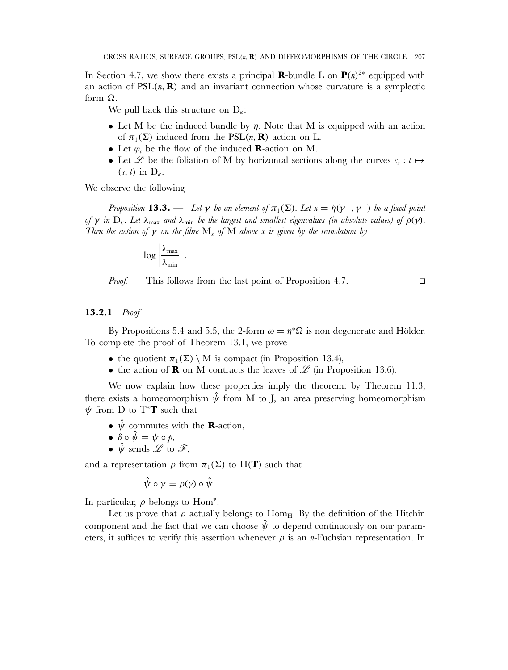In Section 4.7, we show there exists a principal **R**-bundle L on  $P(n)^{2*}$  equipped with an action of  $PSL(n, \mathbf{R})$  and an invariant connection whose curvature is a symplectic form Ω.

We pull back this structure on  $D_{\kappa}$ :

- Let M be the induced bundle by  $\eta$ . Note that M is equipped with an action of  $\pi_1(\Sigma)$  induced from the PSL(n, **R**) action on L.
- Let  $\varphi_t$  be the flow of the induced **R**-action on M.
- Let  $\mathscr L$  be the foliation of M by horizontal sections along the curves  $c_s : t \mapsto$  $(s, t)$  in  $D_{\kappa}$ .

We observe the following

*Proposition* **13.3.** — Let  $\gamma$  be an element of  $\pi_1(\Sigma)$ . Let  $x = \dot{\eta}(\gamma^+, \gamma^-)$  be a fixed point *of*  $\gamma$  *in*  $D_{\kappa}$ *. Let*  $\lambda_{\max}$  *and*  $\lambda_{\min}$  *be the largest and smallest eigenvalues (in absolute values) of*  $\rho(\gamma)$ *. Then the action of*  $\gamma$  *on the fibre*  $M_x$  *of*  $M$  *above*  $x$  *is given by the translation by* 

$$
\log\left|\frac{\lambda_{\max}}{\lambda_{\min}}\right|.
$$

*Proof.* — This follows from the last point of Proposition 4.7.

 $\Box$ 

## **13.2.1** *Proof*

By Propositions 5.4 and 5.5, the 2-form  $\omega = \eta^* \Omega$  is non degenerate and Hölder. To complete the proof of Theorem 13.1, we prove

- the quotient  $\pi_1(\Sigma) \setminus M$  is compact (in Proposition 13.4),
- the action of **R** on M contracts the leaves of  $\mathscr L$  (in Proposition 13.6).

We now explain how these properties imply the theorem: by Theorem 11.3, there exists a homeomorphism  $\hat{\psi}$  from M to J, an area preserving homeomorphism  $\psi$  from D to T<sup>\*</sup>**T** such that

- $\hat{\psi}$  commutes with the **R**-action,
- $\delta \circ \hat{\psi} = \psi \circ \phi$ ,
- $\hat{\psi}$  sends  $\mathscr{L}$  to  $\mathscr{F}$ ,

and a representation  $\rho$  from  $\pi_1(\Sigma)$  to H(**T**) such that

$$
\hat{\psi} \circ \gamma = \rho(\gamma) \circ \hat{\psi}.
$$

In particular,  $\rho$  belongs to Hom<sup>\*</sup>.

Let us prove that  $\rho$  actually belongs to Hom<sub>H</sub>. By the definition of the Hitchin component and the fact that we can choose  $\hat{\psi}$  to depend continuously on our parameters, it suffices to verify this assertion whenever  $\rho$  is an *n*-Fuchsian representation. In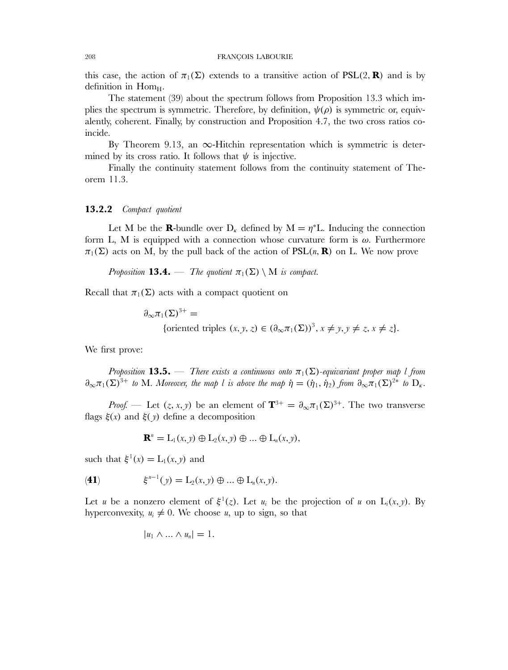#### 208 FRANÇOIS LABOURIE

this case, the action of  $\pi_1(\Sigma)$  extends to a transitive action of PSL(2, **R**) and is by definition in  $Hom_H$ .

The statement (39) about the spectrum follows from Proposition 13.3 which implies the spectrum is symmetric. Therefore, by definition,  $\psi(\rho)$  is symmetric or, equivalently, coherent. Finally, by construction and Proposition 4.7, the two cross ratios coincide.

By Theorem 9.13, an  $\infty$ -Hitchin representation which is symmetric is determined by its cross ratio. It follows that  $\psi$  is injective.

Finally the continuity statement follows from the continuity statement of Theorem 11.3.

## **13.2.2** *Compact quotient*

Let M be the **R**-bundle over  $D_k$  defined by  $M = \eta^*L$ . Inducing the connection form L, M is equipped with a connection whose curvature form is  $\omega$ . Furthermore  $\pi_1(\Sigma)$  acts on M, by the pull back of the action of  $PSL(n, \mathbf{R})$  on L. We now prove

*Proposition* **13.4.** — *The quotient*  $\pi_1(\Sigma) \setminus M$  *is compact.* 

Recall that  $\pi_1(\Sigma)$  acts with a compact quotient on

 $\partial_{\infty}\pi_1(\Sigma)^{3+} =$ {oriented triples  $(x, y, z) \in (\partial_{\infty} \pi_1(\Sigma))^3$ ,  $x \neq y, y \neq z, x \neq z$  }.

We first prove:

*Proposition* **13.5.** — *There exists a continuous onto*  $\pi_1(\Sigma)$ -equivariant proper map l from  $\partial_{\infty}\pi_1(\Sigma)^{3+}$  *to* M*. Moreover, the map l is above the map*  $\dot{\eta} = (\dot{\eta}_1, \dot{\eta}_2)$  *from*  $\partial_{\infty}\pi_1(\Sigma)^{2*}$  *to*  $D_{\kappa}$ *.* 

*Proof.* — Let  $(z, x, y)$  be an element of  $\mathbf{T}^{3+} = \partial_{\infty} \pi_1(\Sigma)^{3+}$ . The two transverse flags  $\xi(x)$  and  $\xi(y)$  define a decomposition

$$
\mathbf{R}^n = \mathcal{L}_1(x, y) \oplus \mathcal{L}_2(x, y) \oplus \dots \oplus \mathcal{L}_n(x, y),
$$

such that  $\xi^1(x) = L_1(x, y)$  and

(41) 
$$
\xi^{n-1}(y) = L_2(x, y) \oplus ... \oplus L_n(x, y).
$$

Let u be a nonzero element of  $\xi^1(z)$ . Let  $u_i$  be the projection of u on  $L_i(x, y)$ . By hyperconvexity,  $u_i \neq 0$ . We choose u, up to sign, so that

$$
|u_1 \wedge ... \wedge u_n|=1.
$$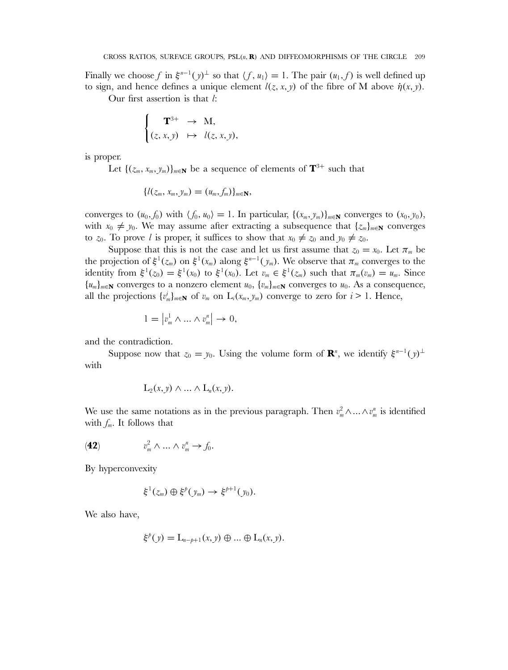Finally we choose f in  $\xi^{n-1}(y)$ <sup>⊥</sup> so that  $\langle f, u_1 \rangle = 1$ . The pair  $(u_1, f)$  is well defined up to sign, and hence defines a unique element  $l(z, x, y)$  of the fibre of M above  $\dot{\eta}(x, y)$ .

Our first assertion is that l:

$$
\begin{cases}\n\mathbf{T}^{3+} \to M, \\
(z, x, y) \mapsto l(z, x, y),\n\end{cases}
$$

is proper.

Let  $\{(z_m, x_m, y_m)\}_{m\in\mathbb{N}}$  be a sequence of elements of  $\mathbf{T}^{3+}$  such that

$$
\{l(z_m, x_m, y_m) = (u_m, f_m)\}_{m \in \mathbf{N}},
$$

converges to  $(u_0, f_0)$  with  $\langle f_0, u_0 \rangle = 1$ . In particular,  $\{(x_m, y_m)\}_{m \in \mathbb{N}}$  converges to  $(x_0, y_0)$ , with  $x_0 \neq y_0$ . We may assume after extracting a subsequence that  $\{z_m\}_{m\in\mathbb{N}}$  converges to  $z_0$ . To prove l is proper, it suffices to show that  $x_0 \neq z_0$  and  $y_0 \neq z_0$ .

Suppose that this is not the case and let us first assume that  $z_0 = x_0$ . Let  $\pi_m$  be the projection of  $\xi^1(z_m)$  on  $\xi^1(x_m)$  along  $\xi^{n-1}(y_m)$ . We observe that  $\pi_m$  converges to the identity from  $\xi^1(z_0) = \xi^1(x_0)$  to  $\xi^1(x_0)$ . Let  $v_m \in \xi^1(z_m)$  such that  $\pi_m(v_m) = u_m$ . Since  ${u_m}_{m \in \mathbb{N}}$  converges to a nonzero element  $u_0$ ,  ${v_m}_{m \in \mathbb{N}}$  converges to  $u_0$ . As a consequence, all the projections  $\{v_m^i\}_{m\in\mathbb{N}}$  of  $v_m$  on  $L_i(x_m, y_m)$  converge to zero for  $i > 1$ . Hence,

$$
1 = |v_m^1 \wedge \ldots \wedge v_m^n| \to 0,
$$

and the contradiction.

Suppose now that  $z_0 = y_0$ . Using the volume form of **R**<sup>n</sup>, we identify  $\xi^{n-1}(y)$ <sup>⊥</sup> with

$$
L_2(x, y) \wedge \ldots \wedge L_n(x, y).
$$

We use the same notations as in the previous paragraph. Then  $v_m^2 \wedge ... \wedge v_m^n$  is identified with  $f_m$ . It follows that

(42) 
$$
v_m^2 \wedge \ldots \wedge v_m^n \rightarrow f_0.
$$

By hyperconvexity

$$
\xi^1(z_m)\oplus\xi^p(y_m)\to\xi^{p+1}(y_0).
$$

We also have,

$$
\xi^p(y) = L_{n-p+1}(x, y) \oplus \dots \oplus L_n(x, y).
$$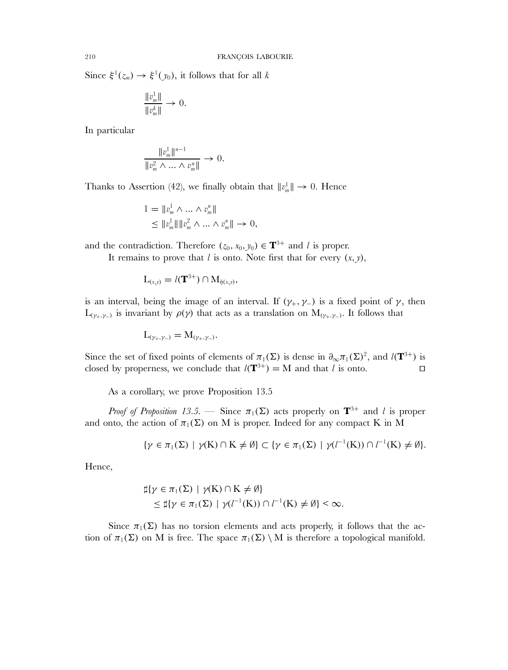Since  $\xi^1(z_m) \to \xi^1(y_0)$ , it follows that for all k

$$
\frac{\|v^1_m\|}{\|v^k_m\|}\to 0.
$$

In particular

$$
\frac{\|v_m^1\|^{n-1}}{\|v_m^2 \wedge \ldots \wedge v_m^n\|} \to 0.
$$

Thanks to Assertion (42), we finally obtain that  $||v_m^{\perp}|| \to 0$ . Hence

$$
1 = \|v_m^1 \wedge \dots \wedge v_m^n\|
$$
  
\n
$$
\leq \|v_m^1\| \|v_m^2 \wedge \dots \wedge v_m^n\| \to 0,
$$

and the contradiction. Therefore  $(z_0, x_0, y_0) \in \mathbf{T}^{3+}$  and l is proper.

It remains to prove that  $l$  is onto. Note first that for every  $(x, y)$ ,

$$
\mathcal{L}_{(x,y)} = l(\mathbf{T}^{3+}) \cap \mathcal{M}_{\eta(x,y)},
$$

is an interval, being the image of an interval. If  $(\gamma_+, \gamma_-)$  is a fixed point of  $\gamma$ , then  $L_{(\gamma_+,\gamma_-)}$  is invariant by  $\rho(\gamma)$  that acts as a translation on  $M_{(\gamma_+,\gamma_-)}$ . It follows that

$$
L_{(\gamma_+,\gamma_-)}=M_{(\gamma_+,\gamma_-)}.
$$

Since the set of fixed points of elements of  $\pi_1(\Sigma)$  is dense in  $\partial_{\infty}\pi_1(\Sigma)^2$ , and  $l(\mathbf{T}^{3+})$  is closed by properness, we conclude that  $l(\mathbf{T}^{3+}) = \mathbf{M}$  and that l is onto.  $\Box$ 

As a corollary, we prove Proposition 13.5

*Proof of Proposition 13.5.* — Since  $\pi_1(\Sigma)$  acts properly on  $\mathbf{T}^{3+}$  and l is proper and onto, the action of  $\pi_1(\Sigma)$  on M is proper. Indeed for any compact K in M

$$
\{\gamma \in \pi_1(\Sigma) \mid \gamma(K) \cap K \neq \emptyset\} \subset \{\gamma \in \pi_1(\Sigma) \mid \gamma(l^{-1}(K)) \cap l^{-1}(K) \neq \emptyset\}.
$$

Hence,

$$
\sharp\{\gamma \in \pi_1(\Sigma) \mid \gamma(K) \cap K \neq \emptyset\}
$$
  
\$\leq \sharp\{\gamma \in \pi\_1(\Sigma) \mid \gamma(l^{-1}(K)) \cap l^{-1}(K) \neq \emptyset\} < \infty\$.

Since  $\pi_1(\Sigma)$  has no torsion elements and acts properly, it follows that the action of  $\pi_1(\Sigma)$  on M is free. The space  $\pi_1(\Sigma) \setminus M$  is therefore a topological manifold.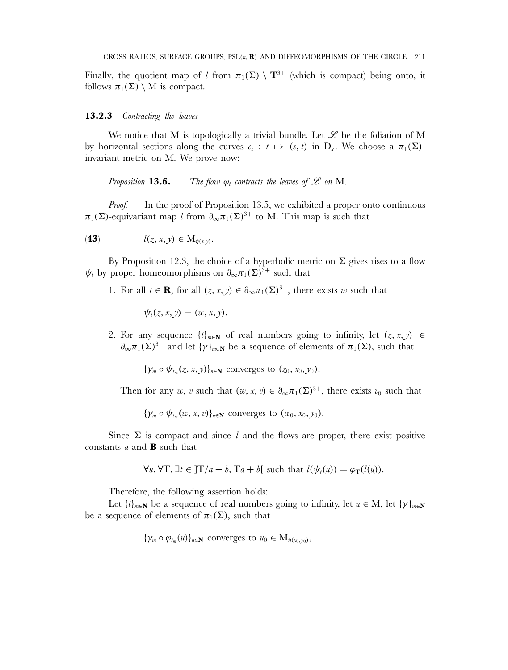Finally, the quotient map of l from  $\pi_1(\Sigma) \setminus \mathbf{T}^{3+}$  (which is compact) being onto, it follows  $\pi_1(\Sigma) \setminus M$  is compact.

## **13.2.3** *Contracting the leaves*

We notice that M is topologically a trivial bundle. Let  $\mathscr L$  be the foliation of M by horizontal sections along the curves  $c_s : t \mapsto (s, t)$  in  $D_{\kappa}$ . We choose a  $\pi_1(\Sigma)$ invariant metric on M. We prove now:

*Proposition* **13.6.** — *The flow*  $\varphi_t$  *contracts the leaves of*  $\mathscr L$  *on* M.

*Proof.* — In the proof of Proposition 13.5, we exhibited a proper onto continuous  $\pi_1(\Sigma)$ -equivariant map l from  $\partial_{\infty}\pi_1(\Sigma)^{3+}$  to M. This map is such that

$$
l(z, x, y) \in M_{\dot{\eta}(x, y)}.
$$

By Proposition 12.3, the choice of a hyperbolic metric on  $\Sigma$  gives rises to a flow  $\psi_t$  by proper homeomorphisms on  $\partial_\infty \pi_1(\Sigma)^{3+}$  such that

1. For all  $t \in \mathbf{R}$ , for all  $(z, x, y) \in \partial_{\infty} \pi_1(\Sigma)^{3+}$ , there exists w such that

$$
\psi_t(z,x,y)=(w,x,y).
$$

2. For any sequence  $\{t\}_{m\in\mathbb{N}}$  of real numbers going to infinity, let  $(z, x, y) \in$  $\partial_{\infty}\pi_1(\Sigma)^{3+}$  and let  $\{\gamma\}_{m\in\mathbb{N}}$  be a sequence of elements of  $\pi_1(\Sigma)$ , such that

 ${\gamma_m \circ \psi_{t_m}(z, x, y)}_{n \in \mathbb{N}}$  converges to  $(z_0, x_0, y_0)$ .

Then for any w, v such that  $(w, x, v) \in \partial_{\infty} \pi_1(\Sigma)^{3+}$ , there exists  $v_0$  such that

 ${\gamma_m \circ \psi_{t_m}(w, x, v)}_{n \in \mathbb{N}}$  converges to  $(w_0, x_0, y_0)$ .

Since  $\Sigma$  is compact and since l and the flows are proper, there exist positive constants a and **B** such that

$$
\forall u, \forall T, \exists t \in ]T/a - b, Ta + b[ \text{ such that } l(\psi_t(u)) = \varphi_T(l(u)).
$$

Therefore, the following assertion holds:

Let  $\{t\}_{m\in\mathbb{N}}$  be a sequence of real numbers going to infinity, let  $u \in M$ , let  $\{\gamma\}_{m\in\mathbb{N}}$ be a sequence of elements of  $\pi_1(\Sigma)$ , such that

$$
\{\gamma_m \circ \varphi_{t_m}(u)\}_{n \in \mathbf{N}} \text{ converges to } u_0 \in \mathbf{M}_{\dot{\eta}(x_0, y_0)},
$$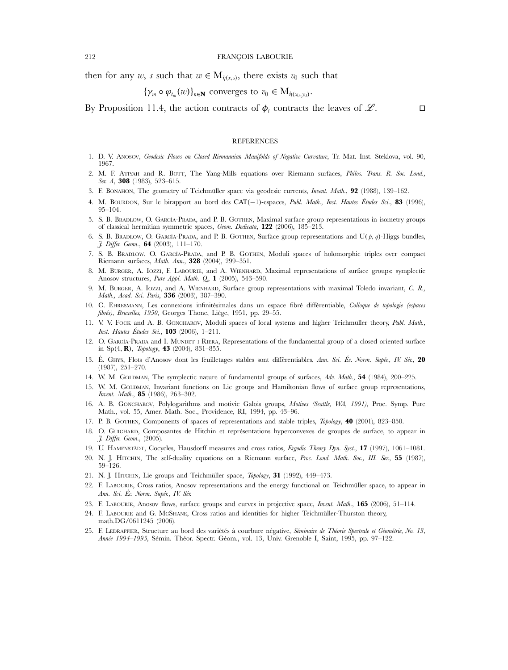then for any w, s such that  $w \in M_{\dot{p}(x,s)}$ , there exists  $v_0$  such that

$$
\{\gamma_m \circ \varphi_{t_m}(w)\}_{n \in \mathbf{N}} \text{ converges to } v_0 \in \mathbf{M}_{\eta(x_0,y_0)}.
$$

By Proposition 11.4, the action contracts of  $\phi$ , contracts the leaves of  $\mathscr{L}$ .

## $\Box$

## **REFERENCES**

- 1. D. V. ANOSOV, *Geodesic Flows on Closed Riemannian Manifolds of Negative Curvature*, Tr. Mat. Inst. Steklova, vol. 90, 1967.
- 2. M. F. ATIYAH and R. BOTT, The Yang-Mills equations over Riemann surfaces, *Philos. Trans. R. Soc. Lond., Ser. A*, **308** (1983), 523–615.
- 3. F. BONAHON, The geometry of Teichmüller space via geodesic currents, *Invent. Math.*, **92** (1988), 139–162.
- 4. M. BOURDON, Sur le birapport au bord des CAT(−1)-espaces, *Publ. Math., Inst. Hautes Études Sci.*, **83** (1996), 95–104.
- 5. S. B. BRADLOW, O. GARCÍA-PRADA, and P. B. GOTHEN, Maximal surface group representations in isometry groups of classical hermitian symmetric spaces, *Geom. Dedicata*, **122** (2006), 185–213.
- 6. S. B. BRADLOW, O. GARCÍA-PRADA, and P. B. GOTHEN, Surface group representations and  $U(\beta, q)$ -Higgs bundles, *J. Differ. Geom.*, **64** (2003), 111–170.
- 7. S. B. BRADLOW, O. GARCÍA-PRADA, and P. B. GOTHEN, Moduli spaces of holomorphic triples over compact Riemann surfaces, *Math. Ann.*, **328** (2004), 299–351.
- 8. M. BURGER, A. IOZZI, F. LABOURIE, and A. WIENHARD, Maximal representations of surface groups: symplectic Anosov structures, *Pure Appl. Math. Q.*, **1** (2005), 543–590.
- 9. M. BURGER, A. IOZZI, and A. WIENHARD, Surface group representations with maximal Toledo invariant, *C. R., Math., Acad. Sci. Paris*, **336** (2003), 387–390.
- 10. C. EHRESMANN, Les connexions infinitésimales dans un espace fibré différentiable, *Colloque de topologie (espaces fibrés), Bruxelles, 1950*, Georges Thone, Liège, 1951, pp. 29–55.
- 11. V. V. FOCK and A. B. GONCHAROV, Moduli spaces of local systems and higher Teichmüller theory, *Publ. Math., Inst. Hautes Études Sci.*, **103** (2006), 1–211.
- 12. O. GARCÍA-PRADA and I. MUNDET I RIERA, Representations of the fundamental group of a closed oriented surface in Sp(4, **R**), *Topology*, **43** (2004), 831–855.
- 13. É. GHYS, Flots d'Anosov dont les feuilletages stables sont différentiables, *Ann. Sci. Éc. Norm. Supér., IV. Sér.*, **20** (1987), 251–270.
- 14. W. M. GOLDMAN, The symplectic nature of fundamental groups of surfaces, *Adv. Math.*, **54** (1984), 200–225.
- 15. W. M. GOLDMAN, Invariant functions on Lie groups and Hamiltonian flows of surface group representations, *Invent. Math.*, **85** (1986), 263–302.
- 16. A. B. GONCHAROV, Polylogarithms and motivic Galois groups, *Motives (Seattle, WA, 1991)*, Proc. Symp. Pure Math., vol. 55, Amer. Math. Soc., Providence, RI, 1994, pp. 43–96.
- 17. P. B. GOTHEN, Components of spaces of representations and stable triples, *Topology*, **40** (2001), 823–850.
- 18. O. GUICHARD, Composantes de Hitchin et représentations hyperconvexes de groupes de surface, to appear in *J. Differ. Geom.*, (2005).
- 19. U. HAMENSTÄDT, Cocycles, Hausdorff measures and cross ratios, *Ergodic Theory Dyn. Syst.*, **17** (1997), 1061–1081.
- 20. N. J. HITCHIN, The self-duality equations on a Riemann surface, *Proc. Lond. Math. Soc., III. Ser.*, **55** (1987), 59–126.
- 21. N. J. HITCHIN, Lie groups and Teichmüller space, *Topology*, **31** (1992), 449–473.
- 22. F. LABOURIE, Cross ratios, Anosov representations and the energy functional on Teichmüller space, to appear in *Ann. Sci. Éc. Norm. Supér., IV. Sér.*
- 23. F. LABOURIE, Anosov flows, surface groups and curves in projective space, *Invent. Math.*, **165** (2006), 51–114.
- 24. F. LABOURIE and G. MCSHANE, Cross ratios and identities for higher Teichmüller-Thurston theory, math.DG/0611245 (2006).
- 25. F. LEDRAPPIER, Structure au bord des variétés à courbure négative, *Séminaire de Théorie Spectrale et Géométrie, No. 13, Année 1994–1995*, Sémin. Théor. Spectr. Géom., vol. 13, Univ. Grenoble I, Saint, 1995, pp. 97–122.